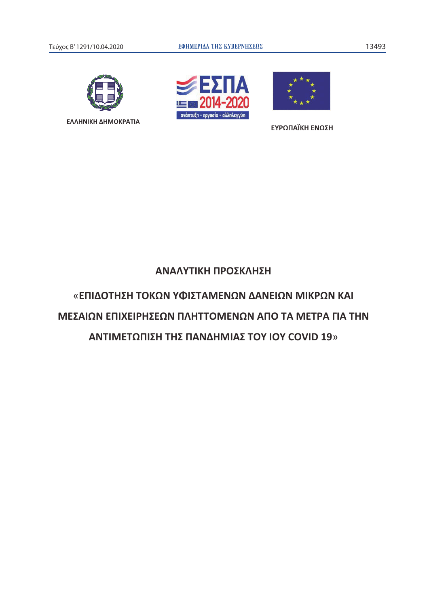





**ΕΥΡΩΠΑΪΚΗ ΕΝΩΣΗ** 

# ΑΝΑΛΥΤΙΚΗ ΠΡΟΣΚΛΗΣΗ

«ΕΠΙΔΟΤΗΣΗ ΤΟΚΩΝ ΥΦΙΣΤΑΜΕΝΩΝ ΔΑΝΕΙΩΝ ΜΙΚΡΩΝ ΚΑΙ ΜΕΣΑΙΩΝ ΕΠΙΧΕΙΡΗΣΕΩΝ ΠΛΗΤΤΟΜΕΝΩΝ ΑΠΟ ΤΑ ΜΕΤΡΑ ΓΙΑ ΤΗΝ ΑΝΤΙΜΕΤΩΠΙΣΗ ΤΗΣ ΠΑΝΔΗΜΙΑΣ ΤΟΥ ΙΟΥ COVID 19»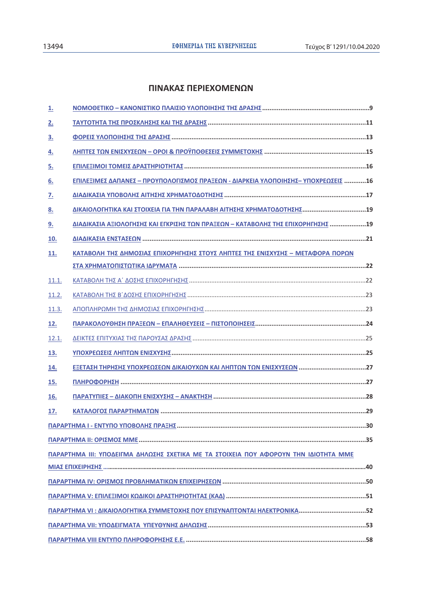# ΠΙΝΑΚΑΣ ΠΕΡΙΕΧΟΜΕΝΩΝ

| <u>1.</u> |                                                                                      |
|-----------|--------------------------------------------------------------------------------------|
| 2.        |                                                                                      |
| <u>3.</u> |                                                                                      |
| 4.        |                                                                                      |
| <u>5.</u> |                                                                                      |
| 6.        | ΕΠΙΛΕΞΙΜΕΣ ΔΑΠΑΝΕΣ - ΠΡΟΥΠΟΛΟΓΙΣΜΟΣ ΠΡΑΞΕΩΝ - ΔΙΑΡΚΕΙΑ ΥΛΟΠΟΙΗΣΗΣ- ΥΠΟΧΡΕΩΣΕΙΣ 16    |
| <u>z.</u> |                                                                                      |
| 8.        |                                                                                      |
| 9.        | ΔΙΑΔΙΚΑΣΙΑ ΑΞΙΟΛΟΓΗΣΗΣ ΚΑΙ ΕΓΚΡΙΣΗΣ ΤΩΝ ΠΡΑΞΕΩΝ - ΚΑΤΑΒΟΛΗΣ ΤΗΣ ΕΠΙΧΟΡΗΓΗΣΗΣ 19      |
| 10.       |                                                                                      |
| 11.       | ΚΑΤΑΒΟΛΗ ΤΗΣ ΔΗΜΟΣΙΑΣ ΕΠΙΧΟΡΗΓΗΣΗΣ ΣΤΟΥΣ ΛΗΠΤΕΣ ΤΗΣ ΕΝΙΣΧΥΣΗΣ - ΜΕΤΑΦΟΡΑ ΠΟΡΩΝ       |
|           |                                                                                      |
| 11.1.     |                                                                                      |
| 11.2.     |                                                                                      |
| 11.3.     |                                                                                      |
| 12.       |                                                                                      |
| 12.1.     |                                                                                      |
| 13.       |                                                                                      |
| 14.       |                                                                                      |
| 15.       |                                                                                      |
| 16.       |                                                                                      |
| 17.       |                                                                                      |
|           |                                                                                      |
|           |                                                                                      |
|           | ΠΑΡΑΡΤΗΜΑ ΙΙΙ: ΥΠΟΔΕΙΓΜΑ ΔΗΛΩΣΗΣ ΣΧΕΤΙΚΑ ΜΕ ΤΑ ΣΤΟΙΧΕΙΑ ΠΟΥ ΑΦΟΡΟΥΝ ΤΗΝ ΙΔΙΟΤΗΤΑ ΜΜΕ |
|           |                                                                                      |
|           |                                                                                      |
|           |                                                                                      |
|           | ΠΑΡΑΡΤΗΜΑ VI : ΔΙΚΑΙΟΛΟΓΗΤΙΚΑ ΣΥΜΜΕΤΟΧΗΣ ΠΟΥ ΕΠΙΣΥΝΑΠΤΟΝΤΑΙ ΗΛΕΚΤΡΟΝΙΚΑ52            |
|           |                                                                                      |
|           |                                                                                      |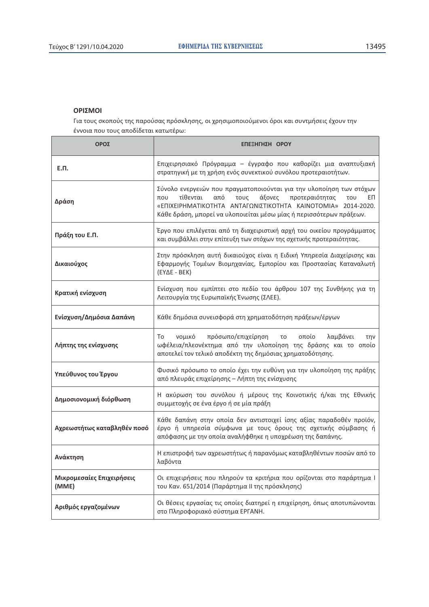### **OPIΣMOI**

Για τους σκοπούς της παρούσας πρόσκλησης, οι χρησιμοποιούμενοι όροι και συντμήσεις έχουν την έννοια που τους αποδίδεται κατωτέρω:

| ΟΡΟΣ                               | ΕΠΕΞΗΓΗΣΗ ΟΡΟΥ                                                                                                                                                                                                                                                                        |  |
|------------------------------------|---------------------------------------------------------------------------------------------------------------------------------------------------------------------------------------------------------------------------------------------------------------------------------------|--|
| Е.П.                               | Επιχειρησιακό Πρόγραμμα - έγγραφο που καθορίζει μια αναπτυξιακή<br>στρατηγική με τη χρήση ενός συνεκτικού συνόλου προτεραιοτήτων.                                                                                                                                                     |  |
| Δράση                              | Σύνολο ενεργειών που πραγματοποιούνται για την υλοποίηση των στόχων<br>τίθενται<br>από<br>άξονες<br>τους<br>προτεραιότητας<br>που<br>EП<br>του<br>«ΕΠΙΧΕΙΡΗΜΑΤΙΚΟΤΗΤΑ ΑΝΤΑΓΩΝΙΣΤΙΚΟΤΗΤΑ ΚΑΙΝΟΤΟΜΙΑ» 2014-2020.<br>Κάθε δράση, μπορεί να υλοποιείται μέσω μίας ή περισσότερων πράξεων. |  |
| Πράξη του Ε.Π.                     | Έργο που επιλέγεται από τη διαχειριστική αρχή του οικείου προγράμματος<br>και συμβάλλει στην επίτευξη των στόχων της σχετικής προτεραιότητας.                                                                                                                                         |  |
| Δικαιούχος                         | Στην πρόσκληση αυτή δικαιούχος είναι η Ειδική Υπηρεσία Διαχείρισης και<br>Εφαρμογής Τομέων Βιομηχανίας, Εμπορίου και Προστασίας Καταναλωτή<br>$(EY\Delta E - BEK)$                                                                                                                    |  |
| Κρατική ενίσχυση                   | Ενίσχυση που εμπίπτει στο πεδίο του άρθρου 107 της Συνθήκης για τη<br>Λειτουργία της Ευρωπαϊκής Ένωσης (ΣΛΕΕ).                                                                                                                                                                        |  |
| Ενίσχυση/Δημόσια Δαπάνη            | Κάθε δημόσια συνεισφορά στη χρηματοδότηση πράξεων/έργων                                                                                                                                                                                                                               |  |
| Λήπτης της ενίσχυσης               | πρόσωπο/επιχείρηση<br>οποίο<br>λαμβάνει<br>νομικό<br>To<br>τo<br>την<br>ωφέλεια/πλεονέκτημα από την υλοποίηση της δράσης και το οποίο<br>αποτελεί τον τελικό αποδέκτη της δημόσιας χρηματοδότησης.                                                                                    |  |
| Υπεύθυνος του Έργου                | Φυσικό πρόσωπο το οποίο έχει την ευθύνη για την υλοποίηση της πράξης<br>από πλευράς επιχείρησης – Λήπτη της ενίσχυσης                                                                                                                                                                 |  |
| Δημοσιονομική διόρθωση             | Η ακύρωση του συνόλου ή μέρους της Κοινοτικής ή/και της Εθνικής<br>συμμετοχής σε ένα έργο ή σε μία πράξη                                                                                                                                                                              |  |
| Αχρεωστήτως καταβληθέν ποσό        | Κάθε δαπάνη στην οποία δεν αντιστοιχεί ίσης αξίας παραδοθέν προϊόν,<br>έργο ή υπηρεσία σύμφωνα με τους όρους της σχετικής σύμβασης ή<br>απόφασης με την οποία αναλήφθηκε η υποχρέωση της δαπάνης.                                                                                     |  |
| Ανάκτηση                           | Η επιστροφή των αχρεωστήτως ή παρανόμως καταβληθέντων ποσών από το<br>λαβόντα                                                                                                                                                                                                         |  |
| Μικρομεσαίες Επιχειρήσεις<br>(MME) | Οι επιχειρήσεις που πληρούν τα κριτήρια που ορίζονται στο παράρτημα Ι<br>του Καν. 651/2014 (Παράρτημα ΙΙ της πρόσκλησης)                                                                                                                                                              |  |
| Αριθμός εργαζομένων                | Οι θέσεις εργασίας τις οποίες διατηρεί η επιχείρηση, όπως αποτυπώνονται<br>στο Πληροφοριακό σύστημα ΕΡΓΑΝΗ.                                                                                                                                                                           |  |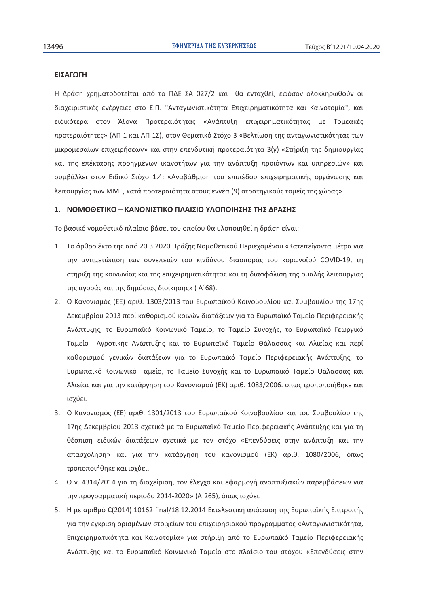### ΕΙΣΑΓΩΓΗ

Η Δράση χρηματοδοτείται από το ΠΔΕ ΣΑ 027/2 και θα ενταχθεί, εφόσον ολοκληρωθούν οι διαχειριστικές ενέργειες στο Ε.Π. "Ανταγωνιστικότητα Επιχειρηματικότητα και Καινοτομία", και ειδικότερα στον Άξονα Προτεραιότητας «Ανάπτυξη επιχειρηματικότητας με Τομεακές προτεραιότητες» (ΑΠ 1 και ΑΠ 1Σ), στον Θεματικό Στόχο 3 «Βελτίωση της ανταγωνιστικότητας των μικρομεσαίων επιχειρήσεων» και στην επενδυτική προτεραιότητα 3(γ) «Στήριξη της δημιουργίας και της επέκτασης προηγμένων ικανοτήτων για την ανάπτυξη προϊόντων και υπηρεσιών» και συμβάλλει στον Ειδικό Στόχο 1.4: «Αναβάθμιση του επιπέδου επιχειρηματικής οργάνωσης και λειτουργίας των ΜΜΕ, κατά προτεραιότητα στους εννέα (9) στρατηγικούς τομείς της χώρας».

#### 1. ΝΟΜΟΘΕΤΙΚΟ – ΚΑΝΟΝΙΣΤΙΚΟ ΠΛΑΙΣΙΟ ΥΛΟΠΟΙΗΣΗΣ ΤΗΣ ΔΡΑΣΗΣ

Το βασικό νομοθετικό πλαίσιο βάσει του οποίου θα υλοποιηθεί η δράση είναι:

- 1. Το άρθρο έκτο της από 20.3.2020 Πράξης Νομοθετικού Περιεχομένου «Κατεπείγοντα μέτρα για την αντιμετώπιση των συνεπειών του κινδύνου διασποράς του κορωνοϊού COVID-19, τη στήριξη της κοινωνίας και της επιχειρηματικότητας και τη διασφάλιση της ομαλής λειτουργίας της αγοράς και της δημόσιας διοίκησης» (Α'68).
- 2. Ο Κανονισμός (ΕΕ) αριθ. 1303/2013 του Ευρωπαϊκού Κοινοβουλίου και Συμβουλίου της 17ης Δεκεμβρίου 2013 περί καθορισμού κοινών διατάξεων για το Ευρωπαϊκό Ταμείο Περιφερειακής Ανάπτυξης, το Ευρωπαϊκό Κοινωνικό Ταμείο, το Ταμείο Συνοχής, το Ευρωπαϊκό Γεωργικό Ταμείο Αγροτικής Ανάπτυξης και το Ευρωπαϊκό Ταμείο Θάλασσας και Αλιείας και περί καθορισμού γενικών διατάξεων για το Ευρωπαϊκό Ταμείο Περιφερειακής Ανάπτυξης, το Ευρωπαϊκό Κοινωνικό Ταμείο, το Ταμείο Συνοχής και το Ευρωπαϊκό Ταμείο Θάλασσας και Αλιείας και για την κατάργηση του Κανονισμού (ΕΚ) αριθ. 1083/2006. όπως τροποποιήθηκε και ισχύει.
- 3. Ο Κανονισμός (ΕΕ) αριθ. 1301/2013 του Ευρωπαϊκού Κοινοβουλίου και του Συμβουλίου της 17ης Δεκεμβρίου 2013 σχετικά με το Ευρωπαϊκό Ταμείο Περιφερειακής Ανάπτυξης και για τη θέσπιση ειδικών διατάξεων σχετικά με τον στόχο «Επενδύσεις στην ανάπτυξη και την απασχόληση» και για την κατάργηση του κανονισμού (ΕΚ) αριθ. 1080/2006, όπως τροποποιήθηκε και ισχύει.
- 4. Ο ν. 4314/2014 για τη διαχείριση, τον έλεγχο και εφαρμογή αναπτυξιακών παρεμβάσεων για την προγραμματική περίοδο 2014-2020» (Α'265), όπως ισχύει.
- 5. Η με αριθμό C(2014) 10162 final/18.12.2014 Εκτελεστική απόφαση της Ευρωπαϊκής Επιτροπής για την έγκριση ορισμένων στοιχείων του επιχειρησιακού προγράμματος «Ανταγωνιστικότητα, Επιχειρηματικότητα και Καινοτομία» για στήριξη από το Ευρωπαϊκό Ταμείο Περιφερειακής Ανάπτυξης και το Ευρωπαϊκό Κοινωνικό Ταμείο στο πλαίσιο του στόχου «Επενδύσεις στην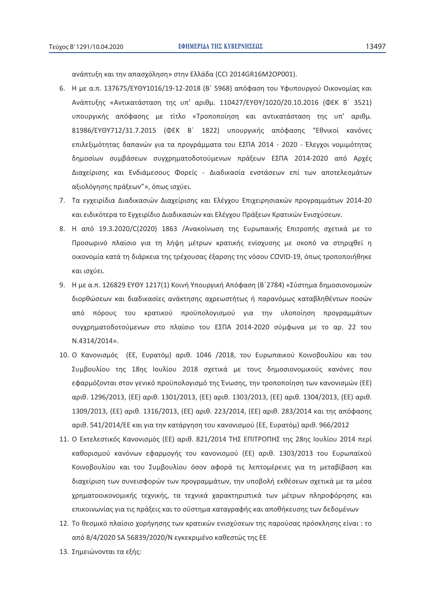ανάπτυξη και την απασχόληση» στην Ελλάδα (CCI 2014GR16M2OP001).

- 6. Η με α.π. 137675/ΕΥΘΥ1016/19-12-2018 (Β΄ 5968) απόφαση του Υφυπουργού Οικονομίας και Ανάπτυξης «Αντικατάσταση της υπ' αριθμ. 110427/EYΘY/1020/20.10.2016 (ΦΕΚ Β΄ 3521) υπουργικής απόφασης με τίτλο «Τροποποίηση και αντικατάσταση της υπ' αριθμ. 81986/ΕΥΘΥ712/31.7.2015 (ΦΕΚ Β΄ 1822) υπουργικής απόφασης "Εθνικοί κανόνες επιλεξιμότητας δαπανών για τα προγράμματα του ΕΣΠΑ 2014 - 2020 - Έλεγχοι νομιμότητας δημοσίων συμβάσεων συγχρηματοδοτούμενων πράξεων ΕΣΠΑ 2014-2020 από Αρχές Διαχείρισης και Ενδιάμεσους Φορείς - Διαδικασία ενστάσεων επί των αποτελεσμάτων αξιολόγησης πράξεων"», όπως ισχύει.
- 7. Τα εγχειρίδια Διαδικασιών Διαχείρισης και Ελέγχου Επιχειρησιακών προγραμμάτων 2014-20 και ειδικότερα το Εγχειρίδιο Διαδικασιών και Ελέγχου Πράξεων Κρατικών Ενισχύσεων.
- 8. Η από 19.3.2020/C(2020) 1863 /Ανακοίνωση της Ευρωπαικής Επιτροπής σχετικά με το Προσωρινό πλαίσιο για τη λήψη μέτρων κρατικής ενίσχυσης με σκοπό να στηριχθεί η οικονομία κατά τη διάρκεια της τρέχουσας έξαρσης της νόσου COVID-19, όπως τροποποιήθηκε και ισχύει.
- 9. Η με α.π. 126829 ΕΥΘΥ 1217(1) Κοινή Υπουργική Απόφαση (Β΄2784) «Σύστημα δημοσιονομικών διορθώσεων και διαδικασίες ανάκτησης αχρεωστήτως ή παρανόμως καταβληθέντων ποσών από πόρους του κρατικού προϋπολογισμού για την υλοποίηση προγραμμάτων συγχρηματοδοτούμενων στο πλαίσιο του ΕΣΠΑ 2014-2020 σύμφωνα με το αρ. 22 του .4314/2014».
- 10. Ο Κανονισμός (ΕΕ, Ευρατόμ) αριθ. 1046 /2018, του Ευρωπαικού Κοινοβουλίου και του Συμβουλίου της 18ης Ιουλίου 2018 σχετικά με τους δημοσιονομικούς κανόνες που εφαρμόζονται στον γενικό προϋπολογισμό της Ένωσης, την τροποποίηση των κανονισμών (EE) αριθ. 1296/2013, (ΕΕ) αριθ. 1301/2013, (ΕΕ) αριθ. 1303/2013, (ΕΕ) αριθ. 1304/2013, (ΕΕ) αριθ. 1309/2013, (ΕΕ) αριθ. 1316/2013, (ΕΕ) αριθ. 223/2014, (ΕΕ) αριθ. 283/2014 και της απόφασης αριθ. 541/2014/ΕΕ και για την κατάργηση του κανονισμού (ΕΕ, Ευρατόμ) αριθ. 966/2012
- 11. Ο Εκτελεστικός Κανονισμός (ΕΕ) αριθ. 821/2014 ΤΗΣ ΕΠΙΤΡΟΠΗΣ της 28ης Ιουλίου 2014 περί καθορισμού κανόνων εφαρμογής του κανονισμού (ΕΕ) αριθ. 1303/2013 του Ευρωπαϊκού Κοινοβουλίου και του Συμβουλίου όσον αφορά τις λεπτομέρειες για τη μεταβίβαση και διαχείριση των συνεισφορών των προγραμμάτων, την υποβολή εκθέσεων σχετικά με τα μέσα χρηματοοικονομικής τεχνικής, τα τεχνικά χαρακτηριστικά των μέτρων πληροφόρησης και επικοινωνίας για τις πράξεις και το σύστημα καταγραφής και αποθήκευσης των δεδομένων
- 12. Το θεσμικό πλαίσιο χορήγησης των κρατικών ενισχύσεων της παρούσας πρόσκλησης είναι : το από 8/4/2020 SA 56839/2020/N εγκεκριμένο καθεστώς της ΕΕ
- 13. Σημειώνονται τα εξής: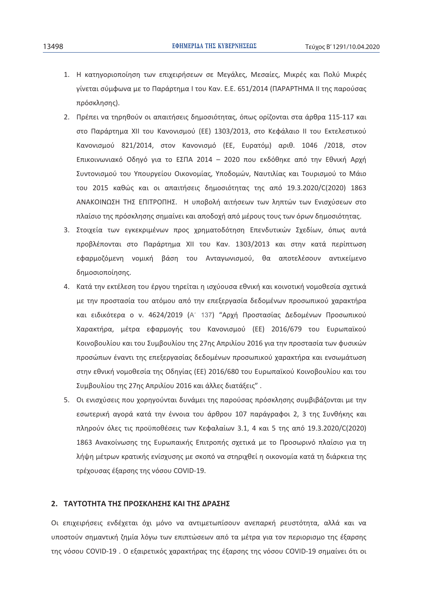- 1. Η κατηγοριοποίηση των επιχειρήσεων σε Μεγάλες, Μεσαίες, Μικρές και Πολύ Μικρές γίνεται σύμφωνα με το Παράρτημα Ι του Καν. Ε.Ε. 651/2014 (ΠΑΡΑΡΤΗΜΑ ΙΙ της παρούσας πρόσκλησης).
- 2. Πρέπει να τηρηθούν οι απαιτήσεις δημοσιότητας, όπως ορίζονται στα άρθρα 115-117 και στο Παράρτημα XII του Κανονισμού (ΕΕ) 1303/2013, στο Κεφάλαιο II του Εκτελεστικού Κανονισμού 821/2014, στον Κανονισμό (ΕΕ, Ευρατόμ) αριθ. 1046 /2018, στον Επικοινωνιακό Οδηγό για το ΕΣΠΑ 2014 - 2020 που εκδόθηκε από την Εθνική Αρχή Συντονισμού του Υπουργείου Οικονομίας, Υποδομών, Ναυτιλίας και Τουρισμού το Μάιο του 2015 καθώς και οι απαιτήσεις δημοσιότητας της από 19.3.2020/C(2020) 1863 ΑΝΑΚΟΙΝΩΣΗ ΤΗΣ ΕΠΙΤΡΟΠΗΣ. Η υποβολή αιτήσεων των ληπτών των Ενισχύσεων στο πλαίσιο της πρόσκλησης σημαίνει και αποδοχή από μέρους τους των όρων δημοσιότητας.
- 3. Στοιχεία των εγκεκριμένων προς χρηματοδότηση Επενδυτικών Σχεδίων, όπως αυτά προβλέπονται στο Παράρτημα XII του Καν. 1303/2013 και στην κατά περίπτωση εφαρμοζόμενη νομική βάση του Ανταγωνισμού, θα αποτελέσουν αντικείμενο δημοσιοποίησης.
- 4. Κατά την εκτέλεση του έργου τηρείται η ισχύουσα εθνική και κοινοτική νομοθεσία σχετικά με την προστασία του ατόμου από την επεξεργασία δεδομένων προσωπικού χαρακτήρα και ειδικότερα ο ν. 4624/2019 (Α΄ 137) "Αρχή Προστασίας Δεδομένων Προσωπικού Χαρακτήρα, μέτρα εφαρμογής του Κανονισμού (ΕΕ) 2016/679 του Ευρωπαϊκού Κοινοβουλίου και του Συμβουλίου της 27ης Απριλίου 2016 για την προστασία των φυσικών προσώπων έναντι της επεξεργασίας δεδομένων προσωπικού χαρακτήρα και ενσωμάτωση στην εθνική νομοθεσία της Οδηγίας (ΕΕ) 2016/680 του Ευρωπαϊκού Κοινοβουλίου και του Συμβουλίου της 27ης Απριλίου 2016 και άλλες διατάξεις".
- 5. Οι ενισχύσεις που χορηγούνται δυνάμει της παρούσας πρόσκλησης συμβιβάζονται με την εσωτερική αγορά κατά την έννοια του άρθρου 107 παράγραφοι 2, 3 της Συνθήκης και πληρούν όλες τις προϋποθέσεις των Κεφαλαίων 3.1, 4 και 5 της από 19.3.2020/C(2020) 1863 Ανακοίνωσης της Ευρωπαικής Επιτροπής σχετικά με το Προσωρινό πλαίσιο για τη λήψη μέτρων κρατικής ενίσχυσης με σκοπό να στηριχθεί η οικονομία κατά τη διάρκεια της τρέχουσας έξαρσης της νόσου COVID-19.

#### 2. ΤΑΥΤΟΤΗΤΑ ΤΗΣ ΠΡΟΣΚΛΗΣΗΣ ΚΑΙ ΤΗΣ ΔΡΑΣΗΣ

Οι επιχειρήσεις ενδέχεται όχι μόνο να αντιμετωπίσουν ανεπαρκή ρευστότητα, αλλά και να υποστούν σημαντική ζημία λόγω των επιπτώσεων από τα μέτρα για τον περιορισμο της έξαρσης της νόσου COVID-19. Ο εξαιρετικός χαρακτήρας της έξαρσης της νόσου COVID-19 σημαίνει ότι οι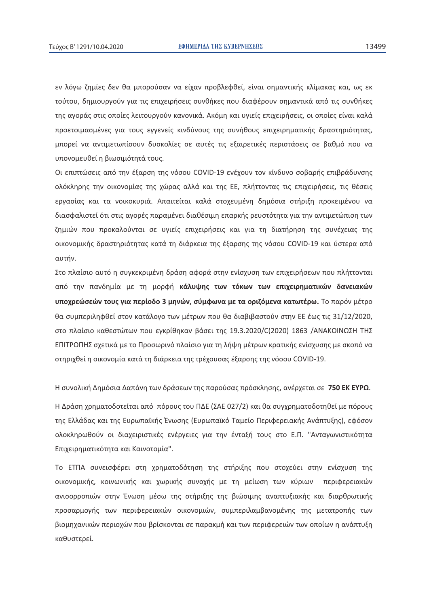εν λόγω ζημίες δεν θα μπορούσαν να είχαν προβλεφθεί, είναι σημαντικής κλίμακας και, ως εκ τούτου, δημιουργούν για τις επιχειρήσεις συνθήκες που διαφέρουν σημαντικά από τις συνθήκες της αγοράς στις οποίες λειτουργούν κανονικά. Ακόμη και υγιείς επιχειρήσεις, οι οποίες είναι καλά προετοιμασμένες για τους εγγενείς κινδύνους της συνήθους επιχειρηματικής δραστηριότητας, μπορεί να αντιμετωπίσουν δυσκολίες σε αυτές τις εξαιρετικές περιστάσεις σε βαθμό που να υπονομευθεί η βιωσιμότητά τους.

Οι επιπτώσεις από την έξαρση της νόσου COVID-19 ενέχουν τον κίνδυνο σοβαρής επιβράδυνσης ολόκληρης την οικονομίας της χώρας αλλά και της ΕΕ, πλήττοντας τις επιχειρήσεις, τις θέσεις εργασίας και τα νοικοκυριά. Απαιτείται καλά στοχευμένη δημόσια στήριξη προκειμένου να διασφαλιστεί ότι στις αγορές παραμένει διαθέσιμη επαρκής ρευστότητα για την αντιμετώπιση των ζημιών που προκαλούνται σε υγιείς επιχειρήσεις και για τη διατήρηση της συνέχειας της οικονομικής δραστηριότητας κατά τη διάρκεια της έξαρσης της νόσου COVID-19 και ύστερα από αυτήν.

Στο πλαίσιο αυτό η συγκεκριμένη δράση αφορά στην ενίσχυση των επιχειρήσεων που πλήττονται από την πανδημία με τη μορφή κ<mark>άλυψης των τόκων των επιχειρηματικών δανειακών</mark> υποχρεώσεών τους για περίοδο 3 μηνών, σύμφωνα με τα οριζόμενα κατωτέρω. Το παρόν μέτρο θα συμπεριληφθεί στον κατάλογο των μέτρων που θα διαβιβαστούν στην ΕΕ έως τις 31/12/2020, στο πλαίσιο καθεστώτων που εγκρίθηκαν βάσει της 19.3.2020/C(2020) 1863 /ΑΝΑΚΟΙΝΩΣΗ ΤΗΣ ΕΠΙΤΡΟΠΗΣ σχετικά με το Προσωρινό πλαίσιο για τη λήψη μέτρων κρατικής ενίσχυσης με σκοπό να στηριχθεί η οικονομία κατά τη διάρκεια της τρέχουσας έξαρσης της νόσου COVID-19.

Η συνολική Δημόσια Δαπάνη των δράσεων της παρούσας πρόσκλησης, ανέρχεται σε 750 ΕΚ ΕΥΡΩ.

Η Δράση χρηματοδοτείται από πόρους του ΠΔΕ (ΣΑΕ 027/2) και θα συγχρηματοδοτηθεί με πόρους της Ελλάδας και της Ευρωπαϊκής Ένωσης (Ευρωπαϊκό Ταμείο Περιφερειακής Ανάπτυξης), εφόσον ολοκληρωθούν οι διαχειριστικές ενέργειες για την ένταξή τους στο Ε.Π. "Ανταγωνιστικότητα Επιχειρηματικότητα και Καινοτομία".

Το ΕΤΠΑ συνεισφέρει στη χρηματοδότηση της στήριξης που στοχεύει στην ενίσχυση της οικονομικής, κοινωνικής και χωρικής συνοχής με τη μείωση των κύριων περιφερειακών ανισορροπιών στην Ένωση μέσω της στήριξης της βιώσιμης αναπτυξιακής και διαρθρωτικής προσαρμογής των περιφερειακών οικονομιών, συμπεριλαμβανομένης της μετατροπής των βιομηχανικών περιοχών που βρίσκονται σε παρακμή και των περιφερειών των οποίων η ανάπτυξη καθυστερεί.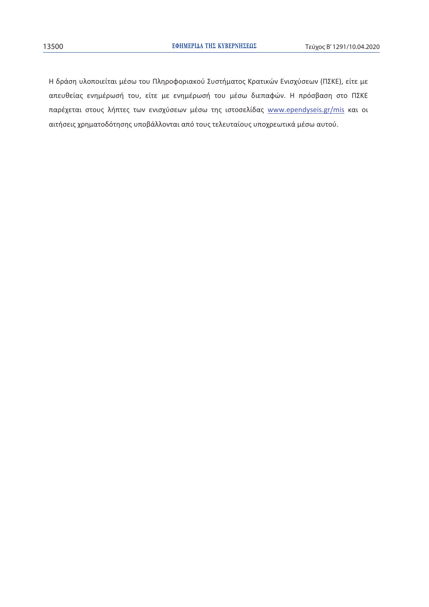Η δράση υλοποιείται μέσω του Πληροφοριακού Συστήματος Κρατικών Ενισχύσεων (ΠΣΚΕ), είτε με απευθείας ενημέρωσή του, είτε με ενημέρωσή του μέσω διεπαφών. Η πρόσβαση στο ΠΣΚΕ παρέχεται στους λήπτες των ενισχύσεων μέσω της ιστοσελίδας www.ependyseis.gr/mis και οι αιτήσεις χρηματοδότησης υποβάλλονται από τους τελευταίους υποχρεωτικά μέσω αυτού.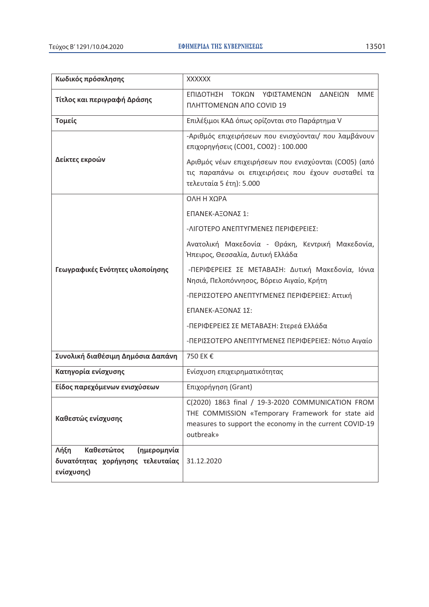$\overline{r}$ 

| Κωδικός πρόσκλησης                                                                         | <b>XXXXXX</b>                                                                                                                                                                                                                         |  |
|--------------------------------------------------------------------------------------------|---------------------------------------------------------------------------------------------------------------------------------------------------------------------------------------------------------------------------------------|--|
| Τίτλος και περιγραφή Δράσης                                                                | ΕΠΙΔΟΤΗΣΗ<br>ΤΟΚΩΝ<br><b>MME</b><br>ΥΦΙΣΤΑΜΕΝΩΝ<br>ΔΑΝΕΙΩΝ<br>ΠΛΗΤΤΟΜΕΝΩΝ ΑΠΟ COVID 19                                                                                                                                                |  |
| Τομείς                                                                                     | Επιλέξιμοι ΚΑΔ όπως ορίζονται στο Παράρτημα V                                                                                                                                                                                         |  |
| Δείκτες εκροών                                                                             | -Αριθμός επιχειρήσεων που ενισχύονται/ που λαμβάνουν<br>επιχορηγήσεις (CO01, CO02): 100.000<br>Αριθμός νέων επιχειρήσεων που ενισχύονται (CO05) (από<br>τις παραπάνω οι επιχειρήσεις που έχουν συσταθεί τα<br>τελευταία 5 έτη): 5.000 |  |
|                                                                                            | ΟΛΗ Η ΧΩΡΑ                                                                                                                                                                                                                            |  |
|                                                                                            | ΕΠΑΝΕΚ-ΑΞΟΝΑΣ 1:                                                                                                                                                                                                                      |  |
|                                                                                            | -ΛΙΓΟΤΕΡΟ ΑΝΕΠΤΥΓΜΕΝΕΣ ΠΕΡΙΦΕΡΕΙΕΣ:                                                                                                                                                                                                   |  |
|                                                                                            | Ανατολική Μακεδονία - Θράκη, Κεντρική Μακεδονία,<br>Ήπειρος, Θεσσαλία, Δυτική Ελλάδα                                                                                                                                                  |  |
| Γεωγραφικές Ενότητες υλοποίησης                                                            | -ΠΕΡΙΦΕΡΕΙΕΣ ΣΕ ΜΕΤΑΒΑΣΗ: Δυτική Μακεδονία, Ιόνια<br>Νησιά, Πελοπόννησος, Βόρειο Αιγαίο, Κρήτη                                                                                                                                        |  |
|                                                                                            | -ΠΕΡΙΣΣΟΤΕΡΟ ΑΝΕΠΤΥΓΜΕΝΕΣ ΠΕΡΙΦΕΡΕΙΕΣ: Αττική                                                                                                                                                                                         |  |
|                                                                                            | ΕΠΑΝΕΚ-ΑΞΟΝΑΣ 1Σ:                                                                                                                                                                                                                     |  |
|                                                                                            | -ΠΕΡΙΦΕΡΕΙΕΣ ΣΕ ΜΕΤΑΒΑΣΗ: Στερεά Ελλάδα                                                                                                                                                                                               |  |
|                                                                                            | -ΠΕΡΙΣΣΟΤΕΡΟ ΑΝΕΠΤΥΓΜΕΝΕΣ ΠΕΡΙΦΕΡΕΙΕΣ: Νότιο Αιγαίο                                                                                                                                                                                   |  |
| Συνολική διαθέσιμη Δημόσια Δαπάνη                                                          | 750 EK €                                                                                                                                                                                                                              |  |
| Κατηγορία ενίσχυσης                                                                        | Ενίσχυση επιχειρηματικότητας                                                                                                                                                                                                          |  |
| Είδος παρεχόμενων ενισχύσεων                                                               | Επιχορήγηση (Grant)                                                                                                                                                                                                                   |  |
| Καθεστώς ενίσχυσης                                                                         | C(2020) 1863 final / 19-3-2020 COMMUNICATION FROM<br>THE COMMISSION «Temporary Framework for state aid<br>measures to support the economy in the current COVID-19<br>outbreak»                                                        |  |
| Λήξη<br>Καθεστώτος<br><b>(ημερομηνία</b><br>δυνατότητας χορήγησης τελευταίας<br>ενίσχυσης) | 31.12.2020                                                                                                                                                                                                                            |  |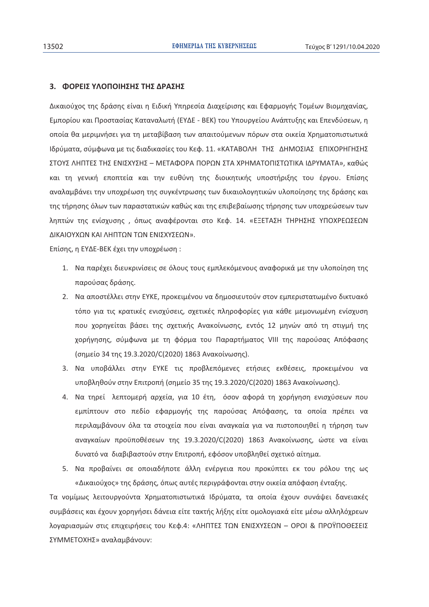#### 3. ΦΟΡΕΙΣ ΥΛΟΠΟΙΗΣΗΣ ΤΗΣ ΔΡΑΣΗΣ

Δικαιούχος της δράσης είναι η Ειδική Υπηρεσία Διαχείρισης και Εφαρμογής Τομέων Βιομηχανίας, Εμπορίου και Προστασίας Καταναλωτή (ΕΥΔΕ - ΒΕΚ) του Υπουργείου Ανάπτυξης και Επενδύσεων, η οποία θα μεριμνήσει για τη μεταβίβαση των απαιτούμενων πόρων στα οικεία Χρηματοπιστωτικά Ιδρύματα, σύμφωνα με τις διαδικασίες του Κεφ. 11. «ΚΑΤΑΒΟΛΗ ΤΗΣ ΔΗΜΟΣΙΑΣ ΕΠΙΧΟΡΗΓΗΣΗΣ ΣΤΟΥΣ ΛΗΠΤΕΣ ΤΗΣ ΕΝΙΣΧΥΣΗΣ - ΜΕΤΑΦΟΡΑ ΠΟΡΩΝ ΣΤΑ ΧΡΗΜΑΤΟΠΙΣΤΩΤΙΚΑ ΙΔΡΥΜΑΤΑ», καθώς και τη γενική εποπτεία και την ευθύνη της διοικητικής υποστήριξης του έργου. Επίσης αναλαμβάνει την υποχρέωση της συγκέντρωσης των δικαιολογητικών υλοποίησης της δράσης και της τήρησης όλων των παραστατικών καθώς και της επιβεβαίωσης τήρησης των υποχρεώσεων των ληπτών της ενίσχυσης, όπως αναφέρονται στο Κεφ. 14. «ΕΞΕΤΑΣΗ ΤΗΡΗΣΗΣ ΥΠΟΧΡΕΩΣΕΩΝ ΔΙΚΑΙΟΥΧΩΝ ΚΑΙ ΛΗΠΤΩΝ ΤΩΝ ΕΝΙΣΧΥΣΕΩΝ».

Επίσης, η ΕΥΔΕ-ΒΕΚ έχει την υποχρέωση:

- 1. Να παρέχει διευκρινίσεις σε όλους τους εμπλεκόμενους αναφορικά με την υλοποίηση της παρούσας δράσης.
- 2. Να αποστέλλει στην ΕΥΚΕ, προκειμένου να δημοσιευτούν στον εμπεριστατωμένο δικτυακό τόπο για τις κρατικές ενισχύσεις, σχετικές πληροφορίες για κάθε μεμονωμένη ενίσχυση που χορηγείται βάσει της σχετικής Ανακοίνωσης, εντός 12 μηνών από τη στιγμή της χορήγησης, σύμφωνα με τη φόρμα του Παραρτήματος VIII της παρούσας Απόφασης (σημείο 34 της 19.3.2020/C(2020) 1863 Ανακοίνωσης).
- 3. Να υποβάλλει στην ΕΥΚΕ τις προβλεπόμενες ετήσιες εκθέσεις, προκειμένου να υποβληθούν στην Επιτροπή (σημείο 35 της 19.3.2020/C(2020) 1863 Ανακοίνωσης).
- 4. Να τηρεί λεπτομερή αρχεία, για 10 έτη, όσον αφορά τη χορήγηση ενισχύσεων που εμπίπτουν στο πεδίο εφαρμογής της παρούσας Απόφασης, τα οποία πρέπει να περιλαμβάνουν όλα τα στοιχεία που είναι αναγκαία για να πιστοποιηθεί η τήρηση των αναγκαίων προϋποθέσεων της 19.3.2020/C(2020) 1863 Ανακοίνωσης, ώστε να είναι δυνατό να διαβιβαστούν στην Επιτροπή, εφόσον υποβληθεί σχετικό αίτημα.
- 5. Να προβαίνει σε οποιαδήποτε άλλη ενέργεια που προκύπτει εκ του ρόλου της ως «Δικαιούχος» της δράσης, όπως αυτές περιγράφονται στην οικεία απόφαση ένταξης.

Τα νομίμως λειτουργούντα Χρηματοπιστωτικά Ιδρύματα, τα οποία έχουν συνάψει δανειακές συμβάσεις και έχουν χορηγήσει δάνεια είτε τακτής λήξης είτε ομολογιακά είτε μέσω αλληλόχρεων λοναριασμών στις επιχειρήσεις του Κεφ.4; «ΛΗΠΤΕΣ ΤΩΝ ΕΝΙΣΧΥΣΕΩΝ - ΟΡΟΙ & ΠΡΟΥΠΟΘΕΣΕΙΣ ΣΥΜΜΕΤΟΧΗΣ» αναλαμβάνουν: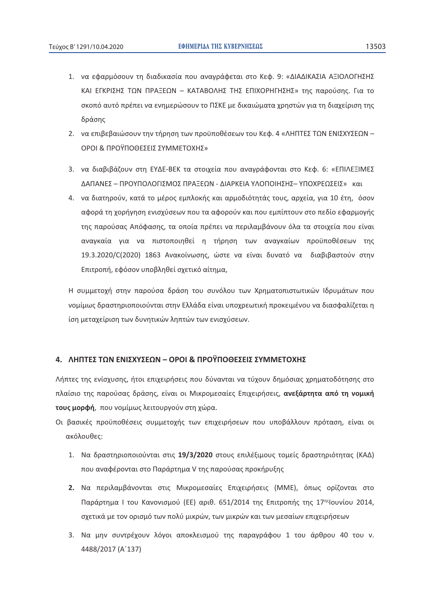- 1. να εφαρμόσουν τη διαδικασία που ανανράφεται στο Κεφ. 9: «ΔΙΑΔΙΚΑΣΙΑ ΑΞΙΟΛΟΓΗΣΗΣ ΚΑΙ ΕΓΚΡΙΣΗΣ ΤΩΝ ΠΡΑΞΕΩΝ - ΚΑΤΑΒΟΛΗΣ ΤΗΣ ΕΠΙΧΟΡΗΓΗΣΗΣ» της παρούσης. Για το σκοπό αυτό πρέπει να ενημερώσουν το ΠΣΚΕ με δικαιώματα χρηστών για τη διαχείριση της δράσης
- 2. να επιβεβαιώσουν την τήρηση των προϋποθέσεων του Κεφ. 4 «ΛΗΠΤΕΣ ΤΩΝ ΕΝΙΣΧΥΣΕΩΝ -ΟΡΟΙ & ΠΡΟΥΠΟΘΕΣΕΙΣ ΣΥΜΜΕΤΟΧΗΣ»
- 3. να διαβιβάζουν στη ΕΥΔΕ-ΒΕΚ τα στοιχεία που αναγράφονται στο Κεφ. 6: «ΕΠΙΛΕΞΙΜΕΣ ΔΑΠΑΝΕΣ - ΠΡΟΥΠΟΛΟΓΙΣΜΟΣ ΠΡΑΞΕΩΝ - ΔΙΑΡΚΕΙΑ ΥΛΟΠΟΙΗΣΗΣ- ΥΠΟΧΡΕΩΣΕΙΣ» και
- 4. να διατηρούν, κατά το μέρος εμπλοκής και αρμοδιότητάς τους, αρχεία, για 10 έτη, όσον αφορά τη χορήγηση ενισχύσεων που τα αφορούν και που εμπίπτουν στο πεδίο εφαρμογής της παρούσας Απόφασης, τα οποία πρέπει να περιλαμβάνουν όλα τα στοιχεία που είναι αναγκαία για να πιστοποιηθεί η τήρηση των αναγκαίων προϋποθέσεων της 19.3.2020/C(2020) 1863 Ανακοίνωσης, ώστε να είναι δυνατό να διαβιβαστούν στην Επιτροπή, εφόσον υποβληθεί σχετικό αίτημα,

Η συμμετοχή στην παρούσα δράση του συνόλου των Χρηματοπιστωτικών Ιδρυμάτων που νομίμως δραστηριοποιούνται στην Ελλάδα είναι υποχρεωτική προκειμένου να διασφαλίζεται η ίση μεταχείριση των δυνητικών ληπτών των ενισχύσεων.

### 4. ΛΗΠΤΕΣ ΤΩΝ ΕΝΙΣΧΥΣΕΩΝ – ΟΡΟΙ & ΠΡΟΫΠΟΘΕΣΕΙΣ ΣΥΜΜΕΤΟΧΗΣ

Λήπτες της ενίσχυσης, ήτοι επιχειρήσεις που δύνανται να τύχουν δημόσιας χρηματοδότησης στο πλαίσιο της παρούσας δράσης, είναι οι Μικρομεσαίες Επιχειρήσεις, **ανεξάρτητα από τη νομική** τους μορφή, που νομίμως λειτουργούν στη χώρα.

- Οι βασικές προϋποθέσεις συμμετοχής των επιχειρήσεων που υποβάλλουν πρόταση, είναι οι ακόλουθες:
	- 1. Να δραστηριοποιούνται στις 19/3/2020 στους επιλέξιμους τομείς δραστηριότητας (ΚΑΔ) που αναφέρονται στο Παράρτημα V της παρούσας προκήρυξης
	- 2. Να περιλαμβάνονται στις Μικρομεσαίες Επιχειρήσεις (ΜΜΕ), όπως ορίζονται στο Παράρτημα Ι του Κανονισμού (ΕΕ) αριθ. 651/2014 της Επιτροπής της 17ης Ιουνίου 2014, σχετικά με τον ορισμό των πολύ μικρών, των μικρών και των μεσαίων επιχειρήσεων
	- 3. Να μην συντρέχουν λόγοι αποκλεισμού της παραγράφου 1 του άρθρου 40 του ν. 4488/2017 (A'137)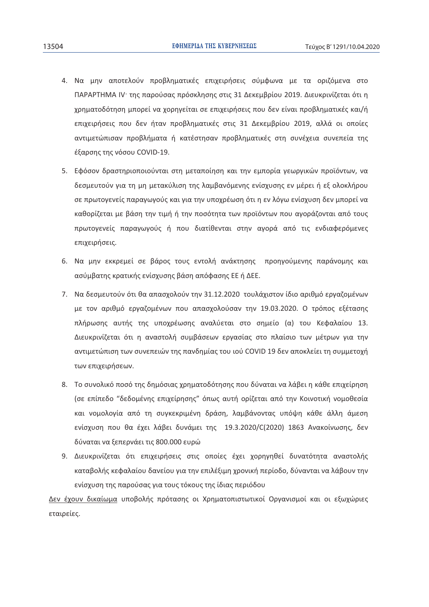- 4. Να μην αποτελούν προβληματικές επιχειρήσεις σύμφωνα με τα οριζόμενα στο ΠΑΡΑΡΤΗΜΑ IV της παρούσας πρόσκλησης στις 31 Δεκεμβρίου 2019. Διευκρινίζεται ότι η χρηματοδότηση μπορεί να χορηγείται σε επιχειρήσεις που δεν είναι προβληματικές και/ή επιχειρήσεις που δεν ήταν προβληματικές στις 31 Δεκεμβρίου 2019, αλλά οι οποίες αντιμετώπισαν προβλήματα ή κατέστησαν προβληματικές στη συνέχεια συνεπεία της έξαρσης της νόσου COVID-19.
- 5. Εφόσον δραστηριοποιούνται στη μεταποίηση και την εμπορία γεωργικών προϊόντων, να δεσμευτούν για τη μη μετακύλιση της λαμβανόμενης ενίσχυσης εν μέρει ή εξ ολοκλήρου σε πρωτογενείς παραγωγούς και για την υποχρέωση ότι η εν λόγω ενίσχυση δεν μπορεί να καθορίζεται με βάση την τιμή ή την ποσότητα των προϊόντων που αγοράζονται από τους πρωτογενείς παραγωγούς ή που διατίθενται στην αγορά από τις ενδιαφερόμενες επιχειρήσεις.
- 6. Να μην εκκρεμεί σε βάρος τους εντολή ανάκτησης προηγούμενης παράνομης και ασύμβατης κρατικής ενίσχυσης βάση απόφασης ΕΕ ή ΔΕΕ.
- 7. Να δεσμευτούν ότι θα απασχολούν την 31.12.2020 τουλάχιστον ίδιο αριθμό εργαζομένων με τον αριθμό εργαζομένων που απασχολούσαν την 19.03.2020. Ο τρόπος εξέτασης πλήρωσης αυτής της υποχρέωσης αναλύεται στο σημείο (α) του Κεφαλαίου 13. Διευκρινίζεται ότι η αναστολή συμβάσεων εργασίας στο πλαίσιο των μέτρων για την αντιμετώπιση των συνεπειών της πανδημίας του ιού COVID 19 δεν αποκλείει τη συμμετοχή των επιχειρήσεων.
- 8. Το συνολικό ποσό της δημόσιας χρηματοδότησης που δύναται να λάβει η κάθε επιχείρηση (σε επίπεδο "δεδομένης επιχείρησης" όπως αυτή ορίζεται από την Κοινοτική νομοθεσία και νομολογία από τη συγκεκριμένη δράση, λαμβάνοντας υπόψη κάθε άλλη άμεση ενίσχυση που θα έχει λάβει δυνάμει της 19.3.2020/C(2020) 1863 Ανακοίνωσης, δεν δύναται να ξεπερνάει τις 800.000 ευρώ
- 9. Διευκρινίζεται ότι επιχειρήσεις στις οποίες έχει χορηγηθεί δυνατότητα αναστολής καταβολής κεφαλαίου δανείου για την επιλέξιμη χρονική περίοδο, δύνανται να λάβουν την ενίσχυση της παρούσας για τους τόκους της ίδιας περιόδου

Δεν έχουν δικαίωμα υποβολής πρότασης οι Χρηματοπιστωτικοί Οργανισμοί και οι εξωχώριες εταιρείες.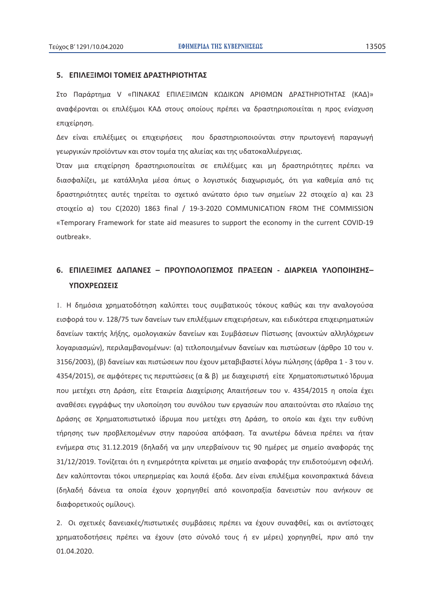### 5. ΕΠΙΛΕΞΙΜΟΙ ΤΟΜΕΙΣ ΔΡΑΣΤΗΡΙΟΤΗΤΑΣ

Στο Παράρτημα V «ΠΙΝΑΚΑΣ ΕΠΙΛΕΞΙΜΩΝ ΚΩΔΙΚΩΝ ΑΡΙΘΜΩΝ ΔΡΑΣΤΗΡΙΟΤΗΤΑΣ (ΚΑΔ)» αναφέρονται οι επιλέξιμοι ΚΑΔ στους οποίους πρέπει να δραστηριοποιείται η προς ενίσχυση επιχείρηση.

Δεν είναι επιλέξιμες οι επιχειρήσεις που δραστηριοποιούνται στην πρωτογενή παραγωγή γεωργικών προϊόντων και στον τομέα της αλιείας και της υδατοκαλλιέργειας.

Όταν μια επιχείρηση δραστηριοποιείται σε επιλέξιμες και μη δραστηριότητες πρέπει να διασφαλίζει, με κατάλληλα μέσα όπως ο λογιστικός διαχωρισμός, ότι για καθεμία από τις δραστηριότητες αυτές τηρείται το σχετικό ανώτατο όριο των σημείων 22 στοιχείο α) και 23 στοιχείο α) του C(2020) 1863 final / 19-3-2020 COMMUNICATION FROM THE COMMISSION «Temporary Framework for state aid measures to support the economy in the current COVID-19 outbreak».

# **6. ΕΠΙΛΕΞΙΜΕΣ ΔΑΠΑΝΕΣ – ΠΡΟΥΠΟΛΟΓΙΣΜΟΣ ΠΡΑΞΕΩΝ - ΔΙΑΡΚΕΙΑ ΥΛΟΠΟΙΗΣΗΣ-**ΥΠΟΧΡΕΩΣΕΙΣ

1. Η δημόσια χρηματοδότηση καλύπτει τους συμβατικούς τόκους καθώς και την αναλογούσα εισφορά του ν. 128/75 των δανείων των επιλέξιμων επιχειρήσεων, και ειδικότερα επιχειρηματικών δανείων τακτής λήξης, ομολογιακών δανείων και Συμβάσεων Πίστωσης (ανοικτών αλληλόχρεων λογαριασμών), περιλαμβανομένων: (α) τιτλοποιημένων δανείων και πιστώσεων (άρθρο 10 του ν. 3156/2003), (β) δανείων και πιστώσεων που έχουν μεταβιβαστεί λόγω πώλησης (άρθρα 1 - 3 του ν. 4354/2015), σε αμφότερες τις περιπτώσεις (α & β) με διαχειριστή είτε Χρηματοπιστωτικό Ίδρυμα που μετέχει στη Δράση, είτε Εταιρεία Διαχείρισης Απαιτήσεων του ν. 4354/2015 η οποία έχει αναθέσει εγγράφως την υλοποίηση του συνόλου των εργασιών που απαιτούνται στο πλαίσιο της Δράσης σε Χρηματοπιστωτικό ίδρυμα που μετέχει στη Δράση, το οποίο και έχει την ευθύνη τήρησης των προβλεπομένων στην παρούσα απόφαση. Τα ανωτέρω δάνεια πρέπει να ήταν ενήμερα στις 31.12.2019 (δηλαδή να μην υπερβαίνουν τις 90 ημέρες με σημείο αναφοράς της 31/12/2019. Τονίζεται ότι η ενημερότητα κρίνεται με σημείο αναφοράς την επιδοτούμενη οφειλή. Δεν καλύπτονται τόκοι υπερημερίας και λοιπά έξοδα. Δεν είναι επιλέξιμα κοινοπρακτικά δάνεια (δηλαδή δάνεια τα οποία έχουν χορηγηθεί από κοινοπραξία δανειστών που ανήκουν σε διαφορετικούς ομίλους).

2. Οι σχετικές δανειακές/πιστωτικές συμβάσεις πρέπει να έχουν συναφθεί, και οι αντίστοιχες χρηματοδοτήσεις πρέπει να έχουν (στο σύνολό τους ή εν μέρει) χορηγηθεί, πριν από την 01.04.2020.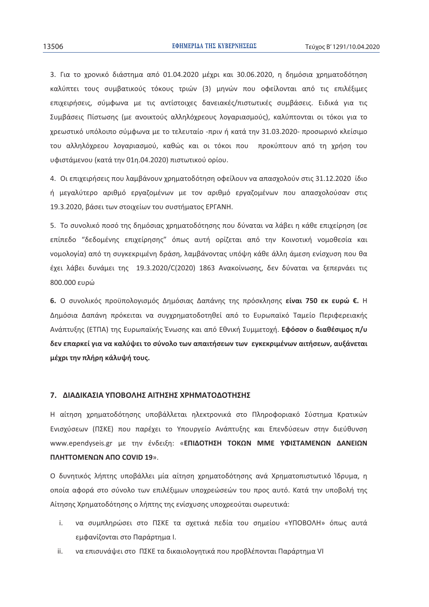3. Για το χρονικό διάστημα από 01.04.2020 μέχρι και 30.06.2020, η δημόσια χρηματοδότηση καλύπτει τους συμβατικούς τόκους τριών (3) μηνών που οφείλονται από τις επιλέξιμες επιχειρήσεις, σύμφωνα με τις αντίστοιχες δανειακές/πιστωτικές συμβάσεις. Ειδικά για τις Συμβάσεις Πίστωσης (με ανοικτούς αλληλόχρεους λογαριασμούς), καλύπτονται οι τόκοι για το γρεωστικό υπόλοιπο σύμφωνα με το τελευταίο -πριν ή κατά την 31.03.2020- προσωρινό κλείσιμο του αλληλόχρεου λογαριασμού, καθώς και οι τόκοι που προκύπτουν από τη χρήση του υφιστάμενου (κατά την 01η.04.2020) πιστωτικού ορίου.

4. Οι επιχειρήσεις που λαμβάνουν χρηματοδότηση οφείλουν να απασχολούν στις 31.12.2020 ίδιο ή μεγαλύτερο αριθμό εργαζομένων με τον αριθμό εργαζομένων που απασχολούσαν στις 19.3.2020, βάσει των στοιχείων του συστήματος ΕΡΓΑΝΗ.

5. Το συνολικό ποσό της δημόσιας χρηματοδότησης που δύναται να λάβει η κάθε επιχείρηση (σε επίπεδο "δεδομένης επιχείρησης" όπως αυτή ορίζεται από την Κοινοτική νομοθεσία και νομολογία) από τη συγκεκριμένη δράση, λαμβάνοντας υπόψη κάθε άλλη άμεση ενίσχυση που θα έχει λάβει δυνάμει της 19.3.2020/C(2020) 1863 Ανακοίνωσης, δεν δύναται να ξεπερνάει τις 800.000 ευρώ

6. Ο συνολικός προϋπολογισμός Δημόσιας Δαπάνης της πρόσκλησης είναι 750 εκ ευρώ €. Η Δημόσια Δαπάνη πρόκειται να συγχρηματοδοτηθεί από το Ευρωπαϊκό Ταμείο Περιφερειακής Ανάπτυξης (ΕΤΠΑ) της Ευρωπαϊκής Ένωσης και από Εθνική Συμμετοχή. Εφόσον ο διαθέσιμος π/υ δεν επαρκεί νια να καλύψει το σύνολο των απαιτήσεων των ενκεκριμένων αιτήσεων, αυξάνεται μέχρι την πλήρη κάλυψή τους.

#### 7. ΔΙΑΔΙΚΑΣΙΑ ΥΠΟΒΟΛΗΣ ΑΙΤΗΣΗΣ ΧΡΗΜΑΤΟΔΟΤΗΣΗΣ

Η αίτηση χρηματοδότησης υποβάλλεται ηλεκτρονικά στο Πληροφοριακό Σύστημα Κρατικών Ενισχύσεων (ΠΣΚΕ) που παρέχει το Υπουργείο Ανάπτυξης και Επενδύσεων στην διεύθυνση www.ependyseis.gr με την ένδειξη: «ΕΠΙΔΟΤΗΣΗ ΤΟΚΩΝ ΜΜΕ ΥΦΙΣΤΑΜΕΝΩΝ ΔΑΝΕΙΩΝ ΠΛΗΤΤΟΜΕΝΩΝ ΑΠΟ COVID 19».

Ο δυνητικός λήπτης υποβάλλει μία αίτηση χρηματοδότησης ανά Χρηματοπιστωτικό Ίδρυμα, η οποία αφορά στο σύνολο των επιλέξιμων υποχρεώσεών του προς αυτό. Κατά την υποβολή της Αίτησης Χρηματοδότησης ο λήπτης της ενίσχυσης υποχρεούται σωρευτικά:

- να συμπληρώσει στο ΠΣΚΕ τα σχετικά πεδία του σημείου «ΥΠΟΒΟΛΗ» όπως αυτά i. εμφανίζονται στο Παράρτημα Ι.
- να επισυνάψει στο ΠΣΚΕ τα δικαιολογητικά που προβλέπονται Παράρτημα VI ii.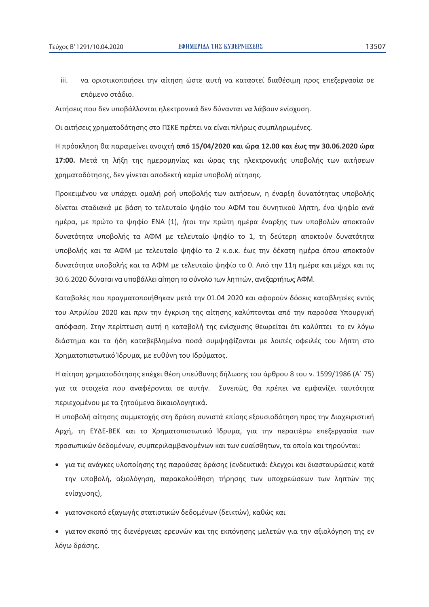iii. να οριστικοποιήσει την αίτηση ώστε αυτή να καταστεί διαθέσιμη προς επεξεργασία σε επόμενο στάδιο.

Αιτήσεις που δεν υποβάλλονται ηλεκτρονικά δεν δύνανται να λάβουν ενίσχυση.

Οι αιτήσεις χρηματοδότησης στο ΠΣΚΕ πρέπει να είναι πλήρως συμπληρωμένες.

Η πρόσκληση θα παραμείνει ανοιχτή από 15/04/2020 και ώρα 12.00 και έως την 30.06.2020 ώρα 17:00. Μετά τη λήξη της ημερομηνίας και ώρας της ηλεκτρονικής υποβολής των αιτήσεων χρηματοδότησης, δεν γίνεται αποδεκτή καμία υποβολή αίτησης.

Προκειμένου να υπάρχει ομαλή ροή υποβολής των αιτήσεων, η έναρξη δυνατότητας υποβολής δίνεται σταδιακά με βάση το τελευταίο ψηφίο του ΑΦΜ του δυνητικού λήπτη, ένα ψηφίο ανά ημέρα, με πρώτο το ψηφίο ΕΝΑ (1), ήτοι την πρώτη ημέρα έναρξης των υποβολών αποκτούν δυνατότητα υποβολής τα ΑΦΜ με τελευταίο ψηφίο το 1, τη δεύτερη αποκτούν δυνατότητα υποβολής και τα ΑΦΜ με τελευταίο ψηφίο το 2 κ.ο.κ. έως την δέκατη ημέρα όπου αποκτούν δυνατότητα υποβολής και τα ΑΦΜ με τελευταίο ψηφίο το 0. Από την 11η ημέρα και μέχρι και τις 30.6.2020 δύναται να υποβάλλει αίτηση το σύνολο των ληπτών, ανεξαρτήτως ΑΦΜ.

Καταβολές που πραγματοποιήθηκαν μετά την 01.04 2020 και αφορούν δόσεις καταβλητέες εντός του Απριλίου 2020 και πριν την έγκριση της αίτησης καλύπτονται από την παρούσα Υπουργική απόφαση. Στην περίπτωση αυτή η καταβολή της ενίσχυσης θεωρείται ότι καλύπτει το εν λόγω διάστημα και τα ήδη καταβεβλημένα ποσά συμψηφίζονται με λοιπές οφειλές του λήπτη στο Χρηματοπιστωτικό Ίδρυμα, με ευθύνη του Ιδρύματος.

Η αίτηση χρηματοδότησης επέχει θέση υπεύθυνης δήλωσης του άρθρου 8 του ν. 1599/1986 (Α' 75) για τα στοιχεία που αναφέρονται σε αυτήν. Συνεπώς, θα πρέπει να εμφανίζει ταυτότητα περιεχομένου με τα ζητούμενα δικαιολογητικά.

Η υποβολή αίτησης συμμετοχής στη δράση συνιστά επίσης εξουσιοδότηση προς την Διαχειριστική Αρχή, τη ΕΥΔΕ-ΒΕΚ και το Χρηματοπιστωτικό Ίδρυμα, για την περαιτέρω επεξεργασία των προσωπικών δεδομένων, συμπεριλαμβανομένων και των ευαίσθητων, τα οποία και τηρούνται:

- για τις ανάγκες υλοποίησης της παρούσας δράσης (ενδεικτικά: έλεγχοι και διασταυρώσεις κατά την υποβολή, αξιολόγηση, παρακολούθηση τήρησης των υποχρεώσεων των ληπτών της ενίσχυσης).
- γιατονσκοπό εξαγωγής στατιστικών δεδομένων (δεικτών), καθώς και

• γιατον σκοπό της διενέργειας ερευνών και της εκπόνησης μελετών για την αξιολόγηση της εν λόγω δράσης.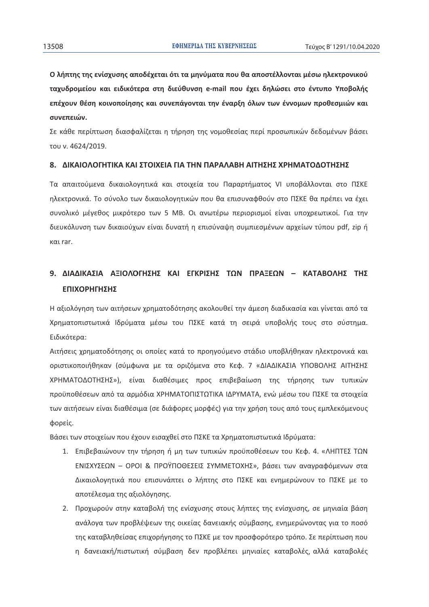Ο λήπτης της ενίσχυσης αποδέχεται ότι τα μηνύματα που θα αποστέλλονται μέσω ηλεκτρονικού ταχυδρομείου και ειδικότερα στη διεύθυνση e-mail που έχει δηλώσει στο έντυπο Υποβολής επέχουν θέση κοινοποίησης και συνεπάγονται την έναρξη όλων των έννομων προθεσμιών και συνεπειών.

Σε κάθε περίπτωση διασφαλίζεται η τήρηση της νομοθεσίας περί προσωπικών δεδομένων βάσει του ν. 4624/2019.

#### Β. ΔΙΚΑΙΟΛΟΓΗΤΙΚΑ ΚΑΙ ΣΤΟΙΧΕΙΑ ΓΙΑ ΤΗΝ ΠΑΡΑΛΑΒΗ ΑΙΤΗΣΗΣ ΧΡΗΜΑΤΟΛΟΤΗΣΗΣ

Τα απαιτούμενα δικαιολογητικά και στοιχεία του Παραρτήματος VI υποβάλλονται στο ΠΣΚΕ ηλεκτρονικά. Το σύνολο των δικαιολογητικών που θα επισυναφθούν στο ΠΣΚΕ θα πρέπει να έχει συνολικό μέγεθος μικρότερο των 5 MB. Οι ανωτέρω περιορισμοί είναι υποχρεωτικοί. Για την διευκόλυνση των δικαιούχων είναι δυνατή η επισύναψη συμπιεσμένων αρχείων τύπου pdf, zip ή και rar.

# 9. ΔΙΑΔΙΚΑΣΙΑ ΑΞΙΟΛΟΓΗΣΗΣ ΚΑΙ ΕΓΚΡΙΣΗΣ ΤΩΝ ΠΡΑΞΕΩΝ - ΚΑΤΑΒΟΛΗΣ ΤΗΣ **ΕΠΙΧΟΡΗΓΗΣΗΣ**

Η αξιολόγηση των αιτήσεων χρηματοδότησης ακολουθεί την άμεση διαδικασία και γίνεται από τα Χρηματοπιστωτικά Ιδρύματα μέσω του ΠΣΚΕ κατά τη σειρά υποβολής τους στο σύστημα. Ειδικότερα:

Αιτήσεις χρηματοδότησης οι οποίες κατά το προηγούμενο στάδιο υποβλήθηκαν ηλεκτρονικά και οριστικοποιήθηκαν (σύμφωνα με τα οριζόμενα στο Κεφ. 7 «ΔΙΑΔΙΚΑΣΙΑ ΥΠΟΒΟΛΗΣ ΑΙΤΗΣΗΣ ΧΡΗΜΑΤΟΔΟΤΗΣΗΣ»), είναι διαθέσιμες προς επιβεβαίωση της τήρησης των τυπικών προϋποθέσεων από τα αρμόδια ΧΡΗΜΑΤΟΠΙΣΤΩΤΙΚΑ ΙΔΡΥΜΑΤΑ, ενώ μέσω του ΠΣΚΕ τα στοιχεία των αιτήσεων είναι διαθέσιμα (σε διάφορες μορφές) για την χρήση τους από τους εμπλεκόμενους φορείς.

Βάσει των στοιχείων που έχουν εισαχθεί στο ΠΣΚΕ τα Χρηματοπιστωτικά Ιδρύματα:

- 1. Επιβεβαιώνουν την τήρηση ή μη των τυπικών προϋποθέσεων του Κεφ. 4. «ΛΗΠΤΕΣ ΤΩΝ ΕΝΙΣΧΥΣΕΩΝ - OPOI & ΠΡΟΫΠΟΘΕΣΕΙΣ ΣΥΜΜΕΤΟΧΗΣ», βάσει των αναγραφόμενων στα Δικαιολογητικά που επισυνάπτει ο λήπτης στο ΠΣΚΕ και ενημερώνουν το ΠΣΚΕ με το αποτέλεσμα της αξιολόγησης.
- 2. Προχωρούν στην καταβολή της ενίσχυσης στους λήπτες της ενίσχυσης, σε μηνιαία βάση ανάλογα των προβλέψεων της οικείας δανειακής σύμβασης, ενημερώνοντας για το ποσό της καταβληθείσας επιχορήγησης το ΠΣΚΕ με τον προσφορότερο τρόπο. Σε περίπτωση που η δανειακή/πιστωτική σύμβαση δεν προβλέπει μηνιαίες καταβολές, αλλά καταβολές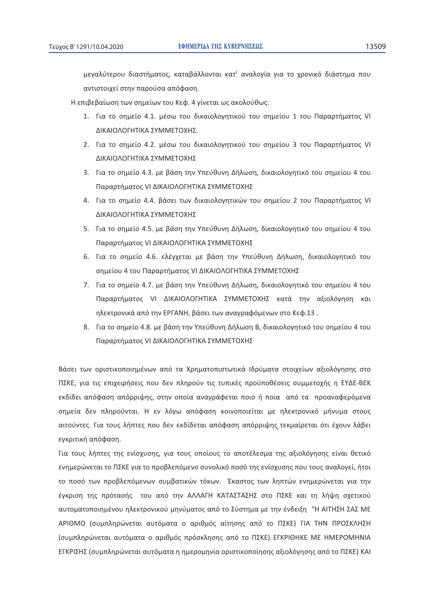μεγαλύτερου διαστήματος, καταβάλλονται κατ' αναλογία για το χρονικό διάστημα που αντιστοιχεί στην παρούσα απόφαση.

Η επιβεβαίωση των σημείων του Κεφ. 4 γίνεται ως ακολούθως:

- 1. Για το σημείο 4.1. μέσω του δικαιολογητικού του σημείου 1 του Παραρτήματος VI ΔΙΚΑΙΟΛΟΓΗΤΙΚΑ ΣΥΜΜΕΤΟΧΗΣ.
- 2. Για το σημείο 4.2. μέσω του δικαιολογητικού του σημείου 3 του Παραρτήματος VI ΔΙΚΑΙΟΛΟΓΗΤΙΚΑ ΣΥΜΜΕΤΟΧΗΣ
- 3. Για το σημείο 4.3. με βάση την Υπεύθυνη Δήλωση, δικαιολογητικό του σημείου 4 του Παραρτήματος VI ΔΙΚΑΙΟΛΟΓΗΤΙΚΑ ΣΥΜΜΕΤΟΧΗΣ
- 4. Για το σημείο 4.4. βάσει των δικαιολογητικών του σημείου 2 του Παραρτήματος VI ΔΙΚΑΙΟΛΟΓΗΤΙΚΑ ΣΥΜΜΕΤΟΧΗΣ
- 5. Για το σημείο 4.5. με βάση την Υπεύθυνη Δήλωση, δικαιολογητικό του σημείου 4 του Παραρτήματος VI ΔΙΚΑΙΟΛΟΓΗΤΙΚΑ ΣΥΜΜΕΤΟΧΗΣ
- 6. Για το σημείο 4.6. ελέγχεται με βάση την Υπεύθυνη Δήλωση, δικαιολογητικό του σημείου 4 του Παραρτήματος VI ΔΙΚΑΙΟΛΟΓΗΤΙΚΑ ΣΥΜΜΕΤΟΧΗΣ
- 7. Για το σημείο 4.7. με βάση την Υπεύθυνη Δήλωση, δικαιολογητικό του σημείου 4 του Παραρτήματος VI ΔΙΚΑΙΟΛΟΓΗΤΙΚΑ ΣΥΜΜΕΤΟΧΗΣ κατά την αξιολόγηση και ηλεκτρονικά από την ΕΡΓΑΝΗ, βάσει των αναγραφόμενων στο Κεφ.13.
- 8. Για το σημείο 4.8. με βάση την Υπεύθυνη Δήλωση Β, δικαιολογητικό του σημείου 4 του Παραρτήματος VI ΔΙΚΑΙΟΛΟΓΗΤΙΚΑ ΣΥΜΜΕΤΟΧΗΣ

Βάσει των οριστικοποιημένων από τα Χρηματοπιστωτικά Ιδρύματα στοιχείων αξιολόγησης στο ΠΣΚΕ, για τις επιχειρήσεις που δεν πληρούν τις τυπικές προϋποθέσεις συμμετοχής η ΕΥΔΕ-ΒΕΚ εκδίδει απόφαση απόρριψης, στην οποία αναγράφεται ποιο ή ποια από τα προαναφερόμενα σημεία δεν πληρούνται. Η εν λόγω απόφαση κοινοποιείται με ηλεκτρονικό μήνυμα στους αιτούντες. Για τους λήπτες που δεν εκδίδεται απόφαση απόρριψης τεκμαίρεται ότι έχουν λάβει εγκριτική απόφαση.

Για τους λήπτες της ενίσχυσης, για τους οποίους το αποτέλεσμα της αξιολόγησης είναι θετικό ενημερώνεται το ΠΣΚΕ για το προβλεπόμενο συνολικό ποσό της ενίσχυσης που τους αναλογεί, ήτοι το ποσό των προβλεπόμενων συμβατικών τόκων. Έκαστος των ληπτών ενημερώνεται για την έγκριση της πρότασής του από την ΑΛΛΑΓΗ ΚΑΤΑΣΤΑΣΗΣ στο ΠΣΚΕ και τη λήψη σχετικού αυτοματοποιημένου ηλεκτρονικού μηνύματος από το Σύστημα με την ένδειξη "Η ΑΙΤΗΣΗ ΣΑΣ ΜΕ ΑΡΙΘΜΟ (συμπληρώνεται αυτόματα ο αριθμός αίτησης από το ΠΣΚΕ) ΓΙΑ ΤΗΝ ΠΡΟΣΚΛΗΣΗ (συμπληρώνεται αυτόματα ο αριθμός πρόσκλησης από το ΠΣΚΕ) ΕΓΚΡΙΘΗΚΕ ΜΕ ΗΜΕΡΟΜΗΝΙΑ ΕΓΚΡΙΣΗΣ (συμπληρώνεται αυτόματα η ημερομηνία οριστικοποίησης αξιολόγησης από το ΠΣΚΕ) ΚΑΙ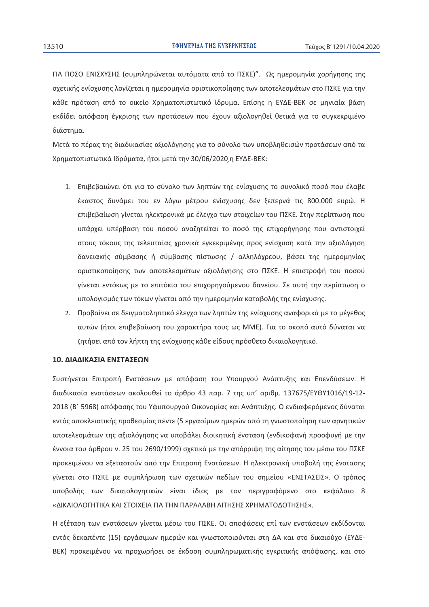ΓΙΑ ΠΟΣΟ ΕΝΙΣΧΥΣΗΣ (συμπληρώνεται αυτόματα από το ΠΣΚΕ)". Ως ημερομηνία χορήγησης της σχετικής ενίσχυσης λογίζεται η ημερομηνία οριστικοποίησης των αποτελεσμάτων στο ΠΣΚΕ για την κάθε πρόταση από το οικείο Χρηματοπιστωτικό ίδρυμα. Επίσης η ΕΥΔΕ-ΒΕΚ σε μηνιαία βάση εκδίδει απόφαση έγκρισης των προτάσεων που έχουν αξιολογηθεί θετικά για το συγκεκριμένο διάστημα.

Μετά το πέρας της διαδικασίας αξιολόγησης για το σύνολο των υποβληθεισών προτάσεων από τα Χρηματοπιστωτικά Ιδρύματα, ήτοι μετά την 30/06/2020 η ΕΥΔΕ-ΒΕΚ:

- 1. Επιβεβαιώνει ότι για το σύνολο των ληπτών της ενίσχυσης το συνολικό ποσό που έλαβε έκαστος δυνάμει του εν λόγω μέτρου ενίσχυσης δεν ξεπερνά τις 800.000 ευρώ. Η επιβεβαίωση γίνεται ηλεκτρονικά με έλεγχο των στοιχείων του ΠΣΚΕ. Στην περίπτωση που υπάρχει υπέρβαση του ποσού αναζητείται το ποσό της επιχορήγησης που αντιστοιχεί στους τόκους της τελευταίας χρονικά εγκεκριμένης προς ενίσχυση κατά την αξιολόγηση δανειακής σύμβασης ή σύμβασης πίστωσης / αλληλόχρεου, βάσει της ημερομηνίας οριστικοποίησης των αποτελεσμάτων αξιολόγησης στο ΠΣΚΕ. Η επιστροφή του ποσού γίνεται εντόκως με το επιτόκιο του επιχορηγούμενου δανείου. Σε αυτή την περίπτωση ο υπολογισμός των τόκων γίνεται από την ημερομηνία καταβολής της ενίσχυσης.
- 2. Προβαίνει σε δειγματοληπτικό έλεγχο των ληπτών της ενίσχυσης αναφορικά με το μέγεθος αυτών (ήτοι επιβεβαίωση του χαρακτήρα τους ως ΜΜΕ). Για το σκοπό αυτό δύναται να ζητήσει από τον λήπτη της ενίσχυσης κάθε είδους πρόσθετο δικαιολογητικό.

#### 10. ΔΙΑΔΙΚΑΣΙΑ ΕΝΣΤΑΣΕΩΝ

Συστήνεται Επιτροπή Ενστάσεων με απόφαση του Υπουργού Ανάπτυξης και Επενδύσεων. Η διαδικασία ενστάσεων ακολουθεί το άρθρο 43 παρ. 7 της υπ' αριθμ. 137675/ΕΥΘΥ1016/19-12-2018 (Β΄ 5968) απόφασης του Υφυπουρνού Οικονομίας και Ανάπτυξης. Ο ενδιαφερόμενος δύναται εντός αποκλειστικής προθεσμίας πέντε (5 εργασίμων ημερών από τη γνωστοποίηση των αρνητικών αποτελεσμάτων της αξιολόγησης να υποβάλει διοικητική ένσταση (ενδικοφανή προσφυγή με την έννοια του άρθρου ν. 25 του 2690/1999) σχετικά με την απόρριψη της αίτησης του μέσω του ΠΣΚΕ προκειμένου να εξεταστούν από την Επιτροπή Ενστάσεων. Η ηλεκτρονική υποβολή της ένστασης γίνεται στο ΠΣΚΕ με συμπλήρωση των σχετικών πεδίων του σημείου «ΕΝΣΤΑΣΕΙΣ». Ο τρόπος υποβολής των δικαιολογητικών είναι ίδιος με τον περιγραφόμενο στο κεφάλαιο 8 «ΔΙΚΑΙΟΛΟΓΗΤΙΚΑ ΚΑΙ ΣΤΟΙΧΕΙΑ ΓΙΑ ΤΗΝ ΠΑΡΑΛΑΒΗ ΑΙΤΗΣΗΣ ΧΡΗΜΑΤΟΔΟΤΗΣΗΣ».

Η εξέταση των ενστάσεων γίνεται μέσω του ΠΣΚΕ. Οι αποφάσεις επί των ενστάσεων εκδίδονται εντός δεκαπέντε (15) εργάσιμων ημερών και γνωστοποιούνται στη ΔΑ και στο δικαιούχο (ΕΥΔΕ-BEK) προκειμένου να προχωρήσει σε έκδοση συμπληρωματικής εγκριτικής απόφασης, και στο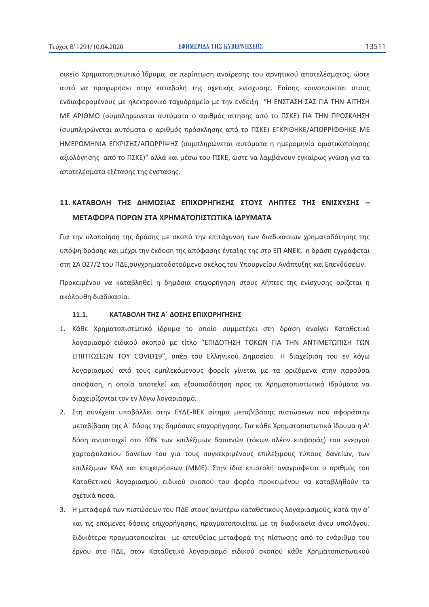οικείο Χρηματοπιστωτικό Ίδρυμα, σε περίπτωση αναίρεσης του αρνητικού αποτελέσματος, ώστε αυτό να προχωρήσει στην καταβολή της σχετικής ενίσχυσης. Επίσης κοινοποιείται στους ενδιαφερομένους με ηλεκτρονικό ταχυδρομείο με την ένδειξη "Η ΕΝΣΤΑΣΗ ΣΑΣ ΓΙΑ ΤΗΝ ΑΙΤΗΣΗ ΜΕ ΑΡΙΘΜΟ (συμπληρώνεται αυτόματα ο αριθμός αίτησης από το ΠΣΚΕ) ΓΙΑ ΤΗΝ ΠΡΟΣΚΛΗΣΗ (συμπληρώνεται αυτόματα ο αριθμός πρόσκλησης από το ΠΣΚΕ) ΕΓΚΡΙΘΗΚΕ/ΑΠΟΡΡΙΦΘΗΚΕ ΜΕ ΗΜΕΡΟΜΗΝΙΑ ΕΓΚΡΙΣΗΣ/ΑΠΟΡΡΙΨΗΣ (συμπληρώνεται αυτόματα η ημερομηνία οριστικοποίησης αξιολόγησης από το ΠΣΚΕ)" αλλά και μέσω του ΠΣΚΕ, ώστε να λαμβάνουν εγκαίρως γνώση για τα αποτελέσματα εξέτασης της ένστασης.

# 11. ΚΑΤΑΒΟΛΗ ΤΗΣ ΛΗΜΟΣΙΑΣ ΕΠΙΧΟΡΗΓΗΣΗΣ ΣΤΟΥΣ ΛΗΠΤΕΣ ΤΗΣ ΕΝΙΣΧΥΣΗΣ -ΜΕΤΑΦΟΡΑ ΠΟΡΩΝ ΣΤΑ ΧΡΗΜΑΤΟΠΙΣΤΩΤΙΚΑ ΙΔΡΥΜΑΤΑ

Για την υλοποίηση της δράσης με σκοπό την επιτάχυνση των διαδικασιών χρηματοδότησης της υπόψη δράσης και μέχρι την έκδοση της απόφασης ένταξης της στο ΕΠ ΑΝΕΚ, η δράση εννράφεται στη ΣΑ 027/2 του ΠΔΕ,συγχρηματοδοτούμενο σκέλος,του Υπουργείου Ανάπτυξης και Επενδύσεων.

Προκειμένου να καταβληθεί η δημόσια επιχορήγηση στους λήπτες της ενίσχυσης ορίζεται η ακόλουθη διαδικασία:

#### ΚΑΤΑΒΟΛΗ ΤΗΣ Α΄ ΔΟΣΗΣ ΕΠΙΧΟΡΗΓΗΣΗΣ  $11.1.$

- 1. Κάθε Χρηματοπιστωτικό ίδρυμα το οποίο συμμετέχει στη δράση ανοίγει Καταθετικό λογαριασμό ειδικού σκοπού με τίτλο "ΕΠΙΔΟΤΗΣΗ ΤΟΚΩΝ ΓΙΑ ΤΗΝ ΑΝΤΙΜΕΤΩΠΙΣΗ ΤΩΝ ΕΠΙΠΤΩΣΕΩΝ ΤΟΥ COVID19", υπέρ του Ελληνικού Δημοσίου. Η διαχείριση του εν λόγω λογαριασμού από τους εμπλεκόμενους φορείς γίνεται με τα οριζόμενα στην παρούσα απόφαση, η οποία αποτελεί και εξουσιοδότηση προς τα Χρηματοπιστωτικά Ιδρύματα να διαχειρίζονται τον εν λόγω λογαριασμό.
- 2. Στη συνέχεια υποβάλλει στην ΕΥΔΕ-ΒΕΚ αίτημα μεταβίβασης πιστώσεων που αφοράστην μεταβίβαση της Α΄ δόσης της δημόσιας επιχορήγησης. Για κάθε Χρηματοπιστωτικό Ίδρυμα η Α' δόση αντιστοιχεί στο 40% των επιλέξιμων δαπανών (τόκων πλέον εισφοράς) του ενεργού χαρτοφυλακίου δανείων του για τους συγκεκριμένους επιλέξιμους τύπους δανείων, των επιλέξιμων ΚΑΔ και επιχειρήσεων (ΜΜΕ). Στην ίδια επιστολή αναγράφεται ο αριθμός του Καταθετικού λογαριασμού ειδικού σκοπού του φορέα προκειμένου να καταβληθούν τα σχετικά ποσά.
- 3. Η μεταφορά των πιστώσεων του ΠΔΕ στους ανωτέρω καταθετικούς λοναριασμούς, κατά την α΄ και τις επόμενες δόσεις επιχορήγησης, πραγματοποιείται με τη διαδικασία άνευ υπολόγου. Ειδικότερα πραγματοποιείται με απευθείας μεταφορά της πίστωσης από το ενάριθμο του έργου στο ΠΔΕ, στον Καταθετικό λογαριασμό ειδικού σκοπού κάθε Χρηματοπιστωτικού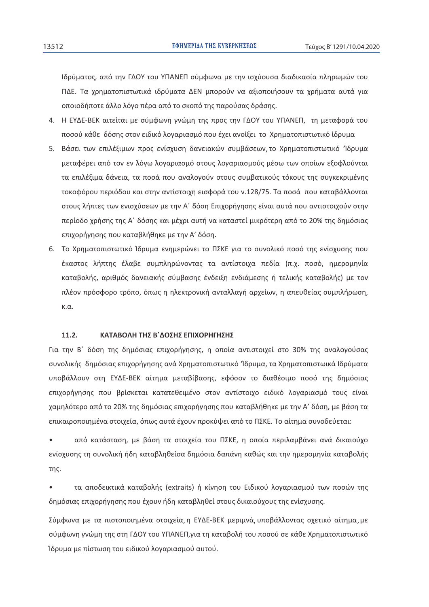Ιδρύματος, από την ΓΔΟΥ του ΥΠΑΝΕΠ σύμφωνα με την ισχύουσα διαδικασία πληρωμών του ΠΔΕ. Τα χρηματοπιστωτικά ιδρύματα ΔΕΝ μπορούν να αξιοποιήσουν τα χρήματα αυτά για οποιοδήποτε άλλο λόγο πέρα από το σκοπό της παρούσας δράσης.

- 4. Η ΕΥΔΕ-ΒΕΚ αιτείται με σύμφωνη γνώμη της προς την ΓΔΟΥ του ΥΠΑΝΕΠ, τη μεταφορά του ποσού κάθε δόσης στον ειδικό λογαριασμό που έχει ανοίξει το Χρηματοπιστωτικό ίδρυμα
- 5. Βάσει των επιλέξιμων προς ενίσχυση δανειακών συμβάσεων το Χρηματοπιστωτικό Ίδρυμα μεταφέρει από τον εν λόγω λογαριασμό στους λογαριασμούς μέσω των οποίων εξοφλούνται τα επιλέξιμα δάνεια, τα ποσά που αναλογούν στους συμβατικούς τόκους της συγκεκριμένης τοκοφόρου περιόδου και στην αντίστοιχη εισφορά του ν.128/75. Τα ποσά που καταβάλλονται στους λήπτες των ενισχύσεων με την Α΄ δόση Επιχορήγησης είναι αυτά που αντιστοιχούν στην περίοδο χρήσης της Α΄ δόσης και μέχρι αυτή να καταστεί μικρότερη από το 20% της δημόσιας επιχορήγησης που καταβλήθηκε με την Α' δόση.
- 6. Το Χρηματοπιστωτικό Ίδρυμα ενημερώνει το ΠΣΚΕ για το συνολικό ποσό της ενίσχυσης που έκαστος λήπτης έλαβε συμπληρώνοντας τα αντίστοιχα πεδία (π.χ. ποσό, ημερομηνία καταβολής, αριθμός δανειακής σύμβασης ένδειξη ενδιάμεσης ή τελικής καταβολής) με τον πλέον πρόσφορο τρόπο, όπως η ηλεκτρονική ανταλλαγή αρχείων, η απευθείας συμπλήρωση,  $K.\alpha$ .

#### $11.2.$ ΚΑΤΑΒΟΛΗ ΤΗΣ Β'ΔΟΣΗΣ ΕΠΙΧΟΡΗΓΗΣΗΣ

Για την Β΄ δόση της δημόσιας επιχορήγησης, η οποία αντιστοιχεί στο 30% της αναλογούσας συνολικής δημόσιας επιχορήγησης ανά Χρηματοπιστωτικό Ίδρυμα, τα Χρηματοπιστωικά Ιδρύματα υποβάλλουν στη ΕΥΔΕ-ΒΕΚ αίτημα μεταβίβασης, εφόσον το διαθέσιμο ποσό της δημόσιας επιχορήγησης που βρίσκεται κατατεθειμένο στον αντίστοιχο ειδικό λογαριασμό τους είναι χαμηλότερο από το 20% της δημόσιας επιχορήγησης που καταβλήθηκε με την Α' δόση, με βάση τα επικαιροποιημένα στοιχεία, όπως αυτά έχουν προκύψει από το ΠΣΚΕ. Το αίτημα συνοδεύεται:

από κατάσταση, με βάση τα στοιχεία του ΠΣΚΕ, η οποία περιλαμβάνει ανά δικαιούχο ενίσχυσης τη συνολική ήδη καταβληθείσα δημόσια δαπάνη καθώς και την ημερομηνία καταβολής της.

τα αποδεικτικά καταβολής (extraits) ή κίνηση του Ειδικού λογαριασμού των ποσών της δημόσιας επιχορήνησης που έχουν ήδη καταβληθεί στους δικαιούχους της ενίσχυσης.

Σύμφωνα με τα πιστοποιημένα στοιχεία, η ΕΥΔΕ-ΒΕΚ μεριμνά, υποβάλλοντας σχετικό αίτημα, με σύμφωνη γνώμη της στη ΓΔΟΥ του ΥΠΑΝΕΠ,για τη καταβολή του ποσού σε κάθε Χρηματοπιστωτικό Ίδρυμα με πίστωση του ειδικού λογαριασμού αυτού.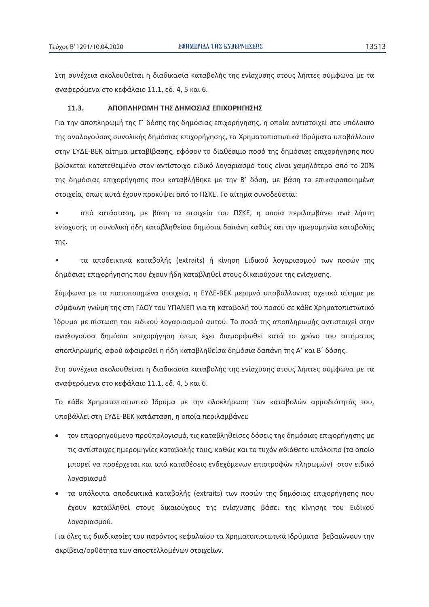Στη συνέχεια ακολουθείται η διαδικασία καταβολής της ενίσχυσης στους λήπτες σύμφωνα με τα αναφερόμενα στο κεφάλαιο 11.1, εδ. 4, 5 και 6.

#### $11.3.$ ΑΠΟΠΛΗΡΩΜΗ ΤΗΣ ΔΗΜΟΣΙΑΣ ΕΠΙΧΟΡΗΓΗΣΗΣ

Για την αποπληρωμή της Γ΄ δόσης της δημόσιας επιχορήγησης, η οποία αντιστοιχεί στο υπόλοιπο της αναλογούσας συνολικής δημόσιας επιχορήγησης, τα Χρηματοπιστωτικά Ιδρύματα υποβάλλουν στην ΕΥΔΕ-ΒΕΚ αίτημα μεταβίβασης, εφόσον το διαθέσιμο ποσό της δημόσιας επιχορήγησης που βρίσκεται κατατεθειμένο στον αντίστοιχο ειδικό λογαριασμό τους είναι χαμηλότερο από το 20% της δημόσιας επιχορήγησης που καταβλήθηκε με την Β' δόση, με βάση τα επικαιροποιημένα στοιχεία, όπως αυτά έχουν προκύψει από το ΠΣΚΕ. Το αίτημα συνοδεύεται:

από κατάσταση, με βάση τα στοιχεία του ΠΣΚΕ, η οποία περιλαμβάνει ανά λήπτη ενίσχυσης τη συνολική ήδη καταβληθείσα δημόσια δαπάνη καθώς και την ημερομηνία καταβολής της.

τα αποδεικτικά καταβολής (extraits) ή κίνηση Ειδικού λογαριασμού των ποσών της δημόσιας επιχορήγησης που έχουν ήδη καταβληθεί στους δικαιούχους της ενίσχυσης.

Σύμφωνα με τα πιστοποιημένα στοιχεία, η ΕΥΔΕ-ΒΕΚ μεριμνά υποβάλλοντας σχετικό αίτημα με σύμφωνη γνώμη της στη ΓΔΟΥ του ΥΠΑΝΕΠ για τη καταβολή του ποσού σε κάθε Χρηματοπιστωτικό Ίδρυμα με πίστωση του ειδικού λογαριασμού αυτού. Το ποσό της αποπληρωμής αντιστοιχεί στην αναλογούσα δημόσια επιχορήγηση όπως έχει διαμορφωθεί κατά το χρόνο του αιτήματος αποπληρωμής, αφού αφαιρεθεί η ήδη καταβληθείσα δημόσια δαπάνη της Α΄ και Β΄ δόσης.

Στη συνέχεια ακολουθείται η διαδικασία καταβολής της ενίσχυσης στους λήπτες σύμφωνα με τα αναφερόμενα στο κεφάλαιο 11.1, εδ. 4, 5 και 6.

Το κάθε Χρηματοπιστωτικό Ίδρυμα με την ολοκλήρωση των καταβολών αρμοδιότητάς του, υποβάλλει στη ΕΥΔΕ-ΒΕΚ κατάσταση, η οποία περιλαμβάνει:

- τον επιχορηγούμενο προϋπολογισμό, τις καταβληθείσες δόσεις της δημόσιας επιχορήγησης με τις αντίστοιχες ημερομηνίες καταβολής τους, καθώς και το τυχόν αδιάθετο υπόλοιπο (τα οποίο μπορεί να προέρχεται και από καταθέσεις ενδεχόμενων επιστροφών πληρωμών) στον ειδικό λογαριασμό
- τα υπόλοιπα αποδεικτικά καταβολής (extraits) των ποσών της δημόσιας επιχορήγησης που έχουν καταβληθεί στους δικαιούχους της ενίσχυσης βάσει της κίνησης του Ειδικού λογαριασμού.

Για όλες τις διαδικασίες του παρόντος κεφαλαίου τα Χρηματοπιστωτικά Ιδρύματα βεβαιώνουν την ακρίβεια/ορθότητα των αποστελλομένων στοιχείων.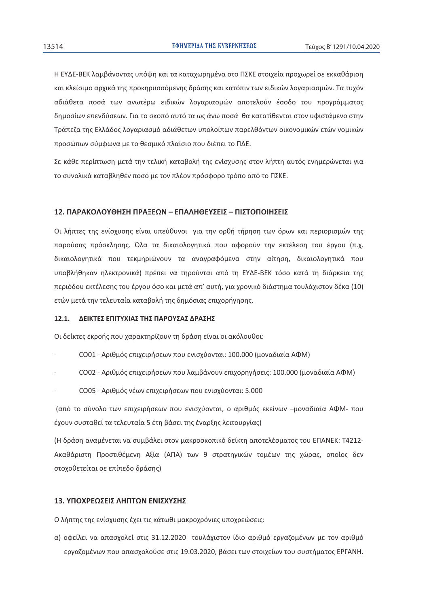Η ΕΥΔΕ-ΒΕΚ λαμβάνοντας υπόψη και τα καταχωρημένα στο ΠΣΚΕ στοιχεία προχωρεί σε εκκαθάριση και κλείσιμο αρχικά της προκηρυσσόμενης δράσης και κατόπιν των ειδικών λογαριασμών. Τα τυχόν αδιάθετα ποσά των ανωτέρω ειδικών λογαριασμών αποτελούν έσοδο του προγράμματος δημοσίων επενδύσεων. Για το σκοπό αυτό τα ως άνω ποσά θα κατατίθενται στον υφιστάμενο στην Τράπεζα της Ελλάδος λογαριασμό αδιάθετων υπολοίπων παρελθόντων οικονομικών ετών νομικών προσώπων σύμφωνα με το θεσμικό πλαίσιο που διέπει το ΠΔΕ.

Σε κάθε περίπτωση μετά την τελική καταβολή της ενίσχυσης στον λήπτη αυτός ενημερώνεται για το συνολικά καταβληθέν ποσό με τον πλέον πρόσφορο τρόπο από το ΠΣΚΕ.

#### 12. ΠΑΡΑΚΟΛΟΥΘΗΣΗ ΠΡΑΞΕΩΝ – ΕΠΑΛΗΘΕΥΣΕΙΣ – ΠΙΣΤΟΠΟΙΗΣΕΙΣ

Οι λήπτες της ενίσχυσης είναι υπεύθυνοι για την ορθή τήρηση των όρων και περιορισμών της παρούσας πρόσκλησης. Όλα τα δικαιολογητικά που αφορούν την εκτέλεση του έργου (π.χ. δικαιολογητικά που τεκμηριώνουν τα αναγραφόμενα στην αίτηση, δικαιολογητικά που υποβλήθηκαν ηλεκτρονικά) πρέπει να τηρούνται από τη ΕΥΔΕ-ΒΕΚ τόσο κατά τη διάρκεια της περιόδου εκτέλεσης του έργου όσο και μετά απ' αυτή, για χρονικό διάστημα τουλάχιστον δέκα (10) ετών μετά την τελευταία καταβολή της δημόσιας επιχορήγησης.

#### 12.1. ΔΕΙΚΤΕΣ ΕΠΙΤΥΧΙΑΣ ΤΗΣ ΠΑΡΟΥΣΑΣ ΔΡΑΣΗΣ

Οι δείκτες εκροής που χαρακτηρίζουν τη δράση είναι οι ακόλουθοι:

- CO01 Αριθμός επιχειρήσεων που ενισχύονται: 100.000 (μοναδιαία ΑΦΜ)
- CO02 3! ( 6 ( ?\$ ( 6 #" !: 100.000 ( JC)
- CO05 3! % ( 6 ( 65 : 5.000

(από το σύνολο των επιχειρήσεων που ενισχύονται, ο αριθμός εκείνων –μοναδιαία ΑΦΜ- που έχουν συσταθεί τα τελευταία 5 έτη βάσει της έναρξης λειτουργίας)

(Η δράση αναμένεται να συμβάλει στον μακροσκοπικό δείκτη αποτελέσματος του ΕΠΑΝΕΚ: T4212-Ακαθάριστη Προστιθέμενη Αξία (ΑΠΑ) των 9 στρατηγικών τομέων της χώρας, οποίος δεν στοχοθετείται σε επίπεδο δράσης)

### **13. ΥΠΟΧΡΕΟΣΕΙΣ ΛΗΠΤΟΝ ΕΝΙΣΧΥΣΗΣ**

Ο λήπτης της ενίσχυσης έχει τις κάτωθι μακροχρόνιες υποχρεώσεις:

α) οφείλει να απασχολεί στις 31.12.2020 τουλάχιστον ίδιο αριθμό εργαζομένων με τον αριθμό εργαζομένων που απασχολούσε στις 19.03.2020, βάσει των στοιχείων του συστήματος ΕΡΓΑΝΗ.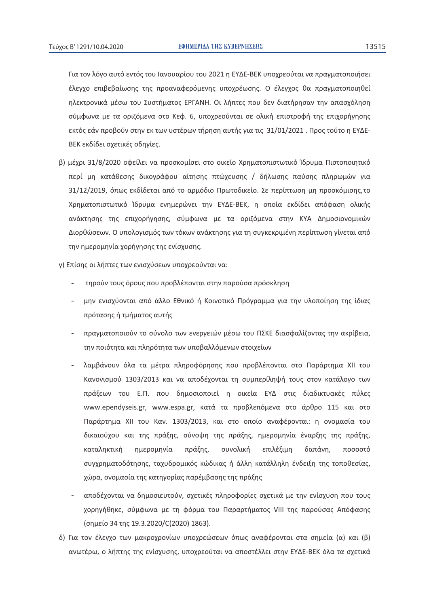Για τον λόγο αυτό εντός του Ιανουαρίου του 2021 η ΕΥΔΕ-ΒΕΚ υποχρεούται να πραγματοποιήσει έλεγχο επιβεβαίωσης της προαναφερόμενης υποχρέωσης. Ο έλεγχος θα πραγματοποιηθεί ηλεκτρονικά μέσω του Συστήματος ΕΡΓΑΝΗ. Οι λήπτες που δεν διατήρησαν την απασχόληση σύμφωνα με τα οριζόμενα στο Κεφ. 6, υποχρεούνται σε ολική επιστροφή της επιχορήγησης εκτός εάν προβούν στην εκ των υστέρων τήρηση αυτής για τις 31/01/2021 . Προς τούτο η ΕΥΔΕ-ΒΕΚ εκδίδει σχετικές οδηγίες.

- β) μέχρι 31/8/2020 οφείλει να προσκομίσει στο οικείο Χρηματοπιστωτικό Ίδρυμα Πιστοποιητικό περί μη κατάθεσης δικογράφου αίτησης πτώχευσης / δήλωσης παύσης πληρωμών για 31/12/2019, όπως εκδίδεται από το αρμόδιο Πρωτοδικείο. Σε περίπτωση μη προσκόμισης,το Χρηματοπιστωτικό Ίδρυμα ενημερώνει την ΕΥΔΕ-ΒΕΚ, η οποία εκδίδει απόφαση ολικής ανάκτησης της επιχορήγησης, σύμφωνα με τα οριζόμενα στην ΚΥΑ Δημοσιονομικών Διορθώσεων. Ο υπολογισμός των τόκων ανάκτησης για τη συγκεκριμένη περίπτωση γίνεται από την ημερομηνία χορήγησης της ενίσχυσης.
- γ) Επίσης οι λήπτες των ενισχύσεων υποχρεούνται να:
	- τηρούν τους όρους που προβλέπονται στην παρούσα πρόσκληση
	- μην ενισχύονται από άλλο Εθνικό ή Κοινοτικό Πρόγραμμα για την υλοποίηση της ίδιας πρότασης ή τμήματος αυτής
	- πραγματοποιούν το σύνολο των ενεργειών μέσω του ΠΣΚΕ διασφαλίζοντας την ακρίβεια, την ποιότητα και πληρότητα των υποβαλλόμενων στοιχείων
	- λαμβάνουν όλα τα μέτρα πληροφόρησης που προβλέπονται στο Παράρτημα XII του Κανονισμού 1303/2013 και να αποδέχονται τη συμπερίληψή τους στον κατάλογο των πράξεων του Ε.Π. που δημοσιοποιεί η οικεία ΕΥΔ στις διαδικτυακές πύλες www.ependyseis.gr, www.espa.gr, κατά τα προβλεπόμενα στο άρθρο 115 και στο Παράρτημα XII του Καν. 1303/2013, και στο οποίο αναφέρονται: η ονομασία του δικαιούχου και της πράξης, σύνοψη της πράξης, ημερομηνία έναρξης της πράξης, καταληκτική ημερομηνία πράξης, συνολική επιλέξιμη δαπάνη, ποσοστό συγχρηματοδότησης, ταχυδρομικός κώδικας ή άλλη κατάλληλη ένδειξη της τοποθεσίας, χώρα, ονομασία της κατηγορίας παρέμβασης της πράξης
	- αποδέχονται να δημοσιευτούν, σχετικές πληροφορίες σχετικά με την ενίσχυση που τους χορηγήθηκε, σύμφωνα με τη φόρμα του Παραρτήματος VIII της παρούσας Απόφασης (σημείο 34 της 19.3.2020/C(2020) 1863).
- δ) Για τον έλεγχο των μακροχρονίων υποχρεώσεων όπως αναφέρονται στα σημεία (α) και (β) ανωτέρω, ο λήπτης της ενίσχυσης, υποχρεούται να αποστέλλει στην ΕΥΔΕ-ΒΕΚ όλα τα σχετικά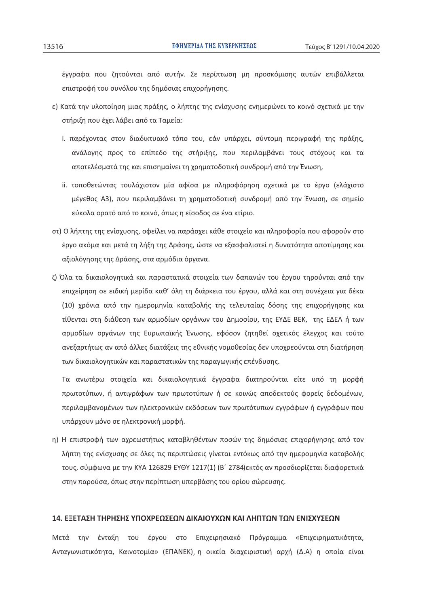έγγραφα που ζητούνται από αυτήν. Σε περίπτωση μη προσκόμισης αυτών επιβάλλεται επιστροφή του συνόλου της δημόσιας επιχορήγησης.

- ε) Κατά την υλοποίηση μιας πράξης, ο λήπτης της ενίσχυσης ενημερώνει το κοινό σχετικά με την στήριξη που έχει λάβει από τα Ταμεία:
	- i. παρέχοντας στον διαδικτυακό τόπο του, εάν υπάρχει, σύντομη περιγραφή της πράξης, ανάλογης προς το επίπεδο της στήριξης, που περιλαμβάνει τους στόχους και τα αποτελέσματά της και επισημαίνει τη χρηματοδοτική συνδρομή από την Ένωση,
	- ii. τοποθετώντας τουλάχιστον μία αφίσα με πληροφόρηση σχετικά με το έργο (ελάχιστο μέγεθος Α3), που περιλαμβάνει τη χρηματοδοτική συνδρομή από την Ένωση, σε σημείο εύκολα ορατό από το κοινό, όπως η είσοδος σε ένα κτίριο.
- στ) Ο λήπτης της ενίσχυσης, οφείλει να παράσχει κάθε στοιχείο και πληροφορία που αφορούν στο έργο ακόμα και μετά τη λήξη της Δράσης, ώστε να εξασφαλιστεί η δυνατότητα αποτίμησης και αξιολόγησης της Δράσης, στα αρμόδια όργανα.
- ζ) Όλα τα δικαιολογητικά και παραστατικά στοιχεία των δαπανών του έργου τηρούνται από την επιχείρηση σε ειδική μερίδα καθ' όλη τη διάρκεια του έργου, αλλά και στη συνέχεια για δέκα (10) χρόνια από την ημερομηνία καταβολής της τελευταίας δόσης της επιχορήγησης και τίθενται στη διάθεση των αρμοδίων οργάνων του Δημοσίου, της ΕΥΔΕ ΒΕΚ, της ΕΔΕΛ ή των αρμοδίων οργάνων της Ευρωπαϊκής Ένωσης, εφόσον ζητηθεί σχετικός έλεγχος και τούτο ανεξαρτήτως αν από άλλες διατάξεις της εθνικής νομοθεσίας δεν υποχρεούνται στη διατήρηση των δικαιολογητικών και παραστατικών της παραγωγικής επένδυσης.

Τα ανωτέρω στοιχεία και δικαιολογητικά έγγραφα διατηρούνται είτε υπό τη μορφή πρωτοτύπων, ή αντιγράφων των πρωτοτύπων ή σε κοινώς αποδεκτούς φορείς δεδομένων, περιλαμβανομένων των ηλεκτρονικών εκδόσεων των πρωτότυπων εγγράφων ή εγγράφων που υπάρχουν μόνο σε ηλεκτρονική μορφή.

η) Η επιστροφή των αχρεωστήτως καταβληθέντων ποσών της δημόσιας επιχορήγησης από τον λήπτη της ενίσχυσης σε όλες τις περιπτώσεις γίνεται εντόκως από την ημερομηνία καταβολής τους, σύμφωνα με την ΚΥΑ 126829 ΕΥΘΥ 1217(1) (Β΄ 2784)εκτός αν προσδιορίζεται διαφορετικά στην παρούσα, όπως στην περίπτωση υπερβάσης του ορίου σώρευσης.

#### 14. ΕΞΕΤΑΣΗ ΤΗΡΗΣΗΣ ΥΠΟΧΡΕΟΣΕΟΝ ΛΙΚΑΙΟΥΧΟΝ ΚΑΙ ΛΗΠΤΟΝ ΤΟΝ ΕΝΙΣΧΥΣΕΟΝ

Μετά την ένταξη του έργου στο Επιχειρησιακό Πρόγραμμα «Επιχειρηματικότητα, Ανταγωνιστικότητα, Καινοτομία» (ΕΠΑΝΕΚ), η οικεία διαχειριστική αρχή (Δ.Α) η οποία είναι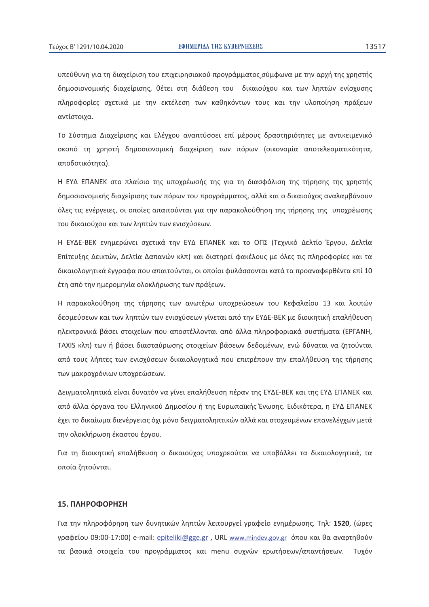υπεύθυνη για τη διαχείριση του επιχειρησιακού προγράμματος,σύμφωνα με την αρχή της χρηστής δημοσιονομικής διαχείρισης, θέτει στη διάθεση του δικαιούχου και των ληπτών ενίσχυσης πληροφορίες σχετικά με την εκτέλεση των καθηκόντων τους και την υλοποίηση πράξεων αντίστοιχα.

Το Σύστημα Διαχείρισης και Ελέγχου αναπτύσσει επί μέρους δραστηριότητες με αντικειμενικό σκοπό τη χρηστή δημοσιονομική διαχείριση των πόρων (οικονομία αποτελεσματικότητα, αποδοτικότητα).

Η ΕΥΔ ΕΠΑΝΕΚ στο πλαίσιο της υποχρέωσής της για τη διασφάλιση της τήρησης της χρηστής δημοσιονομικής διαχείρισης των πόρων του προγράμματος, αλλά και ο δικαιούχος αναλαμβάνουν όλες τις ενέργειες, οι οποίες απαιτούνται για την παρακολούθηση της τήρησης της υποχρέωσης του δικαιούχου και των ληπτών των ενισχύσεων.

Η ΕΥΔΕ-ΒΕΚ ενημερώνει σχετικά την ΕΥΔ ΕΠΑΝΕΚ και το ΟΠΣ (Τεχνικό Δελτίο Έργου, Δελτία Επίτευξης Δεικτών, Δελτία Δαπανών κλπ) και διατηρεί φακέλους με όλες τις πληροφορίες και τα δικαιολογητικά έγγραφα που απαιτούνται, οι οποίοι φυλάσσονται κατά τα προαναφερθέντα επί 10 έτη από την ημερομηνία ολοκλήρωσης των πράξεων.

Η παρακολούθηση της τήρησης των ανωτέρω υποχρεώσεων του Κεφαλαίου 13 και λοιπών δεσμεύσεων και των ληπτών των ενισχύσεων γίνεται από την ΕΥΔΕ-ΒΕΚ με διοικητική επαλήθευση ηλεκτρονικά βάσει στοιχείων που αποστέλλονται από άλλα πληροφοριακά συστήματα (ΕΡΓΑΝΗ, TAXIS κλπ) των ή βάσει διασταύρωσης στοιχείων βάσεων δεδομένων, ενώ δύναται να ζητούνται από τους λήπτες των ενισχύσεων δικαιολογητικά που επιτρέπουν την επαλήθευση της τήρησης των μακροχρόνιων υποχρεώσεων.

Δειγματοληπτικά είναι δυνατόν να γίνει επαλήθευση πέραν της ΕΥΔΕ-ΒΕΚ και της ΕΥΔ ΕΠΑΝΕΚ και από άλλα όργανα του Ελληνικού Δημοσίου ή της Ευρωπαϊκής Ένωσης. Ειδικότερα, η ΕΥΔ ΕΠΑΝΕΚ έχει το δικαίωμα διενέργειας όχι μόνο δειγματοληπτικών αλλά και στοχευμένων επανελέγχων μετά την ολοκλήρωση έκαστου έργου.

Για τη διοικητική επαλήθευση ο δικαιούχος υποχρεούται να υποβάλλει τα δικαιολογητικά, τα οποία ζητούνται.

### 15. ΠΛΗΡΟΦΟΡΗΣΗ

Για την πληροφόρηση των δυνητικών ληπτών λειτουργεί γραφείο ενημέρωσης, Τηλ: **1520**, (ώρες γραφείου 09:00-17:00) e-mail: <u>epiteliki@gge.gr</u> , URL <u>www.mindev.gov.gr</u> όπου και θα αναρτηθούν τα βασικά στοιχεία του προγράμματος και menu συχνών ερωτήσεων/απαντήσεων. Τυχόν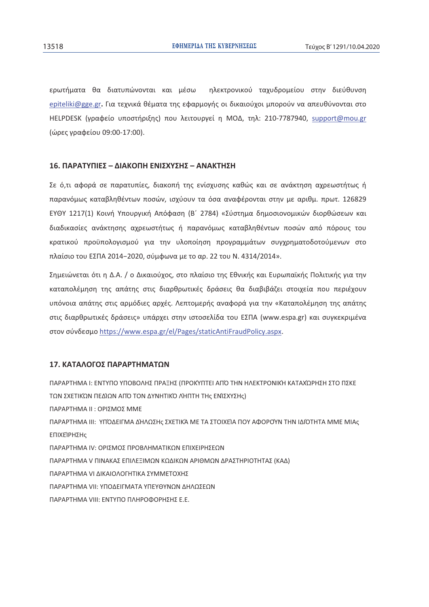ερωτήματα θα διατυπώνονται και μέσω ηλεκτρονικού ταχυδρομείου στην διεύθυνση epiteliki@gge.gr. Για τεχνικά θέματα της εφαρμογής οι δικαιούχοι μπορούν να απευθύνονται στο HELPDESK (γραφείο υποστήριξης) που λειτουργεί η ΜΟΔ, τηλ: 210-7787940, support@mou.gr (ώρες γραφείου 09:00-17:00).

#### 16. ΠΑΡΑΤΥΠΙΕΣ – ΔΙΑΚΟΠΗ ΕΝΙΣΧΥΣΗΣ – ΑΝΑΚΤΗΣΗ

Σε ό,τι αφορά σε παρατυπίες, διακοπή της ενίσχυσης καθώς και σε ανάκτηση αχρεωστήτως ή παρανόμως καταβληθέντων ποσών, ισχύουν τα όσα αναφέρονται στην με αριθμ. πρωτ. 126829 EYΘY 1217(1) Κοινή Υπουργική Απόφαση (Β' 2784) «Σύστημα δημοσιονομικών διορθώσεων και διαδικασίες ανάκτησης αχρεωστήτως ή παρανόμως καταβληθέντων ποσών από πόρους του κρατικού προϋπολογισμού για την υλοποίηση προγραμμάτων συγχρηματοδοτούμενων στο πλαίσιο του ΕΣΠΑ 2014-2020, σύμφωνα με το αρ. 22 του Ν. 4314/2014».

Σημειώνεται ότι η Δ.Α. / ο Δικαιούχος, στο πλαίσιο της Εθνικής και Ευρωπαϊκής Πολιτικής για την καταπολέμηση της απάτης στις διαρθρωτικές δράσεις θα διαβιβάζει στοιχεία που περιέχουν υπόνοια απάτης στις αρμόδιες αρχές. Λεπτομερής αναφορά για την «Καταπολέμηση της απάτης στις διαρθρωτικές δράσεις» υπάρχει στην ιστοσελίδα του ΕΣΠΑ (www.espa.gr) και συγκεκριμένα στον σύνδεσμο https://www.espa.gr/el/Pages/staticAntiFraudPolicy.aspx.

#### 17. ΚΑΤΑΛΟΓΟΣ ΠΑΡΑΡΤΗΜΑΤΩΝ

ΠΑΡΑΡΤΗΜΑ Ι: ΕΝΤΥΠΟ ΥΠΟΒΟΛΗΣ ΠΡΑΞΗΣ (ΠΡΟΚΥΠΤΕΙ ΑΠΌ ΤΗΝ ΗΛΕΚΤΡΟΝΙΚΉ ΚΑΤΑΧΏΡΗΣΗ ΣΤΟ ΠΣΚΕ ΤΩΝ ΣΧΕΤΙΚΏΝ ΠΕΔΊΩΝ ΑΠΌ ΤΟΝ ΔΥΝΗΤΙΚΌ ΛΉΠΤΗ ΤΗς ΕΝΊΣΧΥΣΗς) ΠΑΡΑΡΤΗΜΑ ΙΙ: ΟΡΙΣΜΟΣ ΜΜΕ ΠΑΡΑΡΤΗΜΑ ΙΙΙ: ΥΠΌΔΕΙΓΜΑ ΔΉΛΩΣΗς ΣΧΕΤΙΚΆ ΜΕ ΤΑ ΣΤΟΙΧΕΊΑ ΠΟΥ ΑΦΟΡΟΎΝ ΤΗΝ ΙΔΙΌΤΗΤΑ ΜΜΕ ΜΙΑς ΕΠΙΧΕΊΡΗΣΗς ΠΑΡΑΡΤΗΜΑ ΙΥ: ΟΡΙΣΜΟΣ ΠΡΟΒΛΗΜΑΤΙΚΩΝ ΕΠΙΧΕΙΡΗΣΕΩΝ ΠΑΡΑΡΤΗΜΑ V ΠΙΝΑΚΑΣ ΕΠΙΛΕΞΙΜΩΝ ΚΩΔΙΚΩΝ ΑΡΙΘΜΩΝ ΔΡΑΣΤΗΡΙΟΤΗΤΑΣ (ΚΑΔ) ΠΑΡΑΡΤΗΜΑ VΙ ΔΙΚΑΙΟΛΟΓΗΤΙΚΑ ΣΥΜΜΕΤΟΧΗΣ ΠΑΡΑΡΤΗΜΑ VII: ΥΠΟΔΕΙΓΜΑΤΑ ΥΠΕΥΘΥΝΩΝ ΔΗΛΩΣΕΩΝ ΠΑΡΑΡΤΗΜΑ VIII: ΕΝΤΥΠΟ ΠΛΗΡΟΦΟΡΗΣΗΣ Ε.Ε.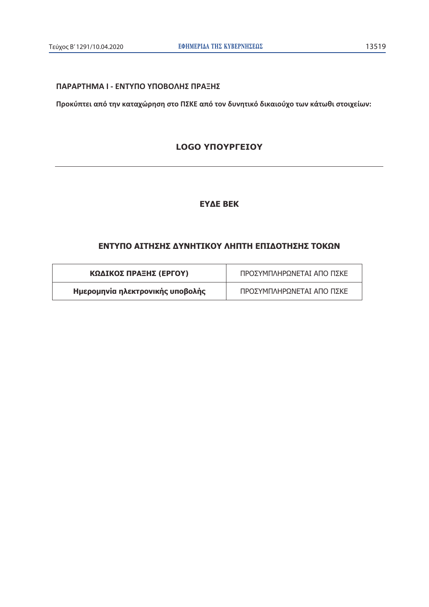## ΠΑΡΑΡΤΗΜΑ Ι - ΕΝΤΥΠΟ ΥΠΟΒΟΛΗΣ ΠΡΑΞΗΣ

Προκύπτει από την καταχώρηση στο ΠΣΚΕ από τον δυνητικό δικαιούχο των κάτωθι στοιχείων:

## **LOGO YNOYPFEIOY**

# **EYAE BEK**

# ΕΝΤΥΠΟ ΑΙΤΗΣΗΣ ΔΥΝΗΤΙΚΟΥ ΛΗΠΤΗ ΕΠΙΔΟΤΗΣΗΣ ΤΟΚΩΝ

| ΚΩΔΙΚΟΣ ΠΡΑΞΗΣ (ΕΡΓΟΥ)           | ΠΡΟΣΥΜΠΛΗΡΩΝΕΤΑΙ ΑΠΟ ΠΣΚΕ |
|----------------------------------|---------------------------|
| Ημερομηνία ηλεκτρονικής υποβολής | ΠΡΟΣΥΜΠΛΗΡΩΝΕΤΑΙ ΑΠΟ ΠΣΚΕ |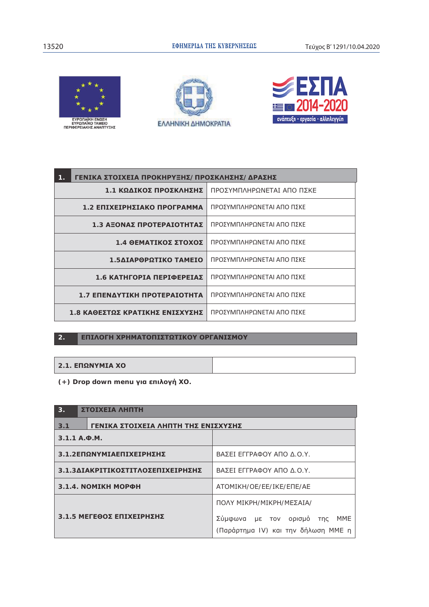







| ΓΕΝΙΚΑ ΣΤΟΙΧΕΙΑ ΠΡΟΚΗΡΥΞΗΣ/ΠΡΟΣΚΛΗΣΗΣ/ΔΡΑΣΗΣ<br>1. |                           |
|----------------------------------------------------|---------------------------|
| 1.1 ΚΩΔΙΚΟΣ ΠΡΟΣΚΛΗΣΗΣ                             | ΠΡΟΣΥΜΠΛΗΡΩΝΕΤΑΙ ΑΠΟ ΠΣΚΕ |
| 1.2 ΕΠΙΧΕΙΡΗΣΙΑΚΟ ΠΡΟΓΡΑΜΜΑ                        | ΠΡΟΣΥΜΠΛΗΡΩΝΕΤΑΙ ΑΠΟ ΠΣΚΕ |
| 1.3 ΑΞΟΝΑΣ ΠΡΟΤΕΡΑΙΟΤΗΤΑΣ                          | ΠΡΟΣΥΜΠΛΗΡΩΝΕΤΑΙ ΑΠΟ ΠΣΚΕ |
| 1.4 ΘΕΜΑΤΙΚΟΣ ΣΤΟΧΟΣ                               | ΠΡΟΣΥΜΠΛΗΡΩΝΕΤΑΙ ΑΠΟ ΠΣΚΕ |
| 1.5ΔΙΑΡΘΡΩΤΙΚΟ ΤΑΜΕΙΟ                              | ΠΡΟΣΥΜΠΛΗΡΩΝΕΤΑΙ ΑΠΟ ΠΣΚΕ |
| 1.6 ΚΑΤΗΓΟΡΙΑ ΠΕΡΙΦΕΡΕΙΑΣ                          | ΠΡΟΣΥΜΠΛΗΡΩΝΕΤΑΙ ΑΠΟ ΠΣΚΕ |
| 1.7 ΕΠΕΝΔΥΤΙΚΗ ΠΡΟΤΕΡΑΙΟΤΗΤΑ                       | ΠΡΟΣΥΜΠΛΗΡΩΝΕΤΑΙ ΑΠΟ ΠΣΚΕ |
| 1.8 ΚΑΘΕΣΤΩΣ ΚΡΑΤΙΚΗΣ ΕΝΙΣΧΥΣΗΣ                    | ΠΡΟΣΥΜΠΛΗΡΩΝΕΤΑΙ ΑΠΟ ΠΣΚΕ |

#### ΕΠΙΛΟΓΗ ΧΡΗΜΑΤΟΠΙΣΤΩΤΙΚΟΥ ΟΡΓΑΝΙΣΜΟΥ  $\overline{2}$ .

**2.1. ΕΠΩΝΥΜΙΑ ΧΟ** 

(+) Drop down menu για επιλογή ΧΟ.

| 3.<br>ΣΤΟΙΧΕΙΑ ΛΗΠΤΗ                       |                                                                            |  |
|--------------------------------------------|----------------------------------------------------------------------------|--|
| ΓΕΝΙΚΑ ΣΤΟΙΧΕΙΑ ΛΗΠΤΗ ΤΗΣ ΕΝΙΣΧΥΣΗΣ<br>3.1 |                                                                            |  |
| $3.1.1 A.$ $\Phi$ . M.                     |                                                                            |  |
| 3.1.2ΕΠΩΝΥΜΙΑΕΠΙΧΕΙΡΗΣΗΣ                   | ΒΑΣΕΙ ΕΓΓΡΑΦΟΥ ΑΠΟ Δ.Ο.Υ.                                                  |  |
| 3.1.3ΔΙΑΚΡΙΤΙΚΟΣΤΙΤΛΟΣΕΠΙΧΕΙΡΗΣΗΣ          | ΒΑΣΕΙ ΕΓΓΡΑΦΟΥ ΑΠΟ Δ.Ο.Υ.                                                  |  |
| <b>3.1.4. NOMIKH MOPФH</b>                 | ATOMIKH/OE/EE/IKE/ENE/AE                                                   |  |
|                                            | ΠΟΛΥ ΜΙΚΡΗ/ΜΙΚΡΗ/ΜΕΣΑΙΑ/                                                   |  |
| 3.1.5 ΜΕΓΕΘΟΣ ΕΠΙΧΕΙΡΗΣΗΣ                  | Σύμφωνα με τον ορισμό<br>MME<br>της<br>(Παράρτημα IV) και την δήλωση ΜΜΕ η |  |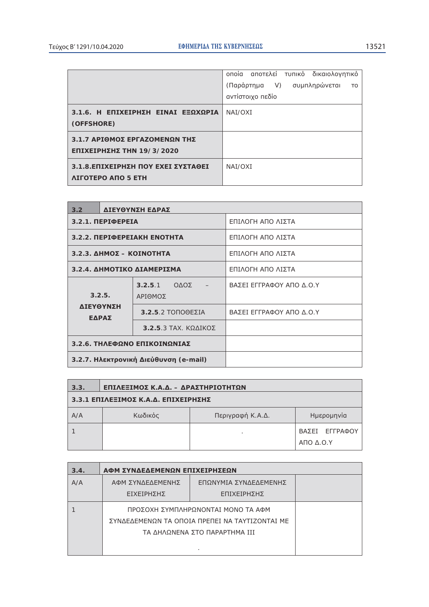|                                     | onoia αποτελεί τυπικό δικαιολογητικό          |
|-------------------------------------|-----------------------------------------------|
|                                     | (Παράρτημα V) συμπληρώνεται<br>T <sub>O</sub> |
|                                     | αντίστοιχο πεδίο                              |
| 3.1.6. Η ΕΠΙΧΕΙΡΗΣΗ ΕΙΝΑΙ ΕΞΩΧΩΡΙΑ  | NAI/OXI                                       |
| (OFFSHORE)                          |                                               |
| 3.1.7 ΑΡΙΘΜΟΣ ΕΡΓΑΖΟΜΕΝΩΝ ΤΗΣ       |                                               |
| ΕΠΙΧΕΙΡΗΣΗΣ ΤΗΝ 19/3/2020           |                                               |
| 3.1.8. ΕΠΙΧΕΙΡΗΣΗ ΠΟΥ ΕΧΕΙ ΣΥΣΤΑΘΕΙ | NAI/OXI                                       |
| <b>ЛІГОТЕРО АПО 5 ЕТН</b>           |                                               |

| 3.2                                            |                   | ΔΙΕΥΘΥΝΣΗ ΕΔΡΑΣ                           |                          |
|------------------------------------------------|-------------------|-------------------------------------------|--------------------------|
|                                                | 3.2.1. ПЕРІФЕРЕІА |                                           | ΕΠΙΛΟΓΗ ΑΠΟ ΛΙΣΤΑ        |
|                                                |                   | 3.2.2. ПЕРІФЕРЕІАКН ЕНОТНТА               | ΕΠΙΛΟΓΗ ΑΠΟ ΛΙΣΤΑ        |
|                                                |                   | $3.2.3.$ ΔΗΜΟΣ - ΚΟΙΝΟΤΗΤΑ                | ΕΠΙΛΟΓΗ ΑΠΟ ΛΙΣΤΑ        |
| 3.2.4. ΔΗΜΟΤΙΚΟ ΔΙΑΜΕΡΙΣΜΑ                     |                   |                                           | ΕΠΙΛΟΓΗ ΑΠΟ ΛΙΣΤΑ        |
| 3.2.5.                                         |                   | $3.2.5.1$ $0\Delta$ O $\Sigma$<br>ΑΡΙΘΜΟΣ | ΒΑΣΕΙ ΕΓΓΡΑΦΟΥ ΑΠΟ Δ.Ο.Υ |
| ΔΙΕΥΘΥΝΣΗ<br>ΕΔΡΑΣ                             |                   | $3.2.5.2$ TONOOE $\Sigma$ IA              | ΒΑΣΕΙ ΕΓΓΡΑΦΟΥ ΑΠΟ Δ.Ο.Υ |
| $3.2.5.3$ TAX, $K\Omega\Delta I K\Omega\Sigma$ |                   |                                           |                          |
| 3.2.6. ΤΗΛΕΦΩΝΟ ΕΠΙΚΟΙΝΩΝΙΑΣ                   |                   |                                           |                          |
| 3.2.7. Ηλεκτρονική Διεύθυνση (e-mail)          |                   |                                           |                          |

| 3.3. | ΕΠΙΛΕΞΙΜΟΣ Κ.Α.Δ. - ΔΡΑΣΤΗΡΙΟΤΗΤΩΝ  |                  |                                            |  |
|------|-------------------------------------|------------------|--------------------------------------------|--|
|      | 3.3.1 ΕΠΙΛΕΞΙΜΟΣ Κ.Α.Δ. ΕΠΙΧΕΙΡΗΣΗΣ |                  |                                            |  |
| A/A  | Κωδικός                             | Περιγραφή Κ.Α.Δ. | Ημερομηνία                                 |  |
|      |                                     |                  | ΒΑΣΕΙ ΕΓΓΡΑΦΟΥ<br>$A\Pi$ O $\Delta$ , O, Y |  |

| 3.4. | ΑΦΜ ΣΥΝΔΕΔΕΜΕΝΩΝ ΕΠΙΧΕΙΡΗΣΕΩΝ      |                                                |  |
|------|------------------------------------|------------------------------------------------|--|
| A/A  | ΑΦΜ ΣΥΝΔΕΔΕΜΕΝΗΣ                   | ΕΠΩΝΥΜΙΑ ΣΥΝΔΕΔΕΜΕΝΗΣ                          |  |
|      | ΕΙΧΕΙΡΗΣΗΣ                         | ΕΠΙΧΕΙΡΗΣΗΣ                                    |  |
|      | ΠΡΟΣΟΧΗ ΣΥΜΠΛΗΡΩΝΟΝΤΑΙ ΜΟΝΟ ΤΑ ΑΦΜ |                                                |  |
|      |                                    | ΣΥΝΔΕΔΕΜΕΝΩΝ ΤΑ ΟΠΟΙΑ ΠΡΕΠΕΙ ΝΑ ΤΑΥΤΙΖΟΝΤΑΙ ΜΕ |  |
|      |                                    | ΤΑ ΔΗΛΩΝΕΝΑ ΣΤΟ ΠΑΡΑΡΤΗΜΑ ΙΙΙ                  |  |
|      |                                    |                                                |  |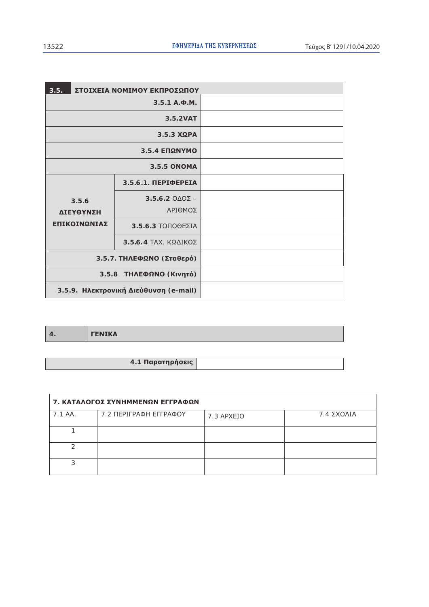| 3.5.<br>ΣΤΟΙΧΕΙΑ ΝΟΜΙΜΟΥ ΕΚΠΡΟΣΩΠΟΥ   |                                                   |  |
|---------------------------------------|---------------------------------------------------|--|
|                                       | $3.5.1 A. \Phi.M.$                                |  |
|                                       | 3.5.2VAT                                          |  |
|                                       | $3.5.3$ XQPA                                      |  |
|                                       | 3.5.4 ΕΠΩΝΥΜΟ                                     |  |
|                                       | 3.5.5 ONOMA                                       |  |
|                                       | 3.5.6.1. ПЕРІФЕРЕІА                               |  |
| 3.5.6<br>ΔΙΕΥΘΥΝΣΗ                    | $3.5.6.2$ $0\triangle 0\overline{2}$ –<br>ΑΡΙΘΜΟΣ |  |
| ΕΠΙΚΟΙΝΩΝΙΑΣ                          | 3.5.6.3 ΤΟΠΟΘΕΣΙΑ                                 |  |
|                                       | $3.5.6.4$ TAX, $K\Omega\Delta$ IKO $\Sigma$       |  |
| 3.5.7. ΤΗΛΕΦΩΝΟ (Σταθερό)             |                                                   |  |
|                                       | 3.5.8 ΤΗΛΕΦΩΝΟ (Κινητό)                           |  |
| 3.5.9. Ηλεκτρονική Διεύθυνση (e-mail) |                                                   |  |

|  | <b>CONTRACT</b><br>$\blacksquare$ |
|--|-----------------------------------|
|--|-----------------------------------|

| 4.1 Παρατηρήσεις |  |
|------------------|--|

| 7. ΚΑΤΑΛΟΓΟΣ ΣΥΝΗΜΜΕΝΩΝ ΕΓΓΡΑΦΩΝ |                        |            |                      |  |  |
|----------------------------------|------------------------|------------|----------------------|--|--|
| 7.1 AA.                          | 7.2 ΠΕΡΙΓΡΑΦΗ ΕΓΓΡΑΦΟΥ | 7.3 APXEIO | $7.4$ $\Sigma$ XOAIA |  |  |
|                                  |                        |            |                      |  |  |
|                                  |                        |            |                      |  |  |
|                                  |                        |            |                      |  |  |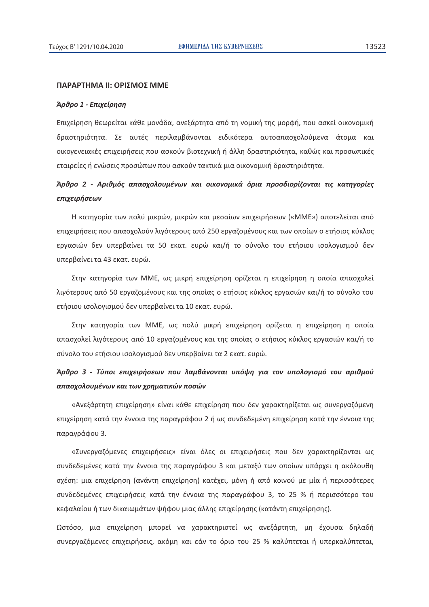#### ΠΑΡΑΡΤΗΜΑ ΙΙ: ΟΡΙΣΜΟΣ ΜΜΕ

#### Άρθρο 1 - Επιχείρηση

Επιχείρηση θεωρείται κάθε μονάδα, ανεξάρτητα από τη νομική της μορφή, που ασκεί οικονομική δραστηριότητα. Σε αυτές περιλαμβάνονται ειδικότερα αυτοαπασχολούμενα άτομα και οικογενειακές επιχειρήσεις που ασκούν βιοτεχνική ή άλλη δραστηριότητα, καθώς και προσωπικές εταιρείες ή ενώσεις προσώπων που ασκούν τακτικά μια οικονομική δραστηριότητα.

# Άρθρο 2 - Αριθμός απασχολουμένων και οικονομικά όρια προσδιορίζονται τις κατηγορίες επιχειρήσεων

Η κατηγορία των πολύ μικρών, μικρών και μεσαίων επιχειρήσεων («MME») αποτελείται από επιχειρήσεις που απασχολούν λιγότερους από 250 εργαζομένους και των οποίων ο ετήσιος κύκλος εργασιών δεν υπερβαίνει τα 50 εκατ. ευρώ και/ή το σύνολο του ετήσιου ισολογισμού δεν υπερβαίνει τα 43 εκατ. ευρώ.

Στην κατηγορία των ΜΜΕ, ως μικρή επιχείρηση ορίζεται η επιχείρηση η οποία απασχολεί λιγότερους από 50 εργαζομένους και της οποίας ο ετήσιος κύκλος εργασιών και/ή το σύνολο του ετήσιου ισολογισμού δεν υπερβαίνει τα 10 εκατ. ευρώ.

Στην κατηγορία των ΜΜΕ, ως πολύ μικρή επιχείρηση ορίζεται η επιχείρηση η οποία απασχολεί λιγότερους από 10 εργαζομένους και της οποίας ο ετήσιος κύκλος εργασιών και/ή το σύνολο του ετήσιου ισολογισμού δεν υπερβαίνει τα 2 εκατ. ευρώ.

# Άρθρο 3 - Τύποι επιχειρήσεων που λαμβάνονται υπόψη για τον υπολογισμό του αριθμού απασχολουμένων και των χρηματικών ποσών

«Ανεξάρτητη επιχείρηση» είναι κάθε επιχείρηση που δεν χαρακτηρίζεται ως συνεργαζόμενη επιχείρηση κατά την έννοια της παραγράφου 2 ή ως συνδεδεμένη επιχείρηση κατά την έννοια της παραγράφου 3.

«Συνεργαζόμενες επιχειρήσεις» είναι όλες οι επιχειρήσεις που δεν χαρακτηρίζονται ως συνδεδεμένες κατά την έννοια της παραγράφου 3 και μεταξύ των οποίων υπάρχει η ακόλουθη σχέση: μια επιχείρηση (ανάντη επιχείρηση) κατέχει, μόνη ή από κοινού με μία ή περισσότερες συνδεδεμένες επιχειρήσεις κατά την έννοια της παραγράφου 3, το 25 % ή περισσότερο του κεφαλαίου ή των δικαιωμάτων ψήφου μιας άλλης επιχείρησης (κατάντη επιχείρησης).

Ωστόσο, μια επιχείρηση μπορεί να χαρακτηριστεί ως ανεξάρτητη, μη έχουσα δηλαδή συνεργαζόμενες επιχειρήσεις, ακόμη και εάν το όριο του 25 % καλύπτεται ή υπερκαλύπτεται,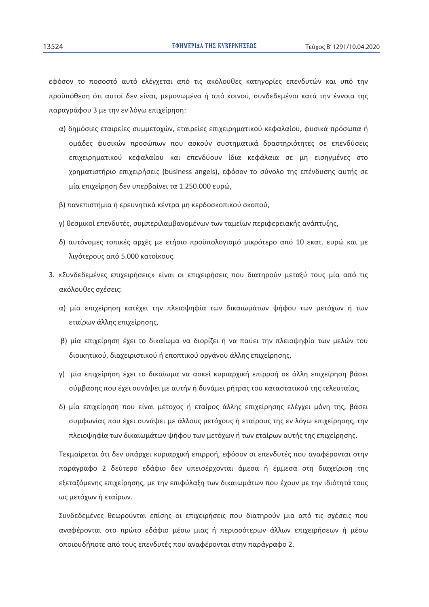εφόσον το ποσοστό αυτό ελέγχεται από τις ακόλουθες κατηγορίες επενδυτών και υπό την προϋπόθεση ότι αυτοί δεν είναι, μεμονωμένα ή από κοινού, συνδεδεμένοι κατά την έννοια της παραγράφου 3 με την εν λόγω επιχείρηση:

- α) δημόσιες εταιρείες συμμετοχών, εταιρείες επιχειρηματικού κεφαλαίου, φυσικά πρόσωπα ή ομάδες φυσικών προσώπων που ασκούν συστηματικά δραστηριότητες σε επενδύσεις επιχειρηματικού κεφαλαίου και επενδύουν ίδια κεφάλαια σε μη εισηγμένες στο χρηματιστήριο επιχειρήσεις (business angels), εφόσον το σύνολο της επένδυσης αυτής σε μία επιχείρηση δεν υπερβαίνει τα 1.250.000 ευρώ,
- β) πανεπιστήμια ή ερευνητικά κέντρα μη κερδοσκοπικού σκοπού,
- γ) θεσμικοί επενδυτές, συμπεριλαμβανομένων των ταμείων περιφερειακής ανάπτυξης,
- δ) αυτόνομες τοπικές αρχές με ετήσιο προϋπολογισμό μικρότερο από 10 εκατ. ευρώ και με λιγότερους από 5.000 κατοίκους.
- 3. «Συνδεδεμένες επιχειρήσεις» είναι οι επιχειρήσεις που διατηρούν μεταξύ τους μία από τις ακόλουθες σχέσεις:
	- α) μία επιχείρηση κατέχει την πλειοψηφία των δικαιωμάτων ψήφου των μετόχων ή των εταίρων άλλης επιχείρησης,
	- β) μία επιχείρηση έχει το δικαίωμα να διορίζει ή να παύει την πλειοψηφία των μελών του διοικητικού, διαχειριστικού ή εποπτικού οργάνου άλλης επιχείρησης,
	- γ) μία επιχείρηση έχει το δικαίωμα να ασκεί κυριαρχική επιρροή σε άλλη επιχείρηση βάσει σύμβασης που έχει συνάψει με αυτήν ή δυνάμει ρήτρας του καταστατικού της τελευταίας,
	- δ) μία επιχείρηση που είναι μέτοχος ή εταίρος άλλης επιχείρησης ελέγχει μόνη της, βάσει συμφωνίας που έχει συνάψει με άλλους μετόχους ή εταίρους της εν λόγω επιχείρησης, την πλειοψηφία των δικαιωμάτων ψήφου των μετόχων ή των εταίρων αυτής της επιχείρησης.

Τεκμαίρεται ότι δεν υπάρχει κυριαρχική επιρροή, εφόσον οι επενδυτές που αναφέρονται στην παράγραφο 2 δεύτερο εδάφιο δεν υπεισέρχονται άμεσα ή έμμεσα στη διαχείριση της εξεταζόμενης επιχείρησης, με την επιφύλαξη των δικαιωμάτων που έχουν με την ιδιότητά τους ως μετόχων ή εταίρων.

Συνδεδεμένες θεωρούνται επίσης οι επιχειρήσεις που διατηρούν μια από τις σχέσεις που αναφέρονται στο πρώτο εδάφιο μέσω μιας ή περισσότερων άλλων επιχειρήσεων ή μέσω οποιουδήποτε από τους επενδυτές που αναφέρονται στην παράγραφο 2.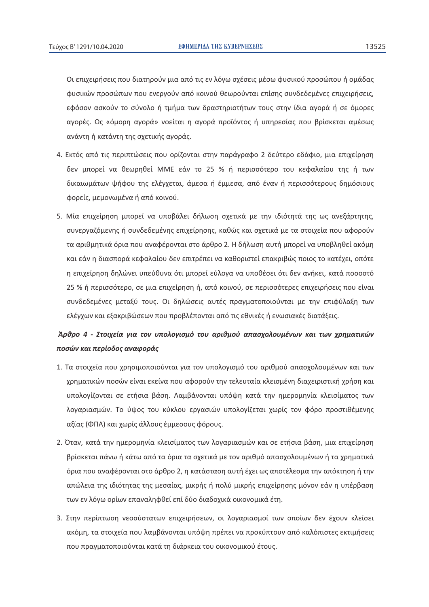Οι επιχειρήσεις που διατηρούν μια από τις εν λόγω σχέσεις μέσω φυσικού προσώπου ή ομάδας φυσικών προσώπων που ενεργούν από κοινού θεωρούνται επίσης συνδεδεμένες επιχειρήσεις, εφόσον ασκούν το σύνολο ή τμήμα των δραστηριοτήτων τους στην ίδια αγορά ή σε όμορες αγορές. Ως «όμορη αγορά» νοείται η αγορά προϊόντος ή υπηρεσίας που βρίσκεται αμέσως ανάντη ή κατάντη της σχετικής αγοράς.

- 4. Εκτός από τις περιπτώσεις που ορίζονται στην παράγραφο 2 δεύτερο εδάφιο, μια επιχείρηση δεν μπορεί να θεωρηθεί ΜΜΕ εάν το 25 % ή περισσότερο του κεφαλαίου της ή των δικαιωμάτων ψήφου της ελέγχεται, άμεσα ή έμμεσα, από έναν ή περισσότερους δημόσιους φορείς, μεμονωμένα ή από κοινού.
- 5. Μία επιχείρηση μπορεί να υποβάλει δήλωση σχετικά με την ιδιότητά της ως ανεξάρτητης, συνεργαζόμενης ή συνδεδεμένης επιχείρησης, καθώς και σχετικά με τα στοιχεία που αφορούν τα αριθμητικά όρια που αναφέρονται στο άρθρο 2. Η δήλωση αυτή μπορεί να υποβληθεί ακόμη και εάν η διασπορά κεφαλαίου δεν επιτρέπει να καθοριστεί επακριβώς ποιος το κατέχει, οπότε η επιχείρηση δηλώνει υπεύθυνα ότι μπορεί εύλογα να υποθέσει ότι δεν ανήκει, κατά ποσοστό 25 % ή περισσότερο, σε μια επιχείρηση ή, από κοινού, σε περισσότερες επιχειρήσεις που είναι συνδεδεμένες μεταξύ τους. Οι δηλώσεις αυτές πραγματοποιούνται με την επιφύλαξη των ελέγχων και εξακριβώσεων που προβλέπονται από τις εθνικές ή ενωσιακές διατάξεις.

# Άρθρο 4 - Στοιχεία για τον υπολογισμό του αριθμού απασχολουμένων και των χρηματικών ποσών και περίοδος αναφοράς

- 1. Τα στοιχεία που χρησιμοποιούνται για τον υπολογισμό του αριθμού απασχολουμένων και των χρηματικών ποσών είναι εκείνα που αφορούν την τελευταία κλεισμένη διαχειριστική χρήση και υπολογίζονται σε ετήσια βάση. Λαμβάνονται υπόψη κατά την ημερομηνία κλεισίματος των λογαριασμών. Το ύψος του κύκλου εργασιών υπολογίζεται χωρίς τον φόρο προστιθέμενης αξίας (ΦΠΑ) και χωρίς άλλους έμμεσους φόρους.
- 2. Όταν, κατά την ημερομηνία κλεισίματος των λογαριασμών και σε ετήσια βάση, μια επιχείρηση βρίσκεται πάνω ή κάτω από τα όρια τα σχετικά με τον αριθμό απασχολουμένων ή τα χρηματικά όρια που αναφέρονται στο άρθρο 2, η κατάσταση αυτή έχει ως αποτέλεσμα την απόκτηση ή την απώλεια της ιδιότητας της μεσαίας, μικρής ή πολύ μικρής επιχείρησης μόνον εάν η υπέρβαση των εν λόγω ορίων επαναληφθεί επί δύο διαδοχικά οικονομικά έτη.
- 3. Στην περίπτωση νεοσύστατων επιχειρήσεων, οι λογαριασμοί των οποίων δεν έχουν κλείσει ακόμη, τα στοιχεία που λαμβάνονται υπόψη πρέπει να προκύπτουν από καλόπιστες εκτιμήσεις που πραγματοποιούνται κατά τη διάρκεια του οικονομικού έτους.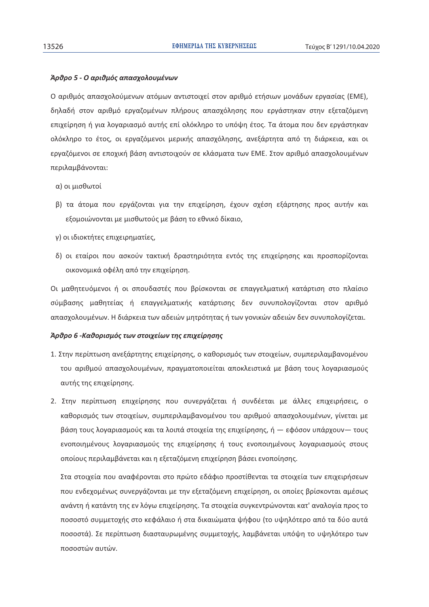#### Άρθρο 5 - Ο αριθμός απασχολουμένων

Ο αριθμός απασχολούμενων ατόμων αντιστοιχεί στον αριθμό ετήσιων μονάδων εργασίας (ΕΜΕ), δηλαδή στον αριθμό εργαζομένων πλήρους απασχόλησης που εργάστηκαν στην εξεταζόμενη επιχείρηση ή για λογαριασμό αυτής επί ολόκληρο το υπόψη έτος. Τα άτομα που δεν εργάστηκαν ολόκληρο το έτος, οι εργαζόμενοι μερικής απασχόλησης, ανεξάρτητα από τη διάρκεια, και οι εργαζόμενοι σε εποχική βάση αντιστοιχούν σε κλάσματα των ΕΜΕ. Στον αριθμό απασχολουμένων περιλαμβάνονται:

- α) οι μισθωτοί
- β) τα άτομα που εργάζονται για την επιχείρηση, έχουν σχέση εξάρτησης προς αυτήν και εξομοιώνονται με μισθωτούς με βάση το εθνικό δίκαιο,
- γ) οι ιδιοκτήτες επιχειρηματίες,
- δ) οι εταίροι που ασκούν τακτική δραστηριότητα εντός της επιχείρησης και προσπορίζονται οικονομικά οφέλη από την επιχείρηση.

Οι μαθητευόμενοι ή οι σπουδαστές που βρίσκονται σε επαγγελματική κατάρτιση στο πλαίσιο σύμβασης μαθητείας ή επαγγελματικής κατάρτισης δεν συνυπολογίζονται στον αριθμό απασχολουμένων. Η διάρκεια των αδειών μητρότητας ή των γονικών αδειών δεν συνυπολογίζεται.

#### Άρθρο 6 - Καθορισμός των στοιχείων της επιχείρησης

- 1. Στην περίπτωση ανεξάρτητης επιχείρησης, ο καθορισμός των στοιχείων, συμπεριλαμβανομένου του αριθμού απασχολουμένων, πραγματοποιείται αποκλειστικά με βάση τους λογαριασμούς αυτής της επιχείρησης.
- 2. Στην περίπτωση επιχείρησης που συνεργάζεται ή συνδέεται με άλλες επιχειρήσεις, ο καθορισμός των στοιχείων, συμπεριλαμβανομένου του αριθμού απασχολουμένων, γίνεται με βάση τους λογαριασμούς και τα λοιπά στοιχεία της επιχείρησης, ή — εφόσον υπάρχουν— τους ενοποιημένους λογαριασμούς της επιχείρησης ή τους ενοποιημένους λογαριασμούς στους οποίους περιλαμβάνεται και η εξεταζόμενη επιχείρηση βάσει ενοποίησης.

Στα στοιχεία που αναφέρονται στο πρώτο εδάφιο προστίθενται τα στοιχεία των επιχειρήσεων που ενδεχομένως συνεργάζονται με την εξεταζόμενη επιχείρηση, οι οποίες βρίσκονται αμέσως ανάντη ή κατάντη της εν λόγω επιχείρησης. Τα στοιχεία συγκεντρώνονται κατ' αναλογία προς το ποσοστό συμμετοχής στο κεφάλαιο ή στα δικαιώματα ψήφου (το υψηλότερο από τα δύο αυτά ποσοστά). Σε περίπτωση διασταυρωμένης συμμετοχής, λαμβάνεται υπόψη το υψηλότερο των ποσοστών αυτών.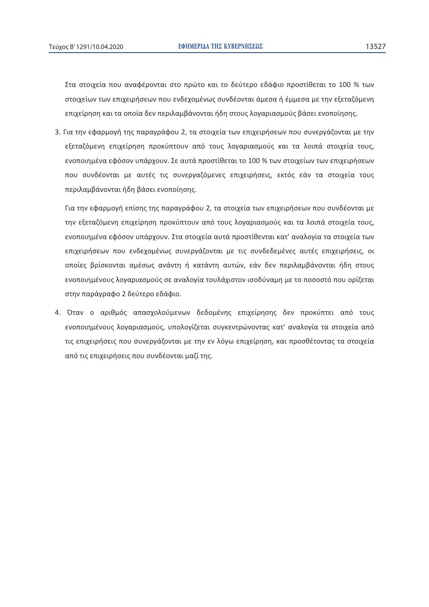Στα στοιχεία που αναφέρονται στο πρώτο και το δεύτερο εδάφιο προστίθεται το 100 % των στοιχείων των επιχειρήσεων που ενδεχομένως συνδέονται άμεσα ή έμμεσα με την εξεταζόμενη επιχείρηση και τα οποία δεν περιλαμβάνονται ήδη στους λογαριασμούς βάσει ενοποίησης.

3. Για την εφαρμογή της παραγράφου 2, τα στοιχεία των επιχειρήσεων που συνεργάζονται με την εξεταζόμενη επιχείρηση προκύπτουν από τους λογαριασμούς και τα λοιπά στοιχεία τους, ενοποιημένα εφόσον υπάρχουν. Σε αυτά προστίθεται το 100 % των στοιχείων των επιχειρήσεων που συνδέονται με αυτές τις συνεργαζόμενες επιχειρήσεις, εκτός εάν τα στοιχεία τους περιλαμβάνονται ήδη βάσει ενοποίησης.

Για την εφαρμογή επίσης της παραγράφου 2, τα στοιχεία των επιχειρήσεων που συνδέονται με την εξεταζόμενη επιχείρηση προκύπτουν από τους λογαριασμούς και τα λοιπά στοιχεία τους, ενοποιημένα εφόσον υπάρχουν. Στα στοιχεία αυτά προστίθενται κατ' αναλογία τα στοιχεία των επιχειρήσεων που ενδεχομένως συνεργάζονται με τις συνδεδεμένες αυτές επιχειρήσεις, οι οποίες βρίσκονται αμέσως ανάντη ή κατάντη αυτών, εάν δεν περιλαμβάνονται ήδη στους ενοποιημένους λογαριασμούς σε αναλογία τουλάχιστον ισοδύναμη με το ποσοστό που ορίζεται στην παράγραφο 2 δεύτερο εδάφιο.

4. Όταν ο αριθμός απασχολούμενων δεδομένης επιχείρησης δεν προκύπτει από τους ενοποιημένους λογαριασμούς, υπολογίζεται συγκεντρώνοντας κατ' αναλογία τα στοιχεία από τις επιχειρήσεις που συνεργάζονται με την εν λόγω επιχείρηση, και προσθέτοντας τα στοιχεία από τις επιχειρήσεις που συνδέονται μαζί της.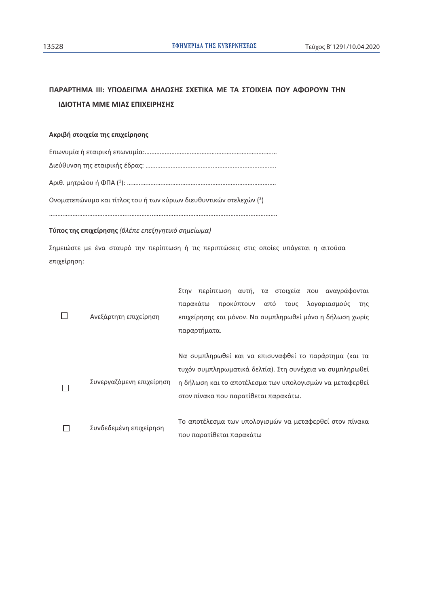# ΠΑΡΑΡΤΗΜΑ ΙΙΙ: ΥΠΟΔΕΙΓΜΑ ΔΗΛΩΣΗΣ ΣΧΕΤΙΚΑ ΜΕ ΤΑ ΣΤΟΙΧΕΙΑ ΠΟΥ ΑΦΟΡΟΥΝ ΤΗΝ ΙΔΙΟΤΗΤΑ ΜΜΕ ΜΙΑΣ ΕΠΙΧΕΙΡΗΣΗΣ

#### Ακριβή στοιχεία της επιχείρησης

Ονοματεπώνυμο και τίτλος του ή των κύριων διευθυντικών στελεχών (2)

### Τύπος της επιχείρησης (βλέπε επεξηγητικό σημείωμα)

Σημειώστε με ένα σταυρό την περίπτωση ή τις περιπτώσεις στις οποίες υπάγεται η αιτούσα επιχείρηση:

|  |                          | Στην περίπτωση αυτή, τα στοιχεία που αναγράφονται         |
|--|--------------------------|-----------------------------------------------------------|
|  |                          | προκύπτουν<br>από<br>τους λογαριασμούς<br>παρακάτω<br>της |
|  | Ανεξάρτητη επιχείρηση    | επιχείρησης και μόνον. Να συμπληρωθεί μόνο η δήλωση χωρίς |
|  |                          | παραρτήματα.                                              |
|  |                          |                                                           |
|  |                          | Να συμπληρωθεί και να επισυναφθεί το παράρτημα (και τα    |
|  |                          | τυχόν συμπληρωματικά δελτία). Στη συνέχεια να συμπληρωθεί |
|  | Συνεργαζόμενη επιχείρηση | η δήλωση και το αποτέλεσμα των υπολογισμών να μεταφερθεί  |
|  |                          | στον πίνακα που παρατίθεται παρακάτω.                     |
|  |                          |                                                           |
|  | Συνδεδεμένη επιχείρηση   | Το αποτέλεσμα των υπολογισμών να μεταφερθεί στον πίνακα   |
|  |                          | που παρατίθεται παρακάτω                                  |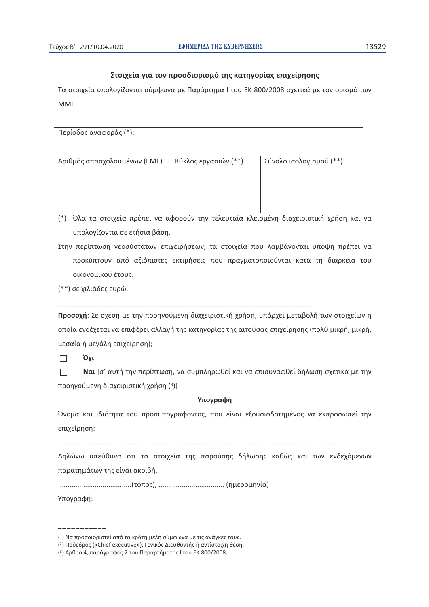### Στοιχεία για τον προσδιορισμό της κατηγορίας επιχείρησης

Τα στοιχεία υπολογίζονται σύμφωνα με Παράρτημα Ι του ΕΚ 800/2008 σχετικά με τον ορισμό των MME.

Περίοδος αναφοράς (\*):

| Αριθμός απασχολουμένων (ΕΜΕ) | Κύκλος εργασιών (**) | Σύνολο ισολογισμού (**) |
|------------------------------|----------------------|-------------------------|
|                              |                      |                         |

(\*) Όλα τα στοιχεία πρέπει να αφορούν την τελευταία κλεισμένη διαχειριστική χρήση και να υπολογίζονται σε ετήσια βάση.

- Στην περίπτωση νεοσύστατων επιχειρήσεων, τα στοιχεία που λαμβάνονται υπόψη πρέπει να προκύπτουν από αξιόπιστες εκτιμήσεις που πραγματοποιούνται κατά τη διάρκεια του οικονομικού έτους.
- (\*\*) σε χιλιάδες ευρώ.

Προσοχή: Σε σχέση με την προηγούμενη διαχειριστική χρήση, υπάρχει μεταβολή των στοιχείων η οποία ενδέχεται να επιφέρει αλλαγή της κατηγορίας της αιτούσας επιχείρησης (πολύ μικρή, μικρή, μεσαία ή μεγάλη επιχείρηση);

Όχι  $\Box$ 

 $\Box$ Ναι [σ' αυτή την περίπτωση, να συμπληρωθεί και να επισυναφθεί δήλωση σχετικά με την προηγούμενη διαχειριστική χρήση (3)]

#### Υπογραφή

Όνομα και ιδιότητα του προσυπογράφοντος, που είναι εξουσιοδοτημένος να εκπροσωπεί την επιχείρηση:

Δηλώνω υπεύθυνα ότι τα στοιχεία της παρούσης δήλωσης καθώς και των ενδεχόμενων παρατημάτων της είναι ακριβή.

Υπογραφή:

<sup>(1)</sup> Να προσδιοριστεί από τα κράτη μέλη σύμφωνα με τις ανάγκες τους.

<sup>(&</sup>lt;sup>2</sup>) Πρόεδρος («Chief executive»), Γενικός Διευθυντής ή αντίστοιχη θέση.

<sup>(3)</sup> Άρθρο 4, παράγραφος 2 του Παραρτήματος Ι του ΕΚ 800/2008.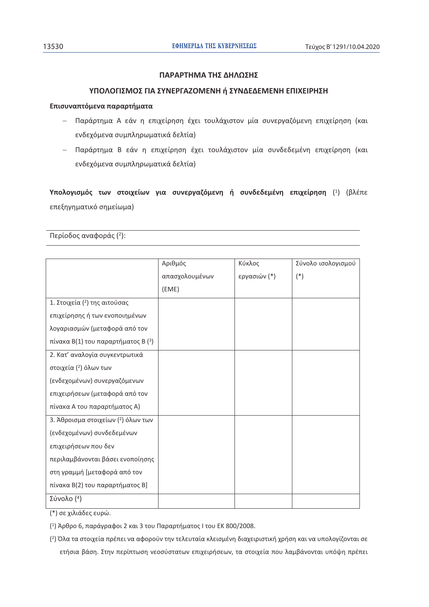## **ΠΑΡΑΡΤΗΜΑ ΤΗΣ ΔΗΛΩΣΗΣ**

## ΥΠΟΛΟΓΙΣΜΟΣ ΓΙΑ ΣΥΝΕΡΓΑΖΟΜΕΝΗ ή ΣΥΝΔΕΔΕΜΕΝΗ ΕΠΙΧΕΙΡΗΣΗ

### **Επισυναπτόμενα παραρτήματα**

- Παράρτημα Α εάν η επιχείρηση έχει τουλάχιστον μία συνεργαζόμενη επιχείρηση (και ενδεχόμενα συμπληρωματικά δελτία)
- Παράρτημα Β εάν η επιχείρηση έχει τουλάχιστον μία συνδεδεμένη επιχείρηση (και ενδεχόμενα συμπληρωματικά δελτία)

**Υπολογισμός των στοιχείων για συνεργαζόμενη ή συνδεδεμένη επιχείρηση (<sup>1</sup>) (βλέπε** επεξηγηματικό σημείωμα)

Περίοδος αναφοράς (2):

|                                       | Αριθμός        | Κύκλος       | Σύνολο ισολογισμού |
|---------------------------------------|----------------|--------------|--------------------|
|                                       | απασχολουμένων | εργασιών (*) | $(*)$              |
|                                       | (EME)          |              |                    |
| 1. Στοιχεία (2) της αιτούσας          |                |              |                    |
| επιχείρησης ή των ενοποιημένων        |                |              |                    |
| λογαριασμών (μεταφορά από τον         |                |              |                    |
| πίνακα $B(1)$ του παραρτήματος $B(3)$ |                |              |                    |
| 2. Κατ' αναλογία συγκεντρωτικά        |                |              |                    |
| στοιχεία (2) όλων των                 |                |              |                    |
| (ενδεχομένων) συνεργαζόμενων          |                |              |                    |
| επιχειρήσεων (μεταφορά από τον        |                |              |                    |
| πίνακα Α του παραρτήματος Α)          |                |              |                    |
| 3. Άθροισμα στοιχείων (2) όλων των    |                |              |                    |
| (ενδεχομένων) συνδεδεμένων            |                |              |                    |
| επιχειρήσεων που δεν                  |                |              |                    |
| περιλαμβάνονται βάσει ενοποίησης      |                |              |                    |
| στη γραμμή [μεταφορά από τον          |                |              |                    |
| πίνακα Β(2) του παραρτήματος Β]       |                |              |                    |
| Σύνολο $(4)$                          |                |              |                    |

(\*) σε χιλιάδες ευρώ.

(1) Άρθρο 6, παράγραφοι 2 και 3 του Παραρτήματος Ι του ΕΚ 800/2008.

(²) Όλα τα στοιχεία πρέπει να αφορούν την τελευταία κλεισμένη διαχειριστική χρήση και να υπολογίζονται σε ετήσια βάση. Στην περίπτωση νεοσύστατων επιχειρήσεων, τα στοιχεία που λαμβάνονται υπόψη πρέπει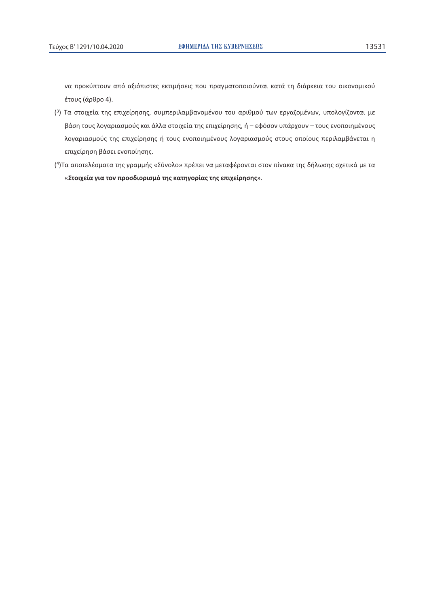να προκύπτουν από αξιόπιστες εκτιμήσεις που πραγματοποιούνται κατά τη διάρκεια του οικονομικού έτους (άρθρο 4).

- (3) Τα στοιχεία της επιχείρησης, συμπεριλαμβανομένου του αριθμού των εργαζομένων, υπολογίζονται με βάση τους λογαριασμούς και άλλα στοιχεία της επιχείρησης, ή - εφόσον υπάρχουν - τους ενοποιημένους λογαριασμούς της επιχείρησης ή τους ενοποιημένους λογαριασμούς στους οποίους περιλαμβάνεται η επιχείρηση βάσει ενοποίησης.
- (<sup>4</sup>) Τα αποτελέσματα της γραμμής «Σύνολο» πρέπει να μεταφέρονται στον πίνακα της δήλωσης σχετικά με τα «Στοιχεία για τον προσδιορισμό της κατηγορίας της επιχείρησης».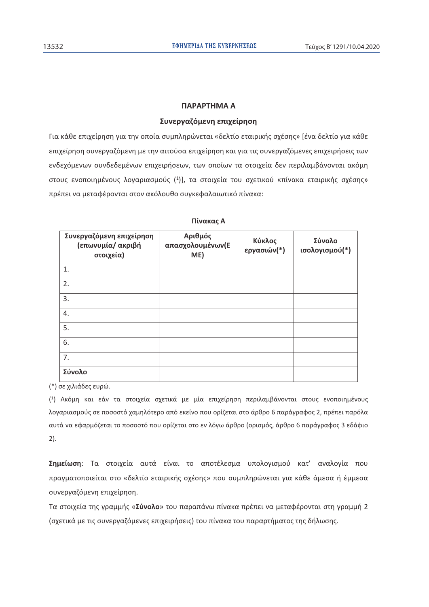### **CONCORDINA A**

### Συνεργαζόμενη επιχείρηση

Για κάθε επιχείρηση για την οποία συμπληρώνεται «δελτίο εταιρικής σχέσης» [ένα δελτίο για κάθε επιχείρηση συνεργαζόμενη με την αιτούσα επιχείρηση και για τις συνεργαζόμενες επιχειρήσεις των ενδεχόμενων συνδεδεμένων επιχειρήσεων, των οποίων τα στοιχεία δεν περιλαμβάνονται ακόμη στους ενοποιημένους λογαριασμούς (1)], τα στοιχεία του σχετικού «πίνακα εταιρικής σχέσης» πρέπει να μεταφέρονται στον ακόλουθο συγκεφαλαιωτικό πίνακα:

| Συνεργαζόμενη επιχείρηση<br>(επωνυμία/ ακριβή<br>στοιχεία) | Αριθμός<br>απασχολουμένων(Ε<br>ME) | Κύκλος<br>εργασιών(*) | Σύνολο<br>ισολογισμού(*) |
|------------------------------------------------------------|------------------------------------|-----------------------|--------------------------|
| 1.                                                         |                                    |                       |                          |
| 2.                                                         |                                    |                       |                          |
| 3.                                                         |                                    |                       |                          |
| 4.                                                         |                                    |                       |                          |
| 5.                                                         |                                    |                       |                          |
| 6.                                                         |                                    |                       |                          |
| 7.                                                         |                                    |                       |                          |
| Σύνολο                                                     |                                    |                       |                          |

Πίνακας Α

(\*) σε χιλιάδες ευρώ.

(<sup>1</sup>) Ακόμη και εάν τα στοιχεία σχετικά με μία επιχείρηση περιλαμβάνονται στους ενοποιημένους λογαριασμούς σε ποσοστό χαμηλότερο από εκείνο που ορίζεται στο άρθρο 6 παράγραφος 2, πρέπει παρόλα αυτά να εφαρμόζεται το ποσοστό που ορίζεται στο εν λόγω άρθρο (ορισμός, άρθρο 6 παράγραφος 3 εδάφιο 2).

**Σημείωση**: Τα στοιχεία αυτά είναι το αποτέλεσμα υπολογισμού κατ' αναλογία που πραγματοποιείται στο «δελτίο εταιρικής σχέσης» που συμπληρώνεται για κάθε άμεσα ή έμμεσα συνεργαζόμενη επιχείρηση.

Τα στοιχεία της γραμμής «**Σύνολο**» του παραπάνω πίνακα πρέπει να μεταφέρονται στη γραμμή 2 (σχετικά με τις συνεργαζόμενες επιχειρήσεις) του πίνακα του παραρτήματος της δήλωσης.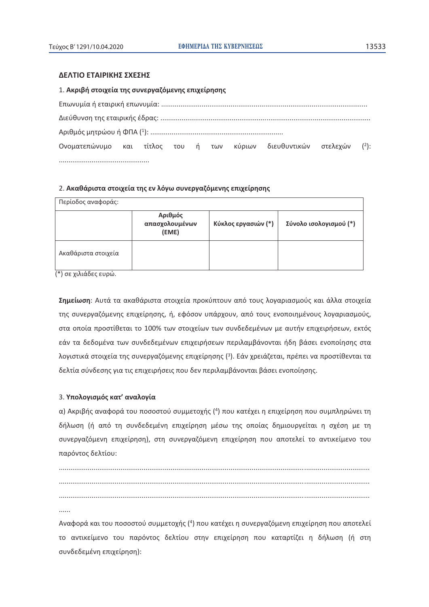#### ΔΕΛΤΙΟ ΕΤΑΙΡΙΚΗΣ ΣΧΕΣΗΣ

| 1. Ακριβή στοιχεία της συνεργαζόμενης επιχείρησης               |  |  |  |  |         |
|-----------------------------------------------------------------|--|--|--|--|---------|
|                                                                 |  |  |  |  |         |
|                                                                 |  |  |  |  |         |
|                                                                 |  |  |  |  |         |
| Ονοματεπώνυμο και τίτλος του ή των κύριων διευθυντικών στελεχών |  |  |  |  | $(2)$ : |
|                                                                 |  |  |  |  |         |

#### 2. Ακαθάριστα στοιχεία της εν λόγω συνεργαζόμενης επιχείρησης

| Περίοδος αναφοράς:  |                                    |                     |                        |  |  |
|---------------------|------------------------------------|---------------------|------------------------|--|--|
|                     | Αριθμός<br>απασχολουμένων<br>(EME) | Κύκλος εργασιών (*) | Σύνολο ισολογισμού (*) |  |  |
| Ακαθάριστα στοιχεία |                                    |                     |                        |  |  |

(\*) σε χιλιάδες ευρώ.

Σημείωση: Αυτά τα ακαθάριστα στοιχεία προκύπτουν από τους λογαριασμούς και άλλα στοιχεία της συνεργαζόμενης επιχείρησης, ή, εφόσον υπάρχουν, από τους ενοποιημένους λογαριασμούς, στα οποία προστίθεται το 100% των στοιχείων των συνδεδεμένων με αυτήν επιχειρήσεων, εκτός εάν τα δεδομένα των συνδεδεμένων επιχειρήσεων περιλαμβάνονται ήδη βάσει ενοποίησης στα λογιστικά στοιχεία της συνεργαζόμενης επιχείρησης (3). Εάν χρειάζεται, πρέπει να προστίθενται τα δελτία σύνδεσης για τις επιχειρήσεις που δεν περιλαμβάνονται βάσει ενοποίησης.

#### 3. Υπολογισμός κατ' αναλογία

α) Ακριβής αναφορά του ποσοστού συμμετοχής (4) που κατέχει η επιχείρηση που συμπληρώνει τη δήλωση (ή από τη συνδεδεμένη επιχείρηση μέσω της οποίας δημιουργείται η σχέση με τη συνεργαζόμενη επιχείρηση), στη συνεργαζόμενη επιχείρηση που αποτελεί το αντικείμενο του παρόντος δελτίου:

 $......$ 

Αναφορά και του ποσοστού συμμετοχής (4) που κατέχει η συνεργαζόμενη επιχείρηση που αποτελεί το αντικείμενο του παρόντος δελτίου στην επιχείρηση που καταρτίζει η δήλωση (ή στη συνδεδεμένη επιχείρηση):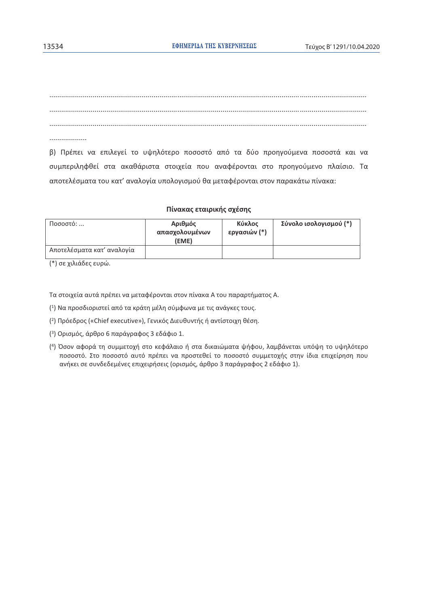. . . . . . . . . . . . . . . . . . .

β) Πρέπει να επιλεγεί το υψηλότερο ποσοστό από τα δύο προηγούμενα ποσοστά και να συμπεριληφθεί στα ακαθάριστα στοιχεία που αναφέρονται στο προηγούμενο πλαίσιο. Τα αποτελέσματα του κατ' αναλογία υπολογισμού θα μεταφέρονται στον παρακάτω πίνακα:

#### Πίνακας εταιρικής σχέσης

| Ποσοστό:                   | Αριθμός<br>απασχολουμένων<br>(EME) | Κύκλος<br>εργασιών (*) | Σύνολο ισολογισμού (*) |
|----------------------------|------------------------------------|------------------------|------------------------|
| Αποτελέσματα κατ' αναλογία |                                    |                        |                        |

(\*) σε χιλιάδες ευρώ.

Τα στοιχεία αυτά πρέπει να μεταφέρονται στον πίνακα Α του παραρτήματος Α.

- (1) Να προσδιοριστεί από τα κράτη μέλη σύμφωνα με τις ανάγκες τους.
- (<sup>2</sup>) Πρόεδρος («Chief executive»), Γενικός Διευθυντής ή αντίστοιχη θέση.
- (3) Ορισμός, άρθρο 6 παράγραφος 3 εδάφιο 1.
- (4) Όσον αφορά τη συμμετοχή στο κεφάλαιο ή στα δικαιώματα ψήφου, λαμβάνεται υπόψη το υψηλότερο ποσοστό. Στο ποσοστό αυτό πρέπει να προστεθεί το ποσοστό συμμετοχής στην ίδια επιχείρηση που ανήκει σε συνδεδεμένες επιχειρήσεις (ορισμός, άρθρο 3 παράγραφος 2 εδάφιο 1).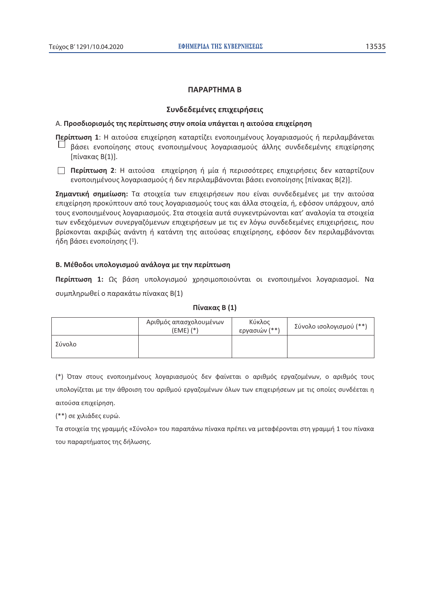#### ПАРАРТНМА В

#### Συνδεδεμένες επιχειρήσεις

#### Α. Προσδιορισμός της περίπτωσης στην οποία υπάγεται η αιτούσα επιχείρηση

Περίπτωση 1: Η αιτούσα επιχείρηση καταρτίζει ενοποιημένους λογαριασμούς ή περιλαμβάνεται βάσει ενοποίησης στους ενοποιημένους λογαριασμούς άλλης συνδεδεμένης επιχείρησης [πίνακας Β(1)].

**Περίπτωση 2**: Η αιτούσα επιχείρηση ή μία ή περισσότερες επιχειρήσεις δεν καταρτίζουν ενοποιημένους λογαριασμούς ή δεν περιλαμβάνονται βάσει ενοποίησης [πίνακας Β(2)].

Σημαντική σημείωση: Τα στοιχεία των επιχειρήσεων που είναι συνδεδεμένες με την αιτούσα επιχείρηση προκύπτουν από τους λογαριασμούς τους και άλλα στοιχεία, ή, εφόσον υπάρχουν, από τους ενοποιημένους λογαριασμούς. Στα στοιχεία αυτά συγκεντρώνονται κατ' αναλογία τα στοιχεία των ενδεχόμενων συνεργαζόμενων επιχειρήσεων με τις εν λόγω συνδεδεμένες επιχειρήσεις, που βρίσκονται ακριβώς ανάντη ή κατάντη της αιτούσας επιχείρησης, εφόσον δεν περιλαμβάνονται ήδη βάσει ενοποίησης (1).

#### Β. Μέθοδοι υπολογισμού ανάλογα με την περίπτωση

Περίπτωση 1: Ως βάση υπολογισμού χρησιμοποιούνται οι ενοποιημένοι λογαριασμοί. Να συμπληρωθεί ο παρακάτω πίνακας Β(1)

| Πίνακας Β (1) |  |  |
|---------------|--|--|
|---------------|--|--|

|        | Αριθμός απασχολουμένων<br>$(EME)$ $(*)$ | Κύκλος<br>εργασιών (**) | Σύνολο ισολογισμού (**) |
|--------|-----------------------------------------|-------------------------|-------------------------|
| Σύνολο |                                         |                         |                         |

(\*) Όταν στους ενοποιημένους λοναριασμούς δεν φαίνεται ο αριθμός ερναζομένων, ο αριθμός τους υπολογίζεται με την άθροιση του αριθμού εργαζομένων όλων των επιχειρήσεων με τις οποίες συνδέεται η αιτούσα επιχείρηση.

(\*\*) σε χιλιάδες ευρώ.

Τα στοιχεία της γραμμής «Σύνολο» του παραπάνω πίνακα πρέπει να μεταφέρονται στη γραμμή 1 του πίνακα του παραρτήματος της δήλωσης.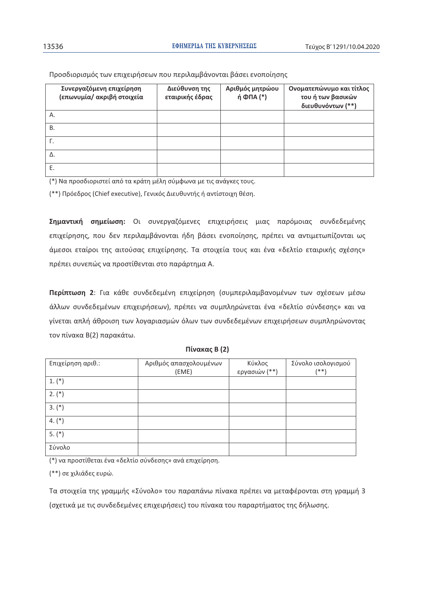| Συνεργαζόμενη επιχείρηση<br>(επωνυμία/ ακριβή στοιχεία | Διεύθυνση της<br>εταιρικής έδρας | Αριθμός μητρώου<br>ή ΦΠΑ (*) | Ονοματεπώνυμο και τίτλος<br>του ή των βασικών<br>διευθυνόντων (**) |
|--------------------------------------------------------|----------------------------------|------------------------------|--------------------------------------------------------------------|
| А.                                                     |                                  |                              |                                                                    |
| Β.                                                     |                                  |                              |                                                                    |
|                                                        |                                  |                              |                                                                    |
| Δ.                                                     |                                  |                              |                                                                    |
| Ε.                                                     |                                  |                              |                                                                    |

Προσδιορισμός των επιχειρήσεων που περιλαμβάνονται βάσει ενοποίησης

(\*) Να προσδιοριστεί από τα κράτη μέλη σύμφωνα με τις ανάγκες τους.

(\*\*) Πρόεδρος (Chief executive), Γενικός Διευθυντής ή αντίστοιχη θέση.

**Σημαντική σημείωση:** Οι συνεργαζόμενες επιχειρήσεις μιας παρόμοιας συνδεδεμένης επιχείρησης, που δεν περιλαμβάνονται ήδη βάσει ενοποίησης, πρέπει να αντιμετωπίζονται ως άμεσοι εταίροι της αιτούσας επιχείρησης. Τα στοιχεία τους και ένα «δελτίο εταιρικής σχέσης» πρέπει συνεπώς να προστίθενται στο παράρτημα Α.

**Περίπτωση 2**: Για κάθε συνδεδεμένη επιχείρηση (συμπεριλαμβανομένων των σχέσεων μέσω άλλων συνδεδεμένων επιχειρήσεων), πρέπει να συμπληρώνεται ένα «δελτίο σύνδεσης» και να γίνεται απλή άθροιση των λογαριασμών όλων των συνδεδεμένων επιχειρήσεων συμπληρώνοντας τον πίνακα Β(2) παρακάτω.

| Επιχείρηση αριθ.: | Αριθμός απασχολουμένων | Κύκλος        | Σύνολο ισολογισμού |
|-------------------|------------------------|---------------|--------------------|
|                   | (EME)                  | εργασιών (**) | $(* * )$           |
| $1. (*)$          |                        |               |                    |
| $2. (*)$          |                        |               |                    |
| $3. (*)$          |                        |               |                    |
| $4. (*)$          |                        |               |                    |
| $5. (*)$          |                        |               |                    |
| Σύνολο            |                        |               |                    |

#### **Πίνακας Β (2)**

(\*) να προστίθεται ένα «δελτίο σύνδεσης» ανά επιχείρηση.

(\*\*) σε χιλιάδες ευρώ.

Τα στοιχεία της γραμμής «Σύνολο» του παραπάνω πίνακα πρέπει να μεταφέρονται στη γραμμή 3 (σχετικά με τις συνδεδεμένες επιχειρήσεις) του πίνακα του παραρτήματος της δήλωσης.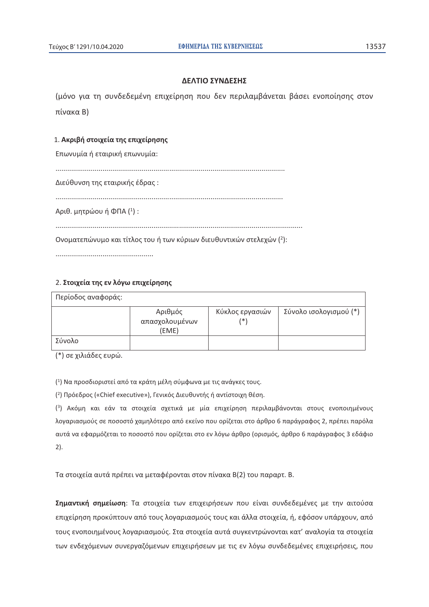### ΔΕΛΤΙΟ ΣΥΝΔΕΣΗΣ

(μόνο για τη συνδεδεμένη επιχείρηση που δεν περιλαμβάνεται βάσει ενοποίησης στον πίνακα Β)

#### 1. Ακριβή στοιχεία της επιχείρησης

Επωνυμία ή εταιρική επωνυμία:

Διεύθυνση της εταιρικής έδρας :

Αριθ. μητρώου ή ΦΠΑ (1):

Ονοματεπώνυμο και τίτλος του ή των κύριων διευθυντικών στελεχών (2):

### 2. Στοιχεία της εν λόγω επιχείρησης

Περίοδος αναφοράς: Αριθμός Κύκλος εργασιών Σύνολο ισολογισμού (\*) απασχολουμένων  $(*)$  $(EME)$ Σύνολο

(\*) σε χιλιάδες ευρώ.

(1) Να προσδιοριστεί από τα κράτη μέλη σύμφωνα με τις ανάγκες τους.

(2) Πρόεδρος («Chief executive»), Γενικός Διευθυντής ή αντίστοιχη θέση.

(3) Ακόμη και εάν τα στοιχεία σχετικά με μία επιχείρηση περιλαμβάνονται στους ενοποιημένους λογαριασμούς σε ποσοστό χαμηλότερο από εκείνο που ορίζεται στο άρθρο 6 παράγραφος 2, πρέπει παρόλα αυτά να εφαρμόζεται το ποσοστό που ορίζεται στο εν λόγω άρθρο (ορισμός, άρθρο 6 παράγραφος 3 εδάφιο  $2$ ).

Τα στοιχεία αυτά πρέπει να μεταφέρονται στον πίνακα Β(2) του παραρτ. Β.

Σημαντική σημείωση: Τα στοιχεία των επιχειρήσεων που είναι συνδεδεμένες με την αιτούσα επιχείρηση προκύπτουν από τους λογαριασμούς τους και άλλα στοιχεία, ή, εφόσον υπάρχουν, από τους ενοποιημένους λογαριασμούς. Στα στοιχεία αυτά συγκεντρώνονται κατ' αναλογία τα στοιχεία των ενδεχόμενων συνεργαζόμενων επιχειρήσεων με τις εν λόγω συνδεδεμένες επιχειρήσεις, που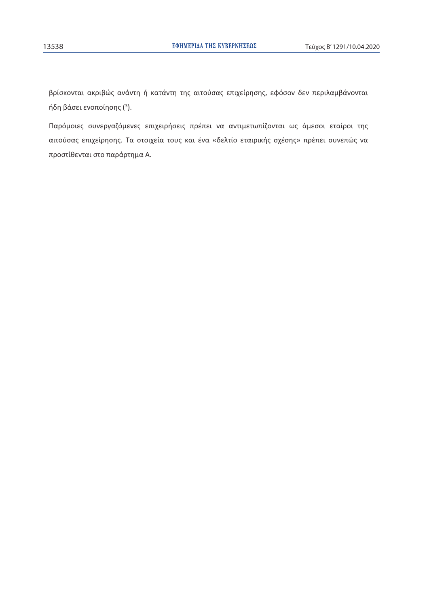βρίσκονται ακριβώς ανάντη ή κατάντη της αιτούσας επιχείρησης, εφόσον δεν περιλαμβάνονται ήδη βάσει ενοποίησης (3).

Παρόμοιες συνεργαζόμενες επιχειρήσεις πρέπει να αντιμετωπίζονται ως άμεσοι εταίροι της αιτούσας επιχείρησης. Τα στοιχεία τους και ένα «δελτίο εταιρικής σχέσης» πρέπει συνεπώς να προστίθενται στο παράρτημα Α.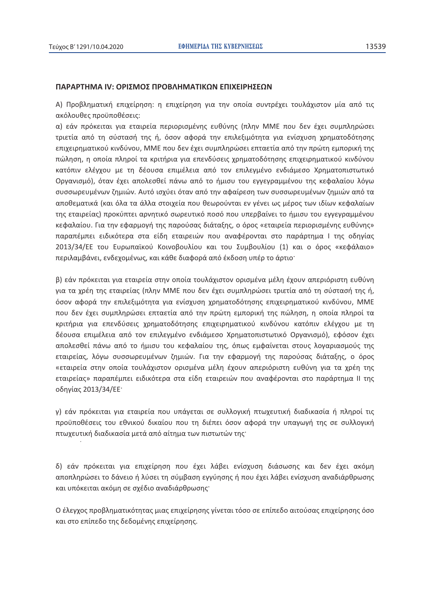#### ΠΑΡΑΡΤΗΜΑ ΙΝ: ΟΡΙΣΜΟΣ ΠΡΟΒΛΗΜΑΤΙΚΩΝ ΕΠΙΧΕΙΡΗΣΕΩΝ

A) Προβληματική επιχείρηση: η επιχείρηση για την οποία συντρέχει τουλάχιστον μία από τις ακόλουθες προϋποθέσεις:

α) εάν πρόκειται για εταιρεία περιορισμένης ευθύνης (πλην ΜΜΕ που δεν έχει συμπληρώσει τριετία από τη σύστασή της ή, όσον αφορά την επιλεξιμότητα για ενίσχυση χρηματοδότησης επιχειρηματικού κινδύνου, ΜΜΕ που δεν έχει συμπληρώσει επταετία από την πρώτη εμπορική της πώληση, η οποία πληροί τα κριτήρια για επενδύσεις χρηματοδότησης επιχειρηματικού κινδύνου κατόπιν ελέγχου με τη δέουσα επιμέλεια από τον επιλεγμένο ενδιάμεσο Χρηματοπιστωτικό Οργανισμό), όταν έχει απολεσθεί πάνω από το ήμισυ του εγγεγραμμένου της κεφαλαίου λόγω συσσωρευμένων ζημιών. Αυτό ισχύει όταν από την αφαίρεση των συσσωρευμένων ζημιών από τα αποθεματικά (και όλα τα άλλα στοιχεία που θεωρούνται εν γένει ως μέρος των ιδίων κεφαλαίων της εταιρείας) προκύπτει αρνητικό σωρευτικό ποσό που υπερβαίνει το ήμισυ του εγγεγραμμένου κεφαλαίου. Για την εφαρμογή της παρούσας διάταξης, ο όρος «εταιρεία περιορισμένης ευθύνης» παραπέμπει ειδικότερα στα είδη εταιρειών που αναφέρονται στο παράρτημα I της οδηγίας 2013/34/ΕΕ του Ευρωπαϊκού Κοινοβουλίου και του Συμβουλίου (1) και ο όρος «κεφάλαιο» περιλαμβάνει, ενδεχομένως, και κάθε διαφορά από έκδοση υπέρ το άρτιο<sup>.</sup>

β) εάν πρόκειται για εταιρεία στην οποία τουλάχιστον ορισμένα μέλη έχουν απεριόριστη ευθύνη για τα χρέη της εταιρείας (πλην ΜΜΕ που δεν έχει συμπληρώσει τριετία από τη σύστασή της ή, όσον αφορά την επιλεξιμότητα για ενίσχυση χρηματοδότησης επιχειρηματικού κινδύνου, ΜΜΕ που δεν έχει συμπληρώσει επταετία από την πρώτη εμπορική της πώληση, η οποία πληροί τα κριτήρια για επενδύσεις χρηματοδότησης επιχειρηματικού κινδύνου κατόπιν ελέγχου με τη δέουσα επιμέλεια από τον επιλεγμένο ενδιάμεσο Χρηματοπιστωτικό Οργανισμό), εφόσον έχει απολεσθεί πάνω από το ήμισυ του κεφαλαίου της, όπως εμφαίνεται στους λογαριασμούς της εταιρείας, λόγω συσσωρευμένων ζημιών. Για την εφαρμογή της παρούσας διάταξης, ο όρος «εταιρεία στην οποία τουλάχιστον ορισμένα μέλη έχουν απεριόριστη ευθύνη για τα χρέη της εταιρείας» παραπέμπει ειδικότερα στα είδη εταιρειών που αναφέρονται στο παράρτημα II της οδηγίας 2013/34/ΕΕ'

γ) εάν πρόκειται για εταιρεία που υπάγεται σε συλλογική πτωχευτική διαδικασία ή πληροί τις προϋποθέσεις του εθνικού δικαίου που τη διέπει όσον αφορά την υπαγωγή της σε συλλογική πτωχευτική διαδικασία μετά από αίτημα των πιστωτών της·

δ) εάν πρόκειται για επιχείρηση που έχει λάβει ενίσχυση διάσωσης και δεν έχει ακόμη αποπληρώσει το δάνειο ή λύσει τη σύμβαση εγγύησης ή που έχει λάβει ενίσχυση αναδιάρθρωσης και υπόκειται ακόμη σε σχέδιο αναδιάρθρωσης·

Ο έλεγχος προβληματικότητας μιας επιχείρησης γίνεται τόσο σε επίπεδο αιτούσας επιχείρησης όσο και στο επίπεδο της δεδομένης επιχείρησης.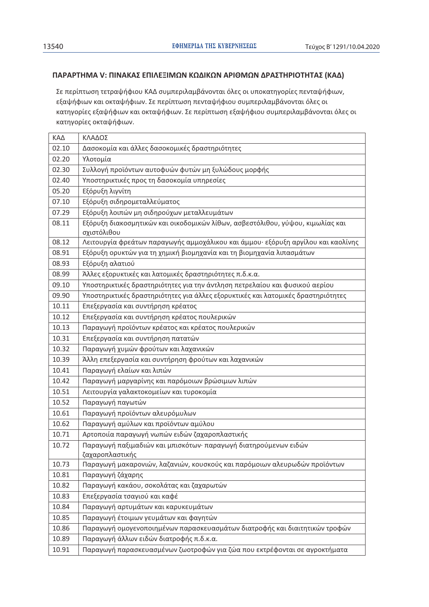# ΠΑΡΑΡΤΗΜΑ V: ΠΙΝΑΚΑΣ ΕΠΙΛΕΞΙΜΩΝ ΚΩΔΙΚΩΝ ΑΡΙΘΜΩΝ ΔΡΑΣΤΗΡΙΟΤΗΤΑΣ (ΚΑΔ)

Σε περίπτωση τετραψήφιου ΚΑΔ συμπεριλαμβάνονται όλες οι υποκατηγορίες πενταψήφιων, εξαψήφιων και οκταψήφιων. Σε περίπτωση πενταψήφιου συμπεριλαμβάνονται όλες οι κατηγορίες εξαψήφιων και οκταψήφιων. Σε περίπτωση εξαψήφιου συμπεριλαμβάνονται όλες οι κατηγορίες οκταψήφιων.

| ΚΑΔ   | ΚΛΑΔΟΣ                                                                                        |
|-------|-----------------------------------------------------------------------------------------------|
| 02.10 | Δασοκομία και άλλες δασοκομικές δραστηριότητες                                                |
| 02.20 | Υλοτομία                                                                                      |
| 02.30 | Συλλογή προϊόντων αυτοφυών φυτών μη ξυλώδους μορφής                                           |
| 02.40 | Υποστηρικτικές προς τη δασοκομία υπηρεσίες                                                    |
| 05.20 | Εξόρυξη λιγνίτη                                                                               |
| 07.10 | Εξόρυξη σιδηρομεταλλεύματος                                                                   |
| 07.29 | Εξόρυξη λοιπών μη σιδηρούχων μεταλλευμάτων                                                    |
| 08.11 | Εξόρυξη διακοσμητικών και οικοδομικών λίθων, ασβεστόλιθου, γύψου, κιμωλίας και<br>σχιστόλιθου |
| 08.12 | Λειτουργία φρεάτων παραγωγής αμμοχάλικου και άμμου· εξόρυξη αργίλου και καολίνης              |
| 08.91 | Εξόρυξη ορυκτών για τη χημική βιομηχανία και τη βιομηχανία λιπασμάτων                         |
| 08.93 | Εξόρυξη αλατιού                                                                               |
| 08.99 | Άλλες εξορυκτικές και λατομικές δραστηριότητες π.δ.κ.α.                                       |
| 09.10 | Υποστηρικτικές δραστηριότητες για την άντληση πετρελαίου και φυσικού αερίου                   |
| 09.90 | Υποστηρικτικές δραστηριότητες για άλλες εξορυκτικές και λατομικές δραστηριότητες              |
| 10.11 | Επεξεργασία και συντήρηση κρέατος                                                             |
| 10.12 | Επεξεργασία και συντήρηση κρέατος πουλερικών                                                  |
| 10.13 | Παραγωγή προϊόντων κρέατος και κρέατος πουλερικών                                             |
| 10.31 | Επεξεργασία και συντήρηση πατατών                                                             |
| 10.32 | Παραγωγή χυμών φρούτων και λαχανικών                                                          |
| 10.39 | Άλλη επεξεργασία και συντήρηση φρούτων και λαχανικών                                          |
| 10.41 | Παραγωγή ελαίων και λιπών                                                                     |
| 10.42 | Παραγωγή μαργαρίνης και παρόμοιων βρώσιμων λιπών                                              |
| 10.51 | Λειτουργία γαλακτοκομείων και τυροκομία                                                       |
| 10.52 | Παραγωγή παγωτών                                                                              |
| 10.61 | Παραγωγή προϊόντων αλευρόμυλων                                                                |
| 10.62 | Παραγωγή αμύλων και προϊόντων αμύλου                                                          |
| 10.71 | Αρτοποιία παραγωγή νωπών ειδών ζαχαροπλαστικής                                                |
| 10.72 | Παραγωγή παξιμαδιών και μπισκότων· παραγωγή διατηρούμενων ειδών                               |
|       | ζαχαροπλαστικής                                                                               |
| 10.73 | Παραγωγή μακαρονιών, λαζανιών, κουσκούς και παρόμοιων αλευρωδών προϊόντων                     |
| 10.81 | Παραγωγή ζάχαρης                                                                              |
| 10.82 | Παραγωγή κακάου, σοκολάτας και ζαχαρωτών                                                      |
| 10.83 | Επεξεργασία τσαγιού και καφέ                                                                  |
| 10.84 | Παραγωγή αρτυμάτων και καρυκευμάτων                                                           |
| 10.85 | Παραγωγή έτοιμων γευμάτων και φαγητών                                                         |
| 10.86 | Παραγωγή ομογενοποιημένων παρασκευασμάτων διατροφής και διαιτητικών τροφών                    |
| 10.89 | Παραγωγή άλλων ειδών διατροφής π.δ.κ.α.                                                       |
| 10.91 | Παραγωγή παρασκευασμένων ζωοτροφών για ζώα που εκτρέφονται σε αγροκτήματα                     |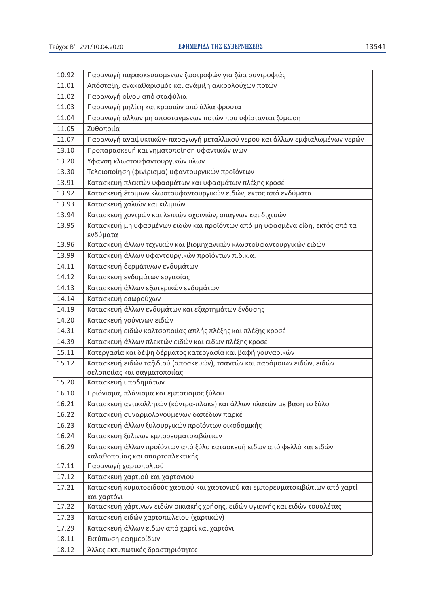| 10.92 | Παραγωγή παρασκευασμένων ζωοτροφών για ζώα συντροφιάς                                                    |
|-------|----------------------------------------------------------------------------------------------------------|
| 11.01 | Απόσταξη, ανακαθαρισμός και ανάμιξη αλκοολούχων ποτών                                                    |
| 11.02 | Παραγωγή οίνου από σταφύλια                                                                              |
| 11.03 | Παραγωγή μηλίτη και κρασιών από άλλα φρούτα                                                              |
| 11.04 | Παραγωγή άλλων μη αποσταγμένων ποτών που υφίστανται ζύμωση                                               |
| 11.05 | Ζυθοποιία                                                                                                |
| 11.07 | Παραγωγή αναψυκτικών· παραγωγή μεταλλικού νερού και άλλων εμφιαλωμένων νερών                             |
| 13.10 | Προπαρασκευή και νηματοποίηση υφαντικών ινών                                                             |
| 13.20 | Ύφανση κλωστοϋφαντουργικών υλών                                                                          |
| 13.30 | Τελειοποίηση (φινίρισμα) υφαντουργικών προϊόντων                                                         |
| 13.91 | Κατασκευή πλεκτών υφασμάτων και υφασμάτων πλέξης κροσέ                                                   |
| 13.92 | Κατασκευή έτοιμων κλωστοϋφαντουργικών ειδών, εκτός από ενδύματα                                          |
| 13.93 | Κατασκευή χαλιών και κιλιμιών                                                                            |
| 13.94 | Κατασκευή χοντρών και λεπτών σχοινιών, σπάγγων και διχτυών                                               |
| 13.95 | Κατασκευή μη υφασμένων ειδών και προϊόντων από μη υφασμένα είδη, εκτός από τα                            |
|       | ενδύματα                                                                                                 |
| 13.96 | Κατασκευή άλλων τεχνικών και βιομηχανικών κλωστοϋφαντουργικών ειδών                                      |
| 13.99 | Κατασκευή άλλων υφαντουργικών προϊόντων π.δ.κ.α.                                                         |
| 14.11 | Κατασκευή δερμάτινων ενδυμάτων                                                                           |
| 14.12 | Κατασκευή ενδυμάτων εργασίας                                                                             |
| 14.13 | Κατασκευή άλλων εξωτερικών ενδυμάτων                                                                     |
| 14.14 | Κατασκευή εσωρούχων                                                                                      |
| 14.19 | Κατασκευή άλλων ενδυμάτων και εξαρτημάτων ένδυσης                                                        |
| 14.20 | Κατασκευή γούνινων ειδών                                                                                 |
| 14.31 | Κατασκευή ειδών καλτσοποιίας απλής πλέξης και πλέξης κροσέ                                               |
| 14.39 | Κατασκευή άλλων πλεκτών ειδών και ειδών πλέξης κροσέ                                                     |
| 15.11 | Κατεργασία και δέψη δέρματος κατεργασία και βαφή γουναρικών                                              |
| 15.12 | Κατασκευή ειδών ταξιδιού (αποσκευών), τσαντών και παρόμοιων ειδών, ειδών<br>σελοποιίας και σαγματοποιίας |
| 15.20 | Κατασκευή υποδημάτων                                                                                     |
| 16.10 | Πριόνισμα, πλάνισμα και εμποτισμός ξύλου                                                                 |
| 16.21 | Κατασκευή αντικολλητών (κόντρα-πλακέ) και άλλων πλακών με βάση το ξύλο                                   |
| 16.22 | Κατασκευή συναρμολογούμενων δαπέδων παρκέ                                                                |
| 16.23 | Κατασκευή άλλων ξυλουργικών προϊόντων οικοδομικής                                                        |
| 16.24 | Κατασκευή ξύλινων εμπορευματοκιβώτιων                                                                    |
| 16.29 | Κατασκευή άλλων προϊόντων από ξύλο κατασκευή ειδών από φελλό και ειδών                                   |
|       | καλαθοποιίας και σπαρτοπλεκτικής                                                                         |
| 17.11 | Παραγωγή χαρτοπολτού                                                                                     |
| 17.12 | Κατασκευή χαρτιού και χαρτονιού                                                                          |
| 17.21 | Κατασκευή κυματοειδούς χαρτιού και χαρτονιού και εμπορευματοκιβώτιων από χαρτί<br>και χαρτόνι            |
| 17.22 | Κατασκευή χάρτινων ειδών οικιακής χρήσης, ειδών υγιεινής και ειδών τουαλέτας                             |
| 17.23 | Κατασκευή ειδών χαρτοπωλείου (χαρτικών)                                                                  |
| 17.29 | Κατασκευή άλλων ειδών από χαρτί και χαρτόνι                                                              |
| 18.11 | Εκτύπωση εφημερίδων                                                                                      |
| 18.12 | Άλλες εκτυπωτικές δραστηριότητες                                                                         |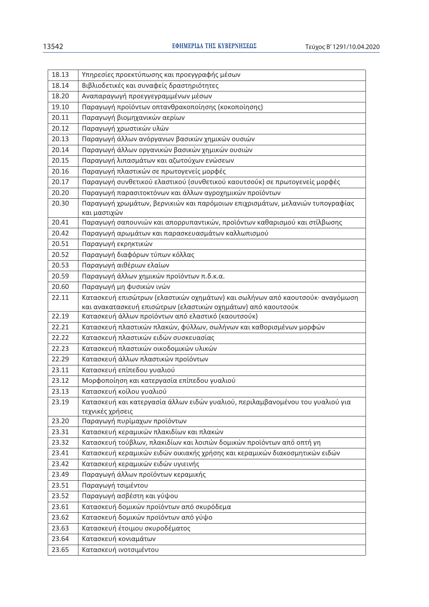| 18.13 | Υπηρεσίες προεκτύπωσης και προεγγραφής μέσων                                   |
|-------|--------------------------------------------------------------------------------|
| 18.14 | Βιβλιοδετικές και συναφείς δραστηριότητες                                      |
| 18.20 | Αναπαραγωγή προεγγεγραμμένων μέσων                                             |
| 19.10 | Παραγωγή προϊόντων οπτανθρακοποίησης (κοκοποίησης)                             |
| 20.11 | Παραγωγή βιομηχανικών αερίων                                                   |
| 20.12 | Παραγωγή χρωστικών υλών                                                        |
| 20.13 | Παραγωγή άλλων ανόργανων βασικών χημικών ουσιών                                |
| 20.14 | Παραγωγή άλλων οργανικών βασικών χημικών ουσιών                                |
| 20.15 | Παραγωγή λιπασμάτων και αζωτούχων ενώσεων                                      |
| 20.16 | Παραγωγή πλαστικών σε πρωτογενείς μορφές                                       |
| 20.17 | Παραγωγή συνθετικού ελαστικού (συνθετικού καουτσούκ) σε πρωτογενείς μορφές     |
| 20.20 | Παραγωγή παρασιτοκτόνων και άλλων αγροχημικών προϊόντων                        |
| 20.30 | Παραγωγή χρωμάτων, βερνικιών και παρόμοιων επιχρισμάτων, μελανιών τυπογραφίας  |
|       | και μαστιχών                                                                   |
| 20.41 | Παραγωγή σαπουνιών και απορρυπαντικών, προϊόντων καθαρισμού και στίλβωσης      |
| 20.42 | Παραγωγή αρωμάτων και παρασκευασμάτων καλλωπισμού                              |
| 20.51 | Παραγωγή εκρηκτικών                                                            |
| 20.52 | Παραγωγή διαφόρων τύπων κόλλας                                                 |
| 20.53 | Παραγωγή αιθέριων ελαίων                                                       |
| 20.59 | Παραγωγή άλλων χημικών προϊόντων π.δ.κ.α.                                      |
| 20.60 | Παραγωγή μη φυσικών ινών                                                       |
| 22.11 | Κατασκευή επισώτρων (ελαστικών οχημάτων) και σωλήνων από καουτσούκ· αναγόμωση  |
|       | και ανακατασκευή επισώτρων (ελαστικών οχημάτων) από καουτσούκ                  |
| 22.19 | Κατασκευή άλλων προϊόντων από ελαστικό (καουτσούκ)                             |
| 22.21 | Κατασκευή πλαστικών πλακών, φύλλων, σωλήνων και καθορισμένων μορφών            |
| 22.22 | Κατασκευή πλαστικών ειδών συσκευασίας                                          |
| 22.23 | Κατασκευή πλαστικών οικοδομικών υλικών                                         |
| 22.29 | Κατασκευή άλλων πλαστικών προϊόντων                                            |
| 23.11 | Κατασκευή επίπεδου γυαλιού                                                     |
| 23.12 | Μορφοποίηση και κατεργασία επίπεδου γυαλιού                                    |
| 23.13 | Κατασκευή κοίλου γυαλιού                                                       |
| 23.19 | Κατασκευή και κατεργασία άλλων ειδών γυαλιού, περιλαμβανομένου του γυαλιού για |
|       | τεχνικές χρήσεις                                                               |
| 23.20 | Παραγωγή πυρίμαχων προϊόντων                                                   |
| 23.31 | Κατασκευή κεραμικών πλακιδίων και πλακών                                       |
| 23.32 | Κατασκευή τούβλων, πλακιδίων και λοιπών δομικών προϊόντων από οπτή γη          |
| 23.41 | Κατασκευή κεραμικών ειδών οικιακής χρήσης και κεραμικών διακοσμητικών ειδών    |
| 23.42 | Κατασκευή κεραμικών ειδών υγιεινής                                             |
| 23.49 | Παραγωγή άλλων προϊόντων κεραμικής                                             |
| 23.51 | Παραγωγή τσιμέντου                                                             |
| 23.52 | Παραγωγή ασβέστη και γύψου                                                     |
| 23.61 | Κατασκευή δομικών προϊόντων από σκυρόδεμα                                      |
| 23.62 | Κατασκευή δομικών προϊόντων από γύψο                                           |
| 23.63 | Κατασκευή έτοιμου σκυροδέματος                                                 |
| 23.64 | Κατασκευή κονιαμάτων                                                           |
| 23.65 | Κατασκευή ινοτσιμέντου                                                         |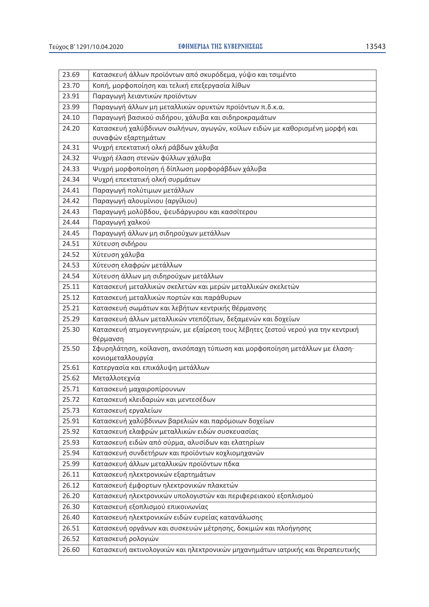| 23.69          | Κατασκευή άλλων προϊόντων από σκυρόδεμα, γύψο και τσιμέντο                       |
|----------------|----------------------------------------------------------------------------------|
| 23.70          | Κοπή, μορφοποίηση και τελική επεξεργασία λίθων                                   |
| 23.91          | Παραγωγή λειαντικών προϊόντων                                                    |
| 23.99          | Παραγωγή άλλων μη μεταλλικών ορυκτών προϊόντων π.δ.κ.α.                          |
| 24.10          | Παραγωγή βασικού σιδήρου, χάλυβα και σιδηροκραμάτων                              |
| 24.20          | Κατασκευή χαλύβδινων σωλήνων, αγωγών, κοίλων ειδών με καθορισμένη μορφή και      |
|                | συναφών εξαρτημάτων                                                              |
| 24.31          | Ψυχρή επεκτατική ολκή ράβδων χάλυβα                                              |
| 24.32          | Ψυχρή έλαση στενών φύλλων χάλυβα                                                 |
| 24.33          | Ψυχρή μορφοποίηση ή δίπλωση μορφοράβδων χάλυβα                                   |
| 24.34          | Ψυχρή επεκτατική ολκή συρμάτων                                                   |
| 24.41          | Παραγωγή πολύτιμων μετάλλων                                                      |
| 24.42          | Παραγωγή αλουμίνιου (αργίλιου)                                                   |
| 24.43          | Παραγωγή μολύβδου, ψευδάργυρου και κασσίτερου                                    |
| 24.44          | Παραγωγή χαλκού                                                                  |
| 24.45          | Παραγωγή άλλων μη σιδηρούχων μετάλλων                                            |
| 24.51          | Χύτευση σιδήρου                                                                  |
| 24.52          | Χύτευση χάλυβα                                                                   |
| 24.53          | Χύτευση ελαφρών μετάλλων                                                         |
| 24.54          | Χύτευση άλλων μη σιδηρούχων μετάλλων                                             |
| 25.11          | Κατασκευή μεταλλικών σκελετών και μερών μεταλλικών σκελετών                      |
| 25.12          | Κατασκευή μεταλλικών πορτών και παράθυρων                                        |
| 25.21          | Κατασκευή σωμάτων και λεβήτων κεντρικής θέρμανσης                                |
| 25.29          | Κατασκευή άλλων μεταλλικών ντεπόζιτων, δεξαμενών και δοχείων                     |
| 25.30          | Κατασκευή ατμογεννητριών, με εξαίρεση τους λέβητες ζεστού νερού για την κεντρική |
|                | θέρμανση                                                                         |
| 25.50          | Σφυρηλάτηση, κοίλανση, ανισόπαχη τύπωση και μορφοποίηση μετάλλων με έλαση·       |
| 25.61          | κονιομεταλλουργία<br>Κατεργασία και επικάλυψη μετάλλων                           |
| 25.62          | Μεταλλοτεχνία                                                                    |
| 25.71          | Κατασκευή μαχαιροπίρουνων                                                        |
|                |                                                                                  |
| 25.72<br>25.73 | Κατασκευή κλειδαριών και μεντεσέδων<br>Κατασκευή εργαλείων                       |
| 25.91          | Κατασκευή χαλύβδινων βαρελιών και παρόμοιων δοχείων                              |
| 25.92          | Κατασκευή ελαφρών μεταλλικών ειδών συσκευασίας                                   |
| 25.93          | Κατασκευή ειδών από σύρμα, αλυσίδων και ελατηρίων                                |
| 25.94          | Κατασκευή συνδετήρων και προϊόντων κοχλιομηχανών                                 |
| 25.99          | Κατασκευή άλλων μεταλλικών προϊόντων πδκα                                        |
| 26.11          | Κατασκευή ηλεκτρονικών εξαρτημάτων                                               |
| 26.12          | Κατασκευή έμφορτων ηλεκτρονικών πλακετών                                         |
| 26.20          | Κατασκευή ηλεκτρονικών υπολογιστών και περιφερειακού εξοπλισμού                  |
| 26.30          | Κατασκευή εξοπλισμού επικοινωνίας                                                |
| 26.40          | Κατασκευή ηλεκτρονικών ειδών ευρείας κατανάλωσης                                 |
| 26.51          | Κατασκευή οργάνων και συσκευών μέτρησης, δοκιμών και πλοήγησης                   |
| 26.52          | Κατασκευή ρολογιών                                                               |
|                |                                                                                  |
| 26.60          | Κατασκευή ακτινολογικών και ηλεκτρονικών μηχανημάτων ιατρικής και θεραπευτικής   |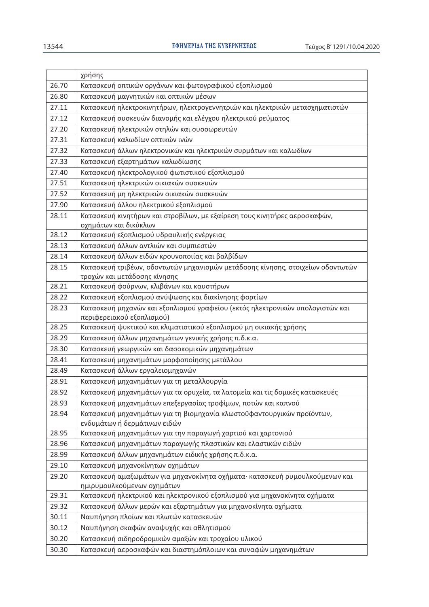|       | χρήσης                                                                         |
|-------|--------------------------------------------------------------------------------|
| 26.70 | Κατασκευή οπτικών οργάνων και φωτογραφικού εξοπλισμού                          |
| 26.80 | Κατασκευή μαγνητικών και οπτικών μέσων                                         |
| 27.11 | Κατασκευή ηλεκτροκινητήρων, ηλεκτρογεννητριών και ηλεκτρικών μετασχηματιστών   |
| 27.12 | Κατασκευή συσκευών διανομής και ελέγχου ηλεκτρικού ρεύματος                    |
| 27.20 | Κατασκευή ηλεκτρικών στηλών και συσσωρευτών                                    |
| 27.31 | Κατασκευή καλωδίων οπτικών ινών                                                |
| 27.32 | Κατασκευή άλλων ηλεκτρονικών και ηλεκτρικών συρμάτων και καλωδίων              |
| 27.33 | Κατασκευή εξαρτημάτων καλωδίωσης                                               |
| 27.40 | Κατασκευή ηλεκτρολογικού φωτιστικού εξοπλισμού                                 |
| 27.51 | Κατασκευή ηλεκτρικών οικιακών συσκευών                                         |
| 27.52 | Κατασκευή μη ηλεκτρικών οικιακών συσκευών                                      |
| 27.90 | Κατασκευή άλλου ηλεκτρικού εξοπλισμού                                          |
| 28.11 | Κατασκευή κινητήρων και στροβίλων, με εξαίρεση τους κινητήρες αεροσκαφών,      |
|       | οχημάτων και δικύκλων                                                          |
| 28.12 | Κατασκευή εξοπλισμού υδραυλικής ενέργειας                                      |
| 28.13 | Κατασκευή άλλων αντλιών και συμπιεστών                                         |
| 28.14 | Κατασκευή άλλων ειδών κρουνοποιίας και βαλβίδων                                |
| 28.15 | Κατασκευή τριβέων, οδοντωτών μηχανισμών μετάδοσης κίνησης, στοιχείων οδοντωτών |
|       | τροχών και μετάδοσης κίνησης                                                   |
| 28.21 | Κατασκευή φούρνων, κλιβάνων και καυστήρων                                      |
| 28.22 | Κατασκευή εξοπλισμού ανύψωσης και διακίνησης φορτίων                           |
| 28.23 | Κατασκευή μηχανών και εξοπλισμού γραφείου (εκτός ηλεκτρονικών υπολογιστών και  |
|       | περιφερειακού εξοπλισμού)                                                      |
| 28.25 | Κατασκευή ψυκτικού και κλιματιστικού εξοπλισμού μη οικιακής χρήσης             |
| 28.29 | Κατασκευή άλλων μηχανημάτων γενικής χρήσης π.δ.κ.α.                            |
| 28.30 | Κατασκευή γεωργικών και δασοκομικών μηχανημάτων                                |
| 28.41 | Κατασκευή μηχανημάτων μορφοποίησης μετάλλου                                    |
| 28.49 | Κατασκευή άλλων εργαλειομηχανών                                                |
| 28.91 | Κατασκευή μηχανημάτων για τη μεταλλουργία                                      |
| 28.92 | Κατασκευή μηχανημάτων για τα ορυχεία, τα λατομεία και τις δομικές κατασκευές   |
| 28.93 | Κατασκευή μηχανημάτων επεξεργασίας τροφίμων, ποτών και καπνού                  |
| 28.94 | Κατασκευή μηχανημάτων για τη βιομηχανία κλωστοϋφαντουργικών προϊόντων,         |
|       | ενδυμάτων ή δερμάτινων ειδών                                                   |
| 28.95 | Κατασκευή μηχανημάτων για την παραγωγή χαρτιού και χαρτονιού                   |
| 28.96 | Κατασκευή μηχανημάτων παραγωγής πλαστικών και ελαστικών ειδών                  |
| 28.99 | Κατασκευή άλλων μηχανημάτων ειδικής χρήσης π.δ.κ.α.                            |
| 29.10 | Κατασκευή μηχανοκίνητων οχημάτων                                               |
| 29.20 | Κατασκευή αμαξωμάτων για μηχανοκίνητα οχήματα· κατασκευή ρυμουλκούμενων και    |
|       | ημιρυμουλκούμενων οχημάτων                                                     |
| 29.31 | Κατασκευή ηλεκτρικού και ηλεκτρονικού εξοπλισμού για μηχανοκίνητα οχήματα      |
| 29.32 | Κατασκευή άλλων μερών και εξαρτημάτων για μηχανοκίνητα οχήματα                 |
| 30.11 | Ναυπήγηση πλοίων και πλωτών κατασκευών                                         |
| 30.12 | Ναυπήγηση σκαφών αναψυχής και αθλητισμού                                       |
| 30.20 | Κατασκευή σιδηροδρομικών αμαξών και τροχαίου υλικού                            |
| 30.30 | Κατασκευή αεροσκαφών και διαστημόπλοιων και συναφών μηχανημάτων                |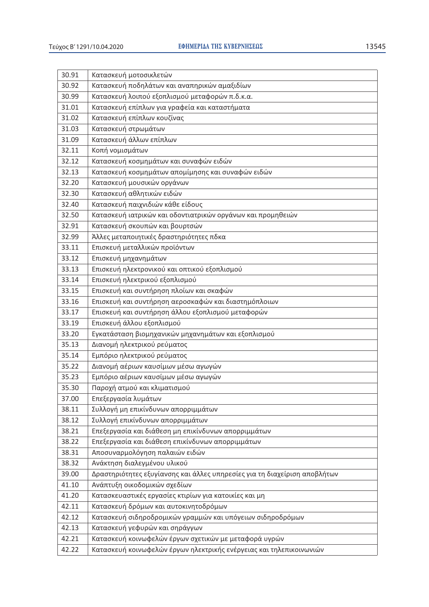| 30.91 | Κατασκευή μοτοσικλετών                                                    |
|-------|---------------------------------------------------------------------------|
| 30.92 | Κατασκευή ποδηλάτων και αναπηρικών αμαξιδίων                              |
| 30.99 | Κατασκευή λοιπού εξοπλισμού μεταφορών π.δ.κ.α.                            |
| 31.01 | Κατασκευή επίπλων για γραφεία και καταστήματα                             |
| 31.02 | Κατασκευή επίπλων κουζίνας                                                |
| 31.03 | Κατασκευή στρωμάτων                                                       |
| 31.09 | Κατασκευή άλλων επίπλων                                                   |
| 32.11 | Κοπή νομισμάτων                                                           |
| 32.12 | Κατασκευή κοσμημάτων και συναφών ειδών                                    |
| 32.13 | Κατασκευή κοσμημάτων απομίμησης και συναφών ειδών                         |
| 32.20 | Κατασκευή μουσικών οργάνων                                                |
| 32.30 | Κατασκευή αθλητικών ειδών                                                 |
| 32.40 | Κατασκευή παιχνιδιών κάθε είδους                                          |
| 32.50 | Κατασκευή ιατρικών και οδοντιατρικών οργάνων και προμηθειών               |
| 32.91 | Κατασκευή σκουπών και βουρτσών                                            |
| 32.99 | Άλλες μεταποιητικές δραστηριότητες πδκα                                   |
| 33.11 | Επισκευή μεταλλικών προϊόντων                                             |
| 33.12 | Επισκευή μηχανημάτων                                                      |
| 33.13 | Επισκευή ηλεκτρονικού και οπτικού εξοπλισμού                              |
| 33.14 | Επισκευή ηλεκτρικού εξοπλισμού                                            |
| 33.15 | Επισκευή και συντήρηση πλοίων και σκαφών                                  |
| 33.16 | Επισκευή και συντήρηση αεροσκαφών και διαστημόπλοιων                      |
| 33.17 | Επισκευή και συντήρηση άλλου εξοπλισμού μεταφορών                         |
| 33.19 | Επισκευή άλλου εξοπλισμού                                                 |
| 33.20 | Εγκατάσταση βιομηχανικών μηχανημάτων και εξοπλισμού                       |
| 35.13 | Διανομή ηλεκτρικού ρεύματος                                               |
| 35.14 | Εμπόριο ηλεκτρικού ρεύματος                                               |
| 35.22 | Διανομή αέριων καυσίμων μέσω αγωγών                                       |
| 35.23 | Εμπόριο αέριων καυσίμων μέσω αγωγών                                       |
| 35.30 | Παροχή ατμού και κλιματισμού                                              |
| 37.00 | Επεξεργασία λυμάτων                                                       |
| 38.11 | Συλλογή μη επικίνδυνων απορριμμάτων                                       |
| 38.12 | Συλλογή επικίνδυνων απορριμμάτων                                          |
| 38.21 | Επεξεργασία και διάθεση μη επικίνδυνων απορριμμάτων                       |
| 38.22 | Επεξεργασία και διάθεση επικίνδυνων απορριμμάτων                          |
| 38.31 | Αποσυναρμολόγηση παλαιών ειδών                                            |
| 38.32 | Ανάκτηση διαλεγμένου υλικού                                               |
| 39.00 | Δραστηριότητες εξυγίανσης και άλλες υπηρεσίες για τη διαχείριση αποβλήτων |
| 41.10 | Ανάπτυξη οικοδομικών σχεδίων                                              |
| 41.20 | Κατασκευαστικές εργασίες κτιρίων για κατοικίες και μη                     |
| 42.11 | Κατασκευή δρόμων και αυτοκινητοδρόμων                                     |
| 42.12 | Κατασκευή σιδηροδρομικών γραμμών και υπόγειων σιδηροδρόμων                |
| 42.13 | Κατασκευή γεφυρών και σηράγγων                                            |
| 42.21 | Κατασκευή κοινωφελών έργων σχετικών με μεταφορά υγρών                     |
| 42.22 | Κατασκευή κοινωφελών έργων ηλεκτρικής ενέργειας και τηλεπικοινωνιών       |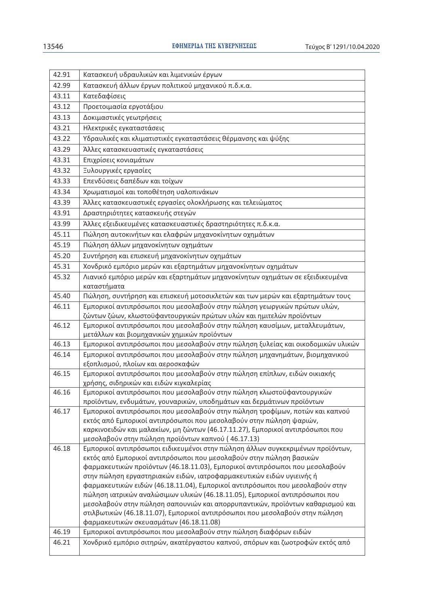| 42.91 | Κατασκευή υδραυλικών και λιμενικών έργων                                                                                             |
|-------|--------------------------------------------------------------------------------------------------------------------------------------|
| 42.99 | Κατασκευή άλλων έργων πολιτικού μηχανικού π.δ.κ.α.                                                                                   |
| 43.11 | Κατεδαφίσεις                                                                                                                         |
| 43.12 | Προετοιμασία εργοτάξιου                                                                                                              |
| 43.13 | Δοκιμαστικές γεωτρήσεις                                                                                                              |
| 43.21 | Ηλεκτρικές εγκαταστάσεις                                                                                                             |
| 43.22 | Υδραυλικές και κλιματιστικές εγκαταστάσεις θέρμανσης και ψύξης                                                                       |
| 43.29 | Άλλες κατασκευαστικές εγκαταστάσεις                                                                                                  |
| 43.31 | Επιχρίσεις κονιαμάτων                                                                                                                |
| 43.32 | Ξυλουργικές εργασίες                                                                                                                 |
|       |                                                                                                                                      |
| 43.33 | Επενδύσεις δαπέδων και τοίχων                                                                                                        |
| 43.34 | Χρωματισμοί και τοποθέτηση υαλοπινάκων                                                                                               |
| 43.39 | Άλλες κατασκευαστικές εργασίες ολοκλήρωσης και τελειώματος                                                                           |
| 43.91 | Δραστηριότητες κατασκευής στεγών                                                                                                     |
| 43.99 | Άλλες εξειδικευμένες κατασκευαστικές δραστηριότητες π.δ.κ.α.                                                                         |
| 45.11 | Πώληση αυτοκινήτων και ελαφρών μηχανοκίνητων οχημάτων                                                                                |
| 45.19 | Πώληση άλλων μηχανοκίνητων οχημάτων                                                                                                  |
| 45.20 | Συντήρηση και επισκευή μηχανοκίνητων οχημάτων                                                                                        |
| 45.31 | Χονδρικό εμπόριο μερών και εξαρτημάτων μηχανοκίνητων οχημάτων                                                                        |
| 45.32 | Λιανικό εμπόριο μερών και εξαρτημάτων μηχανοκίνητων οχημάτων σε εξειδικευμένα                                                        |
|       | καταστήματα                                                                                                                          |
| 45.40 | Πώληση, συντήρηση και επισκευή μοτοσικλετών και των μερών και εξαρτημάτων τους                                                       |
| 46.11 | Εμπορικοί αντιπρόσωποι που μεσολαβούν στην πώληση γεωργικών πρώτων υλών,                                                             |
|       | ζώντων ζώων, κλωστοϋφαντουργικών πρώτων υλών και ημιτελών προϊόντων                                                                  |
| 46.12 | Εμπορικοί αντιπρόσωποι που μεσολαβούν στην πώληση καυσίμων, μεταλλευμάτων,<br>μετάλλων και βιομηχανικών χημικών προϊόντων            |
| 46.13 | Εμπορικοί αντιπρόσωποι που μεσολαβούν στην πώληση ξυλείας και οικοδομικών υλικών                                                     |
| 46.14 | Εμπορικοί αντιπρόσωποι που μεσολαβούν στην πώληση μηχανημάτων, βιομηχανικού                                                          |
|       | εξοπλισμού, πλοίων και αεροσκαφών                                                                                                    |
| 46.15 | Εμπορικοί αντιπρόσωποι που μεσολαβούν στην πώληση επίπλων, ειδών οικιακής                                                            |
|       | χρήσης, σιδηρικών και ειδών κιγκαλερίας                                                                                              |
| 46.16 | Εμπορικοί αντιπρόσωποι που μεσολαβούν στην πώληση κλωστοϋφαντουργικών                                                                |
|       | προϊόντων, ενδυμάτων, γουναρικών, υποδημάτων και δερμάτινων προϊόντων                                                                |
| 46.17 | Εμπορικοί αντιπρόσωποι που μεσολαβούν στην πώληση τροφίμων, ποτών και καπνού                                                         |
|       | εκτός από Εμπορικοί αντιπρόσωποι που μεσολαβούν στην πώληση ψαριών,                                                                  |
|       | καρκινοειδών και μαλακίων, μη ζώντων (46.17.11.27), Εμπορικοί αντιπρόσωποι που                                                       |
| 46.18 | μεσολαβούν στην πώληση προϊόντων καπνού (46.17.13)<br>Εμπορικοί αντιπρόσωποι ειδικευμένοι στην πώληση άλλων συγκεκριμένων προϊόντων, |
|       | εκτός από Εμπορικοί αντιπρόσωποι που μεσολαβούν στην πώληση βασικών                                                                  |
|       | φαρμακευτικών προϊόντων (46.18.11.03), Εμπορικοί αντιπρόσωποι που μεσολαβούν                                                         |
|       | στην πώληση εργαστηριακών ειδών, ιατροφαρμακευτικών ειδών υγιεινής ή                                                                 |
|       | φαρμακευτικών ειδών (46.18.11.04), Εμπορικοί αντιπρόσωποι που μεσολαβούν στην                                                        |
|       | πώληση ιατρικών αναλώσιμων υλικών (46.18.11.05), Εμπορικοί αντιπρόσωποι που                                                          |
|       | μεσολαβούν στην πώληση σαπουνιών και απορρυπαντικών, προϊόντων καθαρισμού και                                                        |
|       | στιλβωτικών (46.18.11.07), Εμπορικοί αντιπρόσωποι που μεσολαβούν στην πώληση                                                         |
|       | φαρμακευτικών σκευασμάτων (46.18.11.08)                                                                                              |
| 46.19 | Εμπορικοί αντιπρόσωποι που μεσολαβούν στην πώληση διαφόρων ειδών                                                                     |
| 46.21 | Χονδρικό εμπόριο σιτηρών, ακατέργαστου καπνού, σπόρων και ζωοτροφών εκτός από                                                        |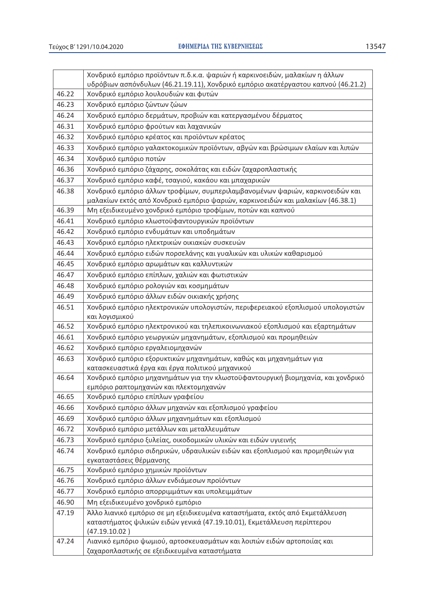|--|

|       | Χονδρικό εμπόριο προϊόντων π.δ.κ.α. ψαριών ή καρκινοειδών, μαλακίων η άλλων                                                                              |
|-------|----------------------------------------------------------------------------------------------------------------------------------------------------------|
|       | υδρόβιων ασπόνδυλων (46.21.19.11), Χονδρικό εμπόριο ακατέργαστου καπνού (46.21.2)                                                                        |
| 46.22 | Χονδρικό εμπόριο λουλουδιών και φυτών                                                                                                                    |
| 46.23 | Χονδρικό εμπόριο ζώντων ζώων                                                                                                                             |
| 46.24 | Χονδρικό εμπόριο δερμάτων, προβιών και κατεργασμένου δέρματος                                                                                            |
| 46.31 | Χονδρικό εμπόριο φρούτων και λαχανικών                                                                                                                   |
| 46.32 | Χονδρικό εμπόριο κρέατος και προϊόντων κρέατος                                                                                                           |
| 46.33 | Χονδρικό εμπόριο γαλακτοκομικών προϊόντων, αβγών και βρώσιμων ελαίων και λιπών                                                                           |
| 46.34 | Χονδρικό εμπόριο ποτών                                                                                                                                   |
| 46.36 | Χονδρικό εμπόριο ζάχαρης, σοκολάτας και ειδών ζαχαροπλαστικής                                                                                            |
| 46.37 | Χονδρικό εμπόριο καφέ, τσαγιού, κακάου και μπαχαρικών                                                                                                    |
| 46.38 | Χονδρικό εμπόριο άλλων τροφίμων, συμπεριλαμβανομένων ψαριών, καρκινοειδών και                                                                            |
|       | μαλακίων εκτός από Χονδρικό εμπόριο ψαριών, καρκινοειδών και μαλακίων (46.38.1)                                                                          |
| 46.39 | Μη εξειδικευμένο χονδρικό εμπόριο τροφίμων, ποτών και καπνού                                                                                             |
| 46.41 | Χονδρικό εμπόριο κλωστοϋφαντουργικών προϊόντων                                                                                                           |
| 46.42 | Χονδρικό εμπόριο ενδυμάτων και υποδημάτων                                                                                                                |
| 46.43 | Χονδρικό εμπόριο ηλεκτρικών οικιακών συσκευών                                                                                                            |
| 46.44 | Χονδρικό εμπόριο ειδών πορσελάνης και γυαλικών και υλικών καθαρισμού                                                                                     |
| 46.45 | Χονδρικό εμπόριο αρωμάτων και καλλυντικών                                                                                                                |
| 46.47 | Χονδρικό εμπόριο επίπλων, χαλιών και φωτιστικών                                                                                                          |
| 46.48 | Χονδρικό εμπόριο ρολογιών και κοσμημάτων                                                                                                                 |
| 46.49 | Χονδρικό εμπόριο άλλων ειδών οικιακής χρήσης                                                                                                             |
| 46.51 | Χονδρικό εμπόριο ηλεκτρονικών υπολογιστών, περιφερειακού εξοπλισμού υπολογιστών                                                                          |
|       | και λογισμικού                                                                                                                                           |
| 46.52 | Χονδρικό εμπόριο ηλεκτρονικού και τηλεπικοινωνιακού εξοπλισμού και εξαρτημάτων                                                                           |
| 46.61 | Χονδρικό εμπόριο γεωργικών μηχανημάτων, εξοπλισμού και προμηθειών                                                                                        |
| 46.62 | Χονδρικό εμπόριο εργαλειομηχανών                                                                                                                         |
| 46.63 | Χονδρικό εμπόριο εξορυκτικών μηχανημάτων, καθώς και μηχανημάτων για                                                                                      |
|       | κατασκευαστικά έργα και έργα πολιτικού μηχανικού                                                                                                         |
| 46.64 | Χονδρικό εμπόριο μηχανημάτων για την κλωστοϋφαντουργική βιομηχανία, και χονδρικό                                                                         |
|       | εμπόριο ραπτομηχανών και πλεκτομηχανών                                                                                                                   |
| 46.65 | Χονδρικό εμπόριο επίπλων γραφείου                                                                                                                        |
| 46.66 | Χονδρικό εμπόριο άλλων μηχανών και εξοπλισμού γραφείου                                                                                                   |
| 46.69 | Χονδρικό εμπόριο άλλων μηχανημάτων και εξοπλισμού                                                                                                        |
| 46.72 | Χονδρικό εμπόριο μετάλλων και μεταλλευμάτων                                                                                                              |
| 46.73 | Χονδρικό εμπόριο ξυλείας, οικοδομικών υλικών και ειδών υγιεινής                                                                                          |
| 46.74 | Χονδρικό εμπόριο σιδηρικών, υδραυλικών ειδών και εξοπλισμού και προμηθειών για                                                                           |
| 46.75 | εγκαταστάσεις θέρμανσης<br>Χονδρικό εμπόριο χημικών προϊόντων                                                                                            |
| 46.76 | Χονδρικό εμπόριο άλλων ενδιάμεσων προϊόντων                                                                                                              |
| 46.77 | Χονδρικό εμπόριο απορριμμάτων και υπολειμμάτων                                                                                                           |
| 46.90 | Μη εξειδικευμένο χονδρικό εμπόριο                                                                                                                        |
|       |                                                                                                                                                          |
| 47.19 | Άλλο λιανικό εμπόριο σε μη εξειδικευμένα καταστήματα, εκτός από Εκμετάλλευση<br>καταστήματος ψιλικών ειδών γενικά (47.19.10.01), Εκμετάλλευση περίπτερου |
|       | (47.19.10.02)                                                                                                                                            |
| 47.24 | Λιανικό εμπόριο ψωμιού, αρτοσκευασμάτων και λοιπών ειδών αρτοποιίας και                                                                                  |
|       | ζαχαροπλαστικής σε εξειδικευμένα καταστήματα                                                                                                             |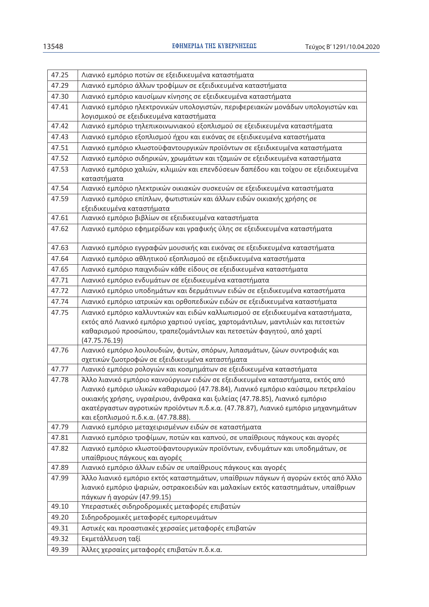| 47.25 | Λιανικό εμπόριο ποτών σε εξειδικευμένα καταστήματα                                                                                                                  |
|-------|---------------------------------------------------------------------------------------------------------------------------------------------------------------------|
| 47.29 | Λιανικό εμπόριο άλλων τροφίμων σε εξειδικευμένα καταστήματα                                                                                                         |
| 47.30 | Λιανικό εμπόριο καυσίμων κίνησης σε εξειδικευμένα καταστήματα                                                                                                       |
| 47.41 | Λιανικό εμπόριο ηλεκτρονικών υπολογιστών, περιφερειακών μονάδων υπολογιστών και                                                                                     |
|       | λογισμικού σε εξειδικευμένα καταστήματα                                                                                                                             |
| 47.42 | Λιανικό εμπόριο τηλεπικοινωνιακού εξοπλισμού σε εξειδικευμένα καταστήματα                                                                                           |
| 47.43 | Λιανικό εμπόριο εξοπλισμού ήχου και εικόνας σε εξειδικευμένα καταστήματα                                                                                            |
| 47.51 | Λιανικό εμπόριο κλωστοϋφαντουργικών προϊόντων σε εξειδικευμένα καταστήματα                                                                                          |
| 47.52 | Λιανικό εμπόριο σιδηρικών, χρωμάτων και τζαμιών σε εξειδικευμένα καταστήματα                                                                                        |
| 47.53 | Λιανικό εμπόριο χαλιών, κιλιμιών και επενδύσεων δαπέδου και τοίχου σε εξειδικευμένα                                                                                 |
|       | καταστήματα                                                                                                                                                         |
| 47.54 | Λιανικό εμπόριο ηλεκτρικών οικιακών συσκευών σε εξειδικευμένα καταστήματα                                                                                           |
| 47.59 | Λιανικό εμπόριο επίπλων, φωτιστικών και άλλων ειδών οικιακής χρήσης σε<br>εξειδικευμένα καταστήματα                                                                 |
| 47.61 | Λιανικό εμπόριο βιβλίων σε εξειδικευμένα καταστήματα                                                                                                                |
| 47.62 | Λιανικό εμπόριο εφημερίδων και γραφικής ύλης σε εξειδικευμένα καταστήματα                                                                                           |
| 47.63 | Λιανικό εμπόριο εγγραφών μουσικής και εικόνας σε εξειδικευμένα καταστήματα                                                                                          |
| 47.64 | Λιανικό εμπόριο αθλητικού εξοπλισμού σε εξειδικευμένα καταστήματα                                                                                                   |
| 47.65 | Λιανικό εμπόριο παιχνιδιών κάθε είδους σε εξειδικευμένα καταστήματα                                                                                                 |
| 47.71 | Λιανικό εμπόριο ενδυμάτων σε εξειδικευμένα καταστήματα                                                                                                              |
| 47.72 | Λιανικό εμπόριο υποδημάτων και δερμάτινων ειδών σε εξειδικευμένα καταστήματα                                                                                        |
| 47.74 | Λιανικό εμπόριο ιατρικών και ορθοπεδικών ειδών σε εξειδικευμένα καταστήματα                                                                                         |
| 47.75 | Λιανικό εμπόριο καλλυντικών και ειδών καλλωπισμού σε εξειδικευμένα καταστήματα,                                                                                     |
|       | εκτός από Λιανικό εμπόριο χαρτιού υγείας, χαρτομάντιλων, μαντιλιών και πετσετών                                                                                     |
|       | καθαρισμού προσώπου, τραπεζομάντιλων και πετσετών φαγητού, από χαρτί                                                                                                |
|       | (47.75.76.19)                                                                                                                                                       |
| 47.76 | Λιανικό εμπόριο λουλουδιών, φυτών, σπόρων, λιπασμάτων, ζώων συντροφιάς και                                                                                          |
| 47.77 | σχετικών ζωοτροφών σε εξειδικευμένα καταστήματα                                                                                                                     |
|       | Λιανικό εμπόριο ρολογιών και κοσμημάτων σε εξειδικευμένα καταστήματα                                                                                                |
| 47.78 | Άλλο λιανικό εμπόριο καινούργιων ειδών σε εξειδικευμένα καταστήματα, εκτός από<br>Λιανικό εμπόριο υλικών καθαρισμού (47.78.84), Λιανικό εμπόριο καύσιμου πετρελαίου |
|       | οικιακής χρήσης, υγραέριου, άνθρακα και ξυλείας (47.78.85), Λιανικό εμπόριο                                                                                         |
|       | ακατέργαστων αγροτικών προϊόντων π.δ.κ.α. (47.78.87), Λιανικό εμπόριο μηχανημάτων                                                                                   |
|       | και εξοπλισμού π.δ.κ.α. (47.78.88).                                                                                                                                 |
| 47.79 | Λιανικό εμπόριο μεταχειρισμένων ειδών σε καταστήματα                                                                                                                |
| 47.81 | Λιανικό εμπόριο τροφίμων, ποτών και καπνού, σε υπαίθριους πάγκους και αγορές                                                                                        |
| 47.82 | Λιανικό εμπόριο κλωστοϋφαντουργικών προϊόντων, ενδυμάτων και υποδημάτων, σε                                                                                         |
|       | υπαίθριους πάγκους και αγορές                                                                                                                                       |
| 47.89 | Λιανικό εμπόριο άλλων ειδών σε υπαίθριους πάγκους και αγορές                                                                                                        |
| 47.99 | Άλλο λιανικό εμπόριο εκτός καταστημάτων, υπαίθριων πάγκων ή αγορών εκτός από Άλλο                                                                                   |
|       | λιανικό εμπόριο ψαριών, οστρακοειδών και μαλακίων εκτός καταστημάτων, υπαίθριων                                                                                     |
|       | πάγκων ή αγορών (47.99.15)                                                                                                                                          |
| 49.10 | Υπεραστικές σιδηροδρομικές μεταφορές επιβατών                                                                                                                       |
| 49.20 | Σιδηροδρομικές μεταφορές εμπορευμάτων                                                                                                                               |
| 49.31 | Αστικές και προαστιακές χερσαίες μεταφορές επιβατών                                                                                                                 |
| 49.32 | Εκμετάλλευση ταξί                                                                                                                                                   |
| 49.39 | Άλλες χερσαίες μεταφορές επιβατών π.δ.κ.α.                                                                                                                          |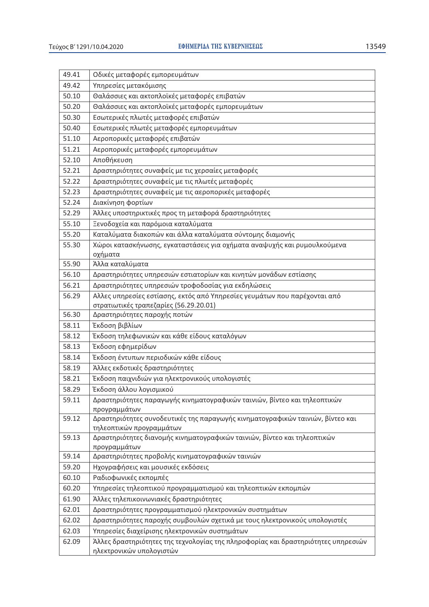l,

| 49.41 | Οδικές μεταφορές εμπορευμάτων                                                                                       |
|-------|---------------------------------------------------------------------------------------------------------------------|
| 49.42 | Υπηρεσίες μετακόμισης                                                                                               |
| 50.10 | Θαλάσσιες και ακτοπλοϊκές μεταφορές επιβατών                                                                        |
| 50.20 | Θαλάσσιες και ακτοπλοϊκές μεταφορές εμπορευμάτων                                                                    |
| 50.30 | Εσωτερικές πλωτές μεταφορές επιβατών                                                                                |
| 50.40 | Εσωτερικές πλωτές μεταφορές εμπορευμάτων                                                                            |
| 51.10 | Αεροπορικές μεταφορές επιβατών                                                                                      |
| 51.21 | Αεροπορικές μεταφορές εμπορευμάτων                                                                                  |
| 52.10 | Αποθήκευση                                                                                                          |
| 52.21 | Δραστηριότητες συναφείς με τις χερσαίες μεταφορές                                                                   |
| 52.22 | Δραστηριότητες συναφείς με τις πλωτές μεταφορές                                                                     |
| 52.23 | Δραστηριότητες συναφείς με τις αεροπορικές μεταφορές                                                                |
| 52.24 | Διακίνηση φορτίων                                                                                                   |
| 52.29 | Άλλες υποστηρικτικές προς τη μεταφορά δραστηριότητες                                                                |
| 55.10 | Ξενοδοχεία και παρόμοια καταλύματα                                                                                  |
| 55.20 | Καταλύματα διακοπών και άλλα καταλύματα σύντομης διαμονής                                                           |
| 55.30 | Χώροι κατασκήνωσης, εγκαταστάσεις για οχήματα αναψυχής και ρυμουλκούμενα<br>οχήματα                                 |
| 55.90 | Άλλα καταλύματα                                                                                                     |
| 56.10 | Δραστηριότητες υπηρεσιών εστιατορίων και κινητών μονάδων εστίασης                                                   |
| 56.21 | Δραστηριότητες υπηρεσιών τροφοδοσίας για εκδηλώσεις                                                                 |
| 56.29 | Αλλες υπηρεσίες εστίασης, εκτός από Υπηρεσίες γευμάτων που παρέχονται από<br>στρατιωτικές τραπεζαρίες (56.29.20.01) |
| 56.30 | Δραστηριότητες παροχής ποτών                                                                                        |
| 58.11 | Έκδοση βιβλίων                                                                                                      |
| 58.12 | Έκδοση τηλεφωνικών και κάθε είδους καταλόγων                                                                        |
| 58.13 | Έκδοση εφημερίδων                                                                                                   |
| 58.14 | Έκδοση έντυπων περιοδικών κάθε είδους                                                                               |
| 58.19 | Άλλες εκδοτικές δραστηριότητες                                                                                      |
| 58.21 | Έκδοση παιχνιδιών για ηλεκτρονικούς υπολογιστές                                                                     |
| 58.29 | Έκδοση άλλου λογισμικού                                                                                             |
| 59.11 | Δραστηριότητες παραγωγής κινηματογραφικών ταινιών, βίντεο και τηλεοπτικών<br>προγραμμάτων                           |
| 59.12 | Δραστηριότητες συνοδευτικές της παραγωγής κινηματογραφικών ταινιών, βίντεο και<br>τηλεοπτικών προγραμμάτων          |
| 59.13 | Δραστηριότητες διανομής κινηματογραφικών ταινιών, βίντεο και τηλεοπτικών<br>προγραμμάτων                            |
| 59.14 | Δραστηριότητες προβολής κινηματογραφικών ταινιών                                                                    |
| 59.20 | Ηχογραφήσεις και μουσικές εκδόσεις                                                                                  |
| 60.10 | Ραδιοφωνικές εκπομπές                                                                                               |
| 60.20 | Υπηρεσίες τηλεοπτικού προγραμματισμού και τηλεοπτικών εκπομπών                                                      |
| 61.90 | Άλλες τηλεπικοινωνιακές δραστηριότητες                                                                              |
| 62.01 | Δραστηριότητες προγραμματισμού ηλεκτρονικών συστημάτων                                                              |
| 62.02 | Δραστηριότητες παροχής συμβουλών σχετικά με τους ηλεκτρονικούς υπολογιστές                                          |
| 62.03 | Υπηρεσίες διαχείρισης ηλεκτρονικών συστημάτων                                                                       |
| 62.09 | Άλλες δραστηριότητες της τεχνολογίας της πληροφορίας και δραστηριότητες υπηρεσιών                                   |
|       | ηλεκτρονικών υπολογιστών                                                                                            |

 $\overline{a}$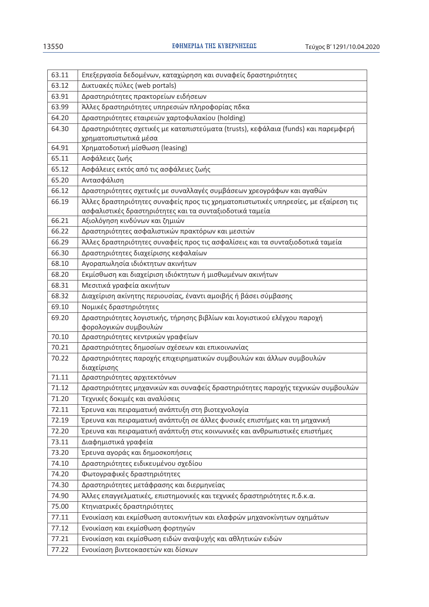| 63.11 | Επεξεργασία δεδομένων, καταχώρηση και συναφείς δραστηριότητες                                                                                   |
|-------|-------------------------------------------------------------------------------------------------------------------------------------------------|
| 63.12 | Δικτυακές πύλες (web portals)                                                                                                                   |
| 63.91 | Δραστηριότητες πρακτορείων ειδήσεων                                                                                                             |
| 63.99 | Άλλες δραστηριότητες υπηρεσιών πληροφορίας πδκα                                                                                                 |
| 64.20 | Δραστηριότητες εταιρειών χαρτοφυλακίου (holding)                                                                                                |
| 64.30 | Δραστηριότητες σχετικές με καταπιστεύματα (trusts), κεφάλαια (funds) και παρεμφερή                                                              |
|       | χρηματοπιστωτικά μέσα                                                                                                                           |
| 64.91 | Χρηματοδοτική μίσθωση (leasing)                                                                                                                 |
| 65.11 | Ασφάλειες ζωής                                                                                                                                  |
| 65.12 | Ασφάλειες εκτός από τις ασφάλειες ζωής                                                                                                          |
| 65.20 | Αντασφάλιση                                                                                                                                     |
| 66.12 | Δραστηριότητες σχετικές με συναλλαγές συμβάσεων χρεογράφων και αγαθών                                                                           |
| 66.19 | Άλλες δραστηριότητες συναφείς προς τις χρηματοπιστωτικές υπηρεσίες, με εξαίρεση τις<br>ασφαλιστικές δραστηριότητες και τα συνταξιοδοτικά ταμεία |
| 66.21 | Αξιολόγηση κινδύνων και ζημιών                                                                                                                  |
| 66.22 | Δραστηριότητες ασφαλιστικών πρακτόρων και μεσιτών                                                                                               |
| 66.29 | Άλλες δραστηριότητες συναφείς προς τις ασφαλίσεις και τα συνταξιοδοτικά ταμεία                                                                  |
| 66.30 | Δραστηριότητες διαχείρισης κεφαλαίων                                                                                                            |
| 68.10 | Αγοραπωλησία ιδιόκτητων ακινήτων                                                                                                                |
| 68.20 | Εκμίσθωση και διαχείριση ιδιόκτητων ή μισθωμένων ακινήτων                                                                                       |
| 68.31 | Μεσιτικά γραφεία ακινήτων                                                                                                                       |
| 68.32 | Διαχείριση ακίνητης περιουσίας, έναντι αμοιβής ή βάσει σύμβασης                                                                                 |
| 69.10 | Νομικές δραστηριότητες                                                                                                                          |
| 69.20 | Δραστηριότητες λογιστικής, τήρησης βιβλίων και λογιστικού ελέγχου παροχή<br>φορολογικών συμβουλών                                               |
| 70.10 | Δραστηριότητες κεντρικών γραφείων                                                                                                               |
| 70.21 | Δραστηριότητες δημοσίων σχέσεων και επικοινωνίας                                                                                                |
| 70.22 | Δραστηριότητες παροχής επιχειρηματικών συμβουλών και άλλων συμβουλών<br>διαχείρισης                                                             |
| 71.11 | Δραστηριότητες αρχιτεκτόνων                                                                                                                     |
| 71.12 | Δραστηριότητες μηχανικών και συναφείς δραστηριότητες παροχής τεχνικών συμβουλών                                                                 |
| 71.20 | Τεχνικές δοκιμές και αναλύσεις                                                                                                                  |
| 72.11 | Έρευνα και πειραματική ανάπτυξη στη βιοτεχνολογία                                                                                               |
| 72.19 | Έρευνα και πειραματική ανάπτυξη σε άλλες φυσικές επιστήμες και τη μηχανική                                                                      |
| 72.20 | Έρευνα και πειραματική ανάπτυξη στις κοινωνικές και ανθρωπιστικές επιστήμες                                                                     |
| 73.11 | Διαφημιστικά γραφεία                                                                                                                            |
| 73.20 | Έρευνα αγοράς και δημοσκοπήσεις                                                                                                                 |
| 74.10 | Δραστηριότητες ειδικευμένου σχεδίου                                                                                                             |
| 74.20 | Φωτογραφικές δραστηριότητες                                                                                                                     |
| 74.30 | Δραστηριότητες μετάφρασης και διερμηνείας                                                                                                       |
| 74.90 | Άλλες επαγγελματικές, επιστημονικές και τεχνικές δραστηριότητες π.δ.κ.α.                                                                        |
| 75.00 | Κτηνιατρικές δραστηριότητες                                                                                                                     |
| 77.11 | Ενοικίαση και εκμίσθωση αυτοκινήτων και ελαφρών μηχανοκίνητων οχημάτων                                                                          |
| 77.12 | Ενοικίαση και εκμίσθωση φορτηγών                                                                                                                |
| 77.21 | Ενοικίαση και εκμίσθωση ειδών αναψυχής και αθλητικών ειδών                                                                                      |
| 77.22 | Ενοικίαση βιντεοκασετών και δίσκων                                                                                                              |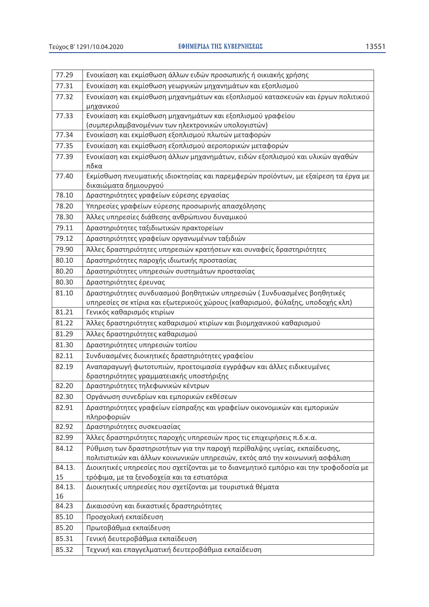| 77.29  | Ενοικίαση και εκμίσθωση άλλων ειδών προσωπικής ή οικιακής χρήσης                        |
|--------|-----------------------------------------------------------------------------------------|
| 77.31  | Ενοικίαση και εκμίσθωση γεωργικών μηχανημάτων και εξοπλισμού                            |
| 77.32  | Ενοικίαση και εκμίσθωση μηχανημάτων και εξοπλισμού κατασκευών και έργων πολιτικού       |
| 77.33  | μηχανικού<br>Ενοικίαση και εκμίσθωση μηχανημάτων και εξοπλισμού γραφείου                |
|        | (συμπεριλαμβανομένων των ηλεκτρονικών υπολογιστών)                                      |
| 77.34  | Ενοικίαση και εκμίσθωση εξοπλισμού πλωτών μεταφορών                                     |
| 77.35  | Ενοικίαση και εκμίσθωση εξοπλισμού αεροπορικών μεταφορών                                |
| 77.39  | Ενοικίαση και εκμίσθωση άλλων μηχανημάτων, ειδών εξοπλισμού και υλικών αγαθών           |
|        | πδκα                                                                                    |
| 77.40  | Εκμίσθωση πνευματικής ιδιοκτησίας και παρεμφερών προϊόντων, με εξαίρεση τα έργα με      |
|        | δικαιώματα δημιουργού                                                                   |
| 78.10  | Δραστηριότητες γραφείων εύρεσης εργασίας                                                |
| 78.20  | Υπηρεσίες γραφείων εύρεσης προσωρινής απασχόλησης                                       |
| 78.30  | Άλλες υπηρεσίες διάθεσης ανθρώπινου δυναμικού                                           |
| 79.11  | Δραστηριότητες ταξιδιωτικών πρακτορείων                                                 |
| 79.12  | Δραστηριότητες γραφείων οργανωμένων ταξιδιών                                            |
| 79.90  | Άλλες δραστηριότητες υπηρεσιών κρατήσεων και συναφείς δραστηριότητες                    |
| 80.10  | Δραστηριότητες παροχής ιδιωτικής προστασίας                                             |
| 80.20  | Δραστηριότητες υπηρεσιών συστημάτων προστασίας                                          |
| 80.30  | Δραστηριότητες έρευνας                                                                  |
| 81.10  | Δραστηριότητες συνδυασμού βοηθητικών υπηρεσιών ( Συνδυασμένες βοηθητικές                |
|        | υπηρεσίες σε κτίρια και εξωτερικούς χώρους (καθαρισμού, φύλαξης, υποδοχής κλπ)          |
| 81.21  | Γενικός καθαρισμός κτιρίων                                                              |
| 81.22  | Άλλες δραστηριότητες καθαρισμού κτιρίων και βιομηχανικού καθαρισμού                     |
| 81.29  | Άλλες δραστηριότητες καθαρισμού                                                         |
| 81.30  | Δραστηριότητες υπηρεσιών τοπίου                                                         |
| 82.11  | Συνδυασμένες διοικητικές δραστηριότητες γραφείου                                        |
| 82.19  | Αναπαραγωγή φωτοτυπιών, προετοιμασία εγγράφων και άλλες ειδικευμένες                    |
|        | δραστηριότητες γραμματειακής υποστήριξης                                                |
| 82.20  | Δραστηριότητες τηλεφωνικών κέντρων                                                      |
| 82.30  | Οργάνωση συνεδρίων και εμπορικών εκθέσεων                                               |
| 82.91  | Δραστηριότητες γραφείων είσπραξης και γραφείων οικονομικών και εμπορικών<br>πληροφοριών |
| 82.92  | Δραστηριότητες συσκευασίας                                                              |
| 82.99  | Άλλες δραστηριότητες παροχής υπηρεσιών προς τις επιχειρήσεις π.δ.κ.α.                   |
| 84.12  | Ρύθμιση των δραστηριοτήτων για την παροχή περίθαλψης υγείας, εκπαίδευσης,               |
|        | πολιτιστικών και άλλων κοινωνικών υπηρεσιών, εκτός από την κοινωνική ασφάλιση           |
| 84.13. | Διοικητικές υπηρεσίες που σχετίζονται με το διανεμητικό εμπόριο και την τροφοδοσία με   |
| 15     | τρόφιμα, με τα ξενοδοχεία και τα εστιατόρια                                             |
| 84.13. | Διοικητικές υπηρεσίες που σχετίζονται με τουριστικά θέματα                              |
| 16     |                                                                                         |
| 84.23  | Δικαιοσύνη και δικαστικές δραστηριότητες                                                |
| 85.10  | Προσχολική εκπαίδευση                                                                   |
| 85.20  | Πρωτοβάθμια εκπαίδευση                                                                  |
| 85.31  | Γενική δευτεροβάθμια εκπαίδευση                                                         |
| 85.32  | Τεχνική και επαγγελματική δευτεροβάθμια εκπαίδευση                                      |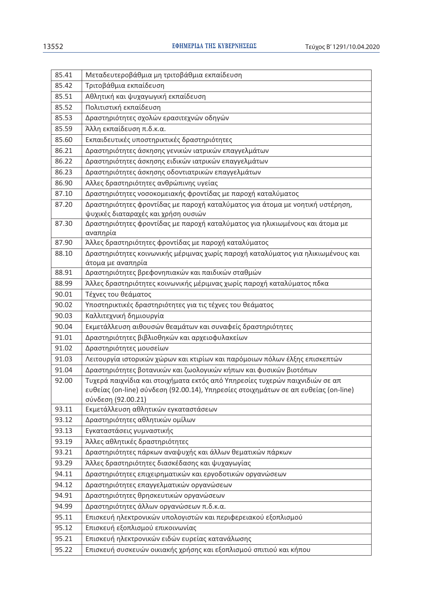| 85.41 | Μεταδευτεροβάθμια μη τριτοβάθμια εκπαίδευση                                                                                                                                               |
|-------|-------------------------------------------------------------------------------------------------------------------------------------------------------------------------------------------|
| 85.42 | Τριτοβάθμια εκπαίδευση                                                                                                                                                                    |
| 85.51 | Αθλητική και ψυχαγωγική εκπαίδευση                                                                                                                                                        |
| 85.52 | Πολιτιστική εκπαίδευση                                                                                                                                                                    |
| 85.53 | Δραστηριότητες σχολών ερασιτεχνών οδηγών                                                                                                                                                  |
| 85.59 | Άλλη εκπαίδευση π.δ.κ.α.                                                                                                                                                                  |
| 85.60 | Εκπαιδευτικές υποστηρικτικές δραστηριότητες                                                                                                                                               |
| 86.21 | Δραστηριότητες άσκησης γενικών ιατρικών επαγγελμάτων                                                                                                                                      |
| 86.22 | Δραστηριότητες άσκησης ειδικών ιατρικών επαγγελμάτων                                                                                                                                      |
| 86.23 | Δραστηριότητες άσκησης οδοντιατρικών επαγγελμάτων                                                                                                                                         |
| 86.90 | Αλλες δραστηριότητες ανθρώπινης υγείας                                                                                                                                                    |
| 87.10 | Δραστηριότητες νοσοκομειακής φροντίδας με παροχή καταλύματος                                                                                                                              |
| 87.20 | Δραστηριότητες φροντίδας με παροχή καταλύματος για άτομα με νοητική υστέρηση,<br>ψυχικές διαταραχές και χρήση ουσιών                                                                      |
| 87.30 | Δραστηριότητες φροντίδας με παροχή καταλύματος για ηλικιωμένους και άτομα με                                                                                                              |
|       | αναπηρία                                                                                                                                                                                  |
| 87.90 | Άλλες δραστηριότητες φροντίδας με παροχή καταλύματος                                                                                                                                      |
| 88.10 | Δραστηριότητες κοινωνικής μέριμνας χωρίς παροχή καταλύματος για ηλικιωμένους και<br>άτομα με αναπηρία                                                                                     |
| 88.91 | Δραστηριότητες βρεφονηπιακών και παιδικών σταθμών                                                                                                                                         |
| 88.99 | Άλλες δραστηριότητες κοινωνικής μέριμνας χωρίς παροχή καταλύματος πδκα                                                                                                                    |
| 90.01 | Τέχνες του θεάματος                                                                                                                                                                       |
| 90.02 | Υποστηρικτικές δραστηριότητες για τις τέχνες του θεάματος                                                                                                                                 |
| 90.03 | Καλλιτεχνική δημιουργία                                                                                                                                                                   |
| 90.04 | Εκμετάλλευση αιθουσών θεαμάτων και συναφείς δραστηριότητες                                                                                                                                |
| 91.01 | Δραστηριότητες βιβλιοθηκών και αρχειοφυλακείων                                                                                                                                            |
| 91.02 | Δραστηριότητες μουσείων                                                                                                                                                                   |
| 91.03 | Λειτουργία ιστορικών χώρων και κτιρίων και παρόμοιων πόλων έλξης επισκεπτών                                                                                                               |
| 91.04 | Δραστηριότητες βοτανικών και ζωολογικών κήπων και φυσικών βιοτόπων                                                                                                                        |
| 92.00 | Τυχερά παιχνίδια και στοιχήματα εκτός από Υπηρεσίες τυχερών παιχνιδιών σε απ<br>ευθείας (on-line) σύνδεση (92.00.14), Υπηρεσίες στοιχημάτων σε απ ευθείας (on-line)<br>σύνδεση (92.00.21) |
| 93.11 | Εκμετάλλευση αθλητικών εγκαταστάσεων                                                                                                                                                      |
| 93.12 | Δραστηριότητες αθλητικών ομίλων                                                                                                                                                           |
| 93.13 | Εγκαταστάσεις γυμναστικής                                                                                                                                                                 |
| 93.19 | Άλλες αθλητικές δραστηριότητες                                                                                                                                                            |
| 93.21 | Δραστηριότητες πάρκων αναψυχής και άλλων θεματικών πάρκων                                                                                                                                 |
| 93.29 | Άλλες δραστηριότητες διασκέδασης και ψυχαγωγίας                                                                                                                                           |
| 94.11 | Δραστηριότητες επιχειρηματικών και εργοδοτικών οργανώσεων                                                                                                                                 |
| 94.12 | Δραστηριότητες επαγγελματικών οργανώσεων                                                                                                                                                  |
| 94.91 | Δραστηριότητες θρησκευτικών οργανώσεων                                                                                                                                                    |
| 94.99 | Δραστηριότητες άλλων οργανώσεων π.δ.κ.α.                                                                                                                                                  |
| 95.11 | Επισκευή ηλεκτρονικών υπολογιστών και περιφερειακού εξοπλισμού                                                                                                                            |
| 95.12 | Επισκευή εξοπλισμού επικοινωνίας                                                                                                                                                          |
| 95.21 | Επισκευή ηλεκτρονικών ειδών ευρείας κατανάλωσης                                                                                                                                           |
| 95.22 | Επισκευή συσκευών οικιακής χρήσης και εξοπλισμού σπιτιού και κήπου                                                                                                                        |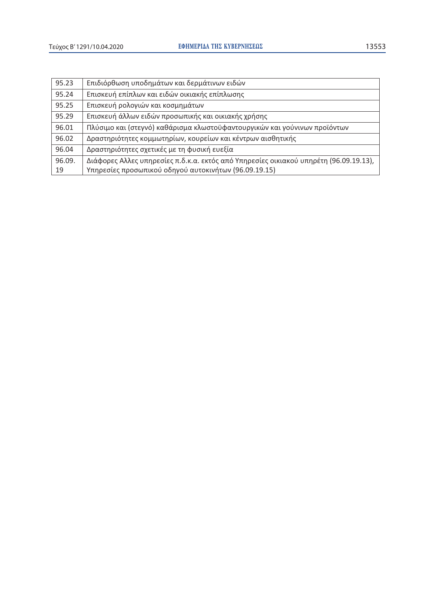| 95.23  | Επιδιόρθωση υποδημάτων και δερμάτινων ειδών                                           |
|--------|---------------------------------------------------------------------------------------|
| 95.24  | Επισκευή επίπλων και ειδών οικιακής επίπλωσης                                         |
| 95.25  | Επισκευή ρολογιών και κοσμημάτων                                                      |
| 95.29  | Επισκευή άλλων ειδών προσωπικής και οικιακής χρήσης                                   |
| 96.01  | Πλύσιμο και (στεγνό) καθάρισμα κλωστοϋφαντουργικών και γούνινων προϊόντων             |
| 96.02  | Δραστηριότητες κομμωτηρίων, κουρείων και κέντρων αισθητικής                           |
| 96.04  | Δραστηριότητες σχετικές με τη φυσική ευεξία                                           |
| 96.09. | Διάφορες Αλλες υπηρεσίες π.δ.κ.α. εκτός από Υπηρεσίες οικιακού υπηρέτη (96.09.19.13), |
| 19     | Υπηρεσίες προσωπικού οδηγού αυτοκινήτων (96.09.19.15)                                 |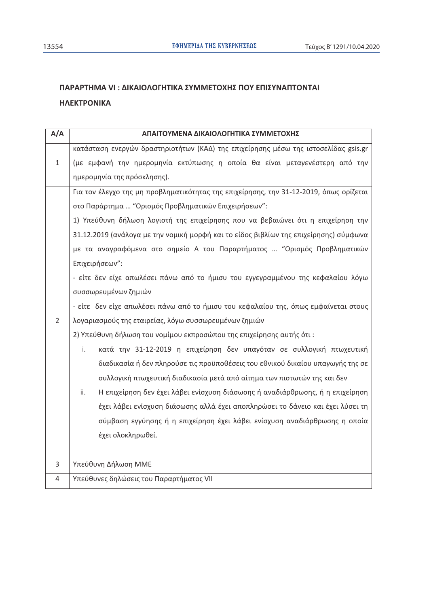# ΠΑΡΑΡΤΗΜΑ VI: ΔΙΚΑΙΟΛΟΓΗΤΙΚΑ ΣΥΜΜΕΤΟΧΗΣ ΠΟΥ ΕΠΙΣΥΝΑΠΤΟΝΤΑΙ **ΗΛΕΚΤΡΟΝΙΚΑ**

| A/A | ΑΠΑΙΤΟΥΜΕΝΑ ΔΙΚΑΙΟΛΟΓΗΤΙΚΑ ΣΥΜΜΕΤΟΧΗΣ                                                  |
|-----|----------------------------------------------------------------------------------------|
|     | κατάσταση ενεργών δραστηριοτήτων (ΚΑΔ) της επιχείρησης μέσω της ιστοσελίδας gsis.gr    |
| 1   | (με εμφανή την ημερομηνία εκτύπωσης η οποία θα είναι μεταγενέστερη από την             |
|     | ημερομηνία της πρόσκλησης).                                                            |
|     | Για τον έλεγχο της μη προβληματικότητας της επιχείρησης, την 31-12-2019, όπως ορίζεται |
|     | στο Παράρτημα  "Ορισμός Προβληματικών Επιχειρήσεων":                                   |
|     | 1) Υπεύθυνη δήλωση λογιστή της επιχείρησης που να βεβαιώνει ότι η επιχείρηση την       |
|     | 31.12.2019 (ανάλογα με την νομική μορφή και το είδος βιβλίων της επιχείρησης) σύμφωνα  |
|     | με τα αναγραφόμενα στο σημείο Α του Παραρτήματος  "Ορισμός Προβληματικών               |
|     | Επιχειρήσεων":                                                                         |
|     | - είτε δεν είχε απωλέσει πάνω από το ήμισυ του εγγεγραμμένου της κεφαλαίου λόγω        |
|     | συσσωρευμένων ζημιών                                                                   |
|     | - είτε  δεν είχε απωλέσει πάνω από το ήμισυ του κεφαλαίου της, όπως εμφαίνεται στους   |
| 2   | λογαριασμούς της εταιρείας, λόγω συσσωρευμένων ζημιών                                  |
|     | 2) Υπεύθυνη δήλωση του νομίμου εκπροσώπου της επιχείρησης αυτής ότι:                   |
|     | κατά την 31-12-2019 η επιχείρηση δεν υπαγόταν σε συλλογική πτωχευτική<br>i.            |
|     | διαδικασία ή δεν πληρούσε τις προϋποθέσεις του εθνικού δικαίου υπαγωγής της σε         |
|     | συλλογική πτωχευτική διαδικασία μετά από αίτημα των πιστωτών της και δεν               |
|     | Η επιχείρηση δεν έχει λάβει ενίσχυση διάσωσης ή αναδιάρθρωσης, ή η επιχείρηση<br>ii.   |
|     | έχει λάβει ενίσχυση διάσωσης αλλά έχει αποπληρώσει το δάνειο και έχει λύσει τη         |
|     | σύμβαση εγγύησης ή η επιχείρηση έχει λάβει ενίσχυση αναδιάρθρωσης η οποία              |
|     | έχει ολοκληρωθεί.                                                                      |
|     |                                                                                        |
| 3   | Υπεύθυνη Δήλωση ΜΜΕ                                                                    |
| 4   | Υπεύθυνες δηλώσεις του Παραρτήματος VII                                                |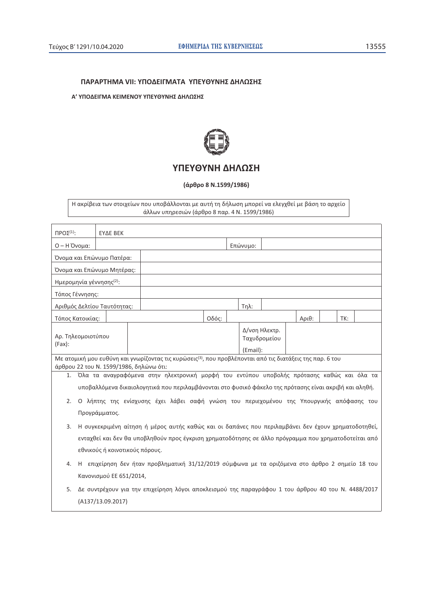#### ΠΑΡΑΡΤΗΜΑ VII: ΥΠΟΔΕΙΓΜΑΤΑ ΥΠΕΥΘΥΝΗΣ ΔΗΛΩΣΗΣ

#### Α' ΥΠΟΔΕΙΓΜΑ ΚΕΙΜΕΝΟΥ ΥΠΕΥΘΥΝΗΣ ΔΗΛΩΣΗΣ



# ΥΠΕΥΘΥΝΗ ΔΗΛΩΣΗ

(άρθρο 8 Ν.1599/1986)

Η ακρίβεια των στοιχείων που υποβάλλονται με αυτή τη δήλωση μπορεί να ελεγχθεί με βάση το αρχείο<br>άλλων υπηρεσιών (άρθρο 8 παρ. 4 Ν. 1599/1986)

| $\Pi$ POΣ <sup>(1)</sup> :              | <b>EYAE BEK</b>                                                                                        |  |                                                                                                                       |       |  |          |  |       |  |     |  |  |
|-----------------------------------------|--------------------------------------------------------------------------------------------------------|--|-----------------------------------------------------------------------------------------------------------------------|-------|--|----------|--|-------|--|-----|--|--|
| Ο - Η Όνομα:                            |                                                                                                        |  |                                                                                                                       |       |  | Επώνυμο: |  |       |  |     |  |  |
| Όνομα και Επώνυμο Πατέρα:               |                                                                                                        |  |                                                                                                                       |       |  |          |  |       |  |     |  |  |
| Όνομα και Επώνυμο Μητέρας:              |                                                                                                        |  |                                                                                                                       |       |  |          |  |       |  |     |  |  |
| Ημερομηνία γέννησης <sup>(2)</sup> :    |                                                                                                        |  |                                                                                                                       |       |  |          |  |       |  |     |  |  |
| Τόπος Γέννησης:                         |                                                                                                        |  |                                                                                                                       |       |  |          |  |       |  |     |  |  |
| Αριθμός Δελτίου Ταυτότητας:             |                                                                                                        |  |                                                                                                                       |       |  | $Tηλ$ :  |  |       |  |     |  |  |
| Τόπος Κατοικίας:                        |                                                                                                        |  |                                                                                                                       | Οδός: |  |          |  | Αριθ: |  | TK: |  |  |
| Αρ. Τηλεομοιοτύπου<br>$(Fax)$ :         |                                                                                                        |  | Δ/νση Ηλεκτρ.<br>Ταχυδρομείου                                                                                         |       |  |          |  |       |  |     |  |  |
|                                         |                                                                                                        |  |                                                                                                                       |       |  | (Email): |  |       |  |     |  |  |
| άρθρου 22 του Ν. 1599/1986, δηλώνω ότι: |                                                                                                        |  | Με ατομική μου ευθύνη και γνωρίζοντας τις κυρώσεις <sup>(3)</sup> , που προβλέπονται από τις διατάξεις της παρ. 6 του |       |  |          |  |       |  |     |  |  |
|                                         |                                                                                                        |  | 1. Όλα τα αναγραφόμενα στην ηλεκτρονική μορφή του εντύπου υποβολής πρότασης καθώς και όλα τα                          |       |  |          |  |       |  |     |  |  |
|                                         | υποβαλλόμενα δικαιολογητικά που περιλαμβάνονται στο φυσικό φάκελο της πρότασης είναι ακριβή και αληθή. |  |                                                                                                                       |       |  |          |  |       |  |     |  |  |
| 2.                                      | Ο λήπτης της ενίσχυσης έχει λάβει σαφή γνώση του περιεχομένου της Υπουργικής απόφασης του              |  |                                                                                                                       |       |  |          |  |       |  |     |  |  |
|                                         | Προγράμματος.                                                                                          |  |                                                                                                                       |       |  |          |  |       |  |     |  |  |
| 3.                                      |                                                                                                        |  | Η συγκεκριμένη αίτηση ή μέρος αυτής καθώς και οι δαπάνες που περιλαμβάνει δεν έχουν χρηματοδοτηθεί,                   |       |  |          |  |       |  |     |  |  |
|                                         | ενταχθεί και δεν θα υποβληθούν προς έγκριση χρηματοδότησης σε άλλο πρόγραμμα που χρηματοδοτείται από   |  |                                                                                                                       |       |  |          |  |       |  |     |  |  |
|                                         | εθνικούς ή κοινοτικούς πόρους.                                                                         |  |                                                                                                                       |       |  |          |  |       |  |     |  |  |
| 4.                                      |                                                                                                        |  | Η επιχείρηση δεν ήταν προβληματική 31/12/2019 σύμφωνα με τα οριζόμενα στο άρθρο 2 σημείο 18 του                       |       |  |          |  |       |  |     |  |  |
|                                         | Κανονισμού ΕΕ 651/2014,                                                                                |  |                                                                                                                       |       |  |          |  |       |  |     |  |  |
| 5.                                      | Δε συντρέχουν για την επιχείρηση λόγοι αποκλεισμού της παραγράφου 1 του άρθρου 40 του Ν. 4488/2017     |  |                                                                                                                       |       |  |          |  |       |  |     |  |  |
|                                         | (A137/13.09.2017)                                                                                      |  |                                                                                                                       |       |  |          |  |       |  |     |  |  |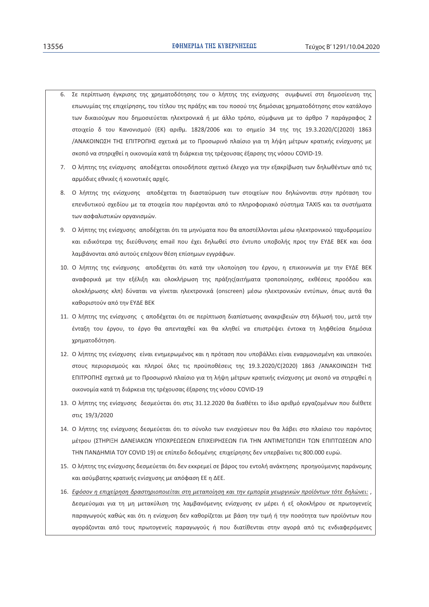- 6. Σε περίπτωση έγκρισης της χρηματοδότησης του ο λήπτης της ενίσχυσης συμφωνεί στη δημοσίευση της επωνυμίας της επιχείρησης, του τίτλου της πράξης και του ποσού της δημόσιας χρηματοδότησης στον κατάλογο των δικαιούχων που δημοσιεύεται ηλεκτρονικά ή με άλλο τρόπο, σύμφωνα με το άρθρο 7 παράγραφος 2 στοιχείο δ του Κανονισμού (ΕΚ) αριθμ. 1828/2006 και το σημείο 34 της της 19.3.2020/C(2020) 1863 /ΑΝΑΚΟΙΝΩΣΗ ΤΗΣ ΕΠΙΤΡΟΠΗΣ σχετικά με το Προσωρινό πλαίσιο για τη λήψη μέτρων κρατικής ενίσχυσης με σκοπό να στηριχθεί η οικονομία κατά τη διάρκεια της τρέχουσας έξαρσης της νόσου COVID-19.
- 7. Ο λήπτης της ενίσχυσης αποδέχεται οποιοδήποτε σχετικό έλεγχο για την εξακρίβωση των δηλωθέντων από τις αρμόδιες εθνικές ή κοινοτικές αρχές.
- 8. Ο λήπτης της ενίσχυσης αποδέχεται τη διασταύρωση των στοιχείων που δηλώνονται στην πρόταση του επενδυτικού σχεδίου με τα στοιχεία που παρέχονται από το πληροφοριακό σύστημα TAXIS και τα συστήματα των ασφαλιστικών οργανισμών.
- 9. Ο λήπτης της ενίσχυσης αποδέχεται ότι τα μηνύματα που θα αποστέλλονται μέσω ηλεκτρονικού ταχυδρομείου και ειδικότερα της διεύθυνσης email που έχει δηλωθεί στο έντυπο υποβολής προς την ΕΥΔΕ ΒΕΚ και όσα λαμβάνονται από αυτούς επέχουν θέση επίσημων εγγράφων.
- 10. Ο λήπτης της ενίσχυσης αποδέχεται ότι κατά την υλοποίηση του έργου, η επικοινωνία με την ΕΥΔΕ ΒΕΚ αναφορικά με την εξέλιξη και ολοκλήρωση της πράξης(αιτήματα τροποποίησης, εκθέσεις προόδου και ολοκλήρωσης κλπ) δύναται να γίνεται ηλεκτρονικά (onscreen) μέσω ηλεκτρονικών εντύπων, όπως αυτά θα καθοριστούν από την ΕΥΔΕ ΒΕΚ
- 11. Ο λήπτης της ενίσχυσης ς αποδέχεται ότι σε περίπτωση διαπίστωσης ανακριβειών στη δήλωσή του, μετά την ένταξη του έργου, το έργο θα απενταχθεί και θα κληθεί να επιστρέψει έντοκα τη ληφθείσα δημόσια χρηματοδότηση.
- 12. Ο λήπτης της ενίσχυσης είναι ενημερωμένος και η πρόταση που υποβάλλει είναι εναρμονισμένη και υπακούει στους περιορισμούς και πληροί όλες τις προϋποθέσεις της 19.3.2020/C(2020) 1863 /ΑΝΑΚΟΙΝΩΣΗ ΤΗΣ ΕΠΙΤΡΟΠΗΣ σχετικά με το Προσωρινό πλαίσιο για τη λήψη μέτρων κρατικής ενίσχυσης με σκοπό να στηριχθεί η οικονομία κατά τη διάρκεια της τρέχουσας έξαρσης της νόσου COVID-19
- 13. Ο λήπτης της ενίσχυσης δεσμεύεται ότι στις 31.12.2020 θα διαθέτει το ίδιο αριθμό εργαζομένων που διέθετε στις 19/3/2020
- 14. Ο λήπτης της ενίσχυσης δεσμεύεται ότι το σύνολο των ενισχύσεων που θα λάβει στο πλαίσιο του παρόντος μέτρου (ΣΤΗΡΙΞΗ ΔΑΝΕΙΑΚΩΝ ΥΠΟΧΡΕΩΣΕΩΝ ΕΠΙΧΕΙΡΗΣΕΩΝ ΓΙΑ ΤΗΝ ΑΝΤΙΜΕΤΩΠΙΣΗ ΤΩΝ ΕΠΙΠΤΩΣΕΩΝ ΑΠΟ ΤΗΝ ΠΑΝΔΗΜΙΑ ΤΟΥ COVID 19) σε επίπεδο δεδομένης επιχείρησης δεν υπερβαίνει τις 800.000 ευρώ.
- 15. Ο λήπτης της ενίσχυσης δεσμεύεται ότι δεν εκκρεμεί σε βάρος του εντολή ανάκτησης προηγούμενης παράνομης και ασύμβατης κρατικής ενίσχυσης με απόφαση ΕΕ η ΔΕΕ.
- 16. Εφόσον η επιχείρηση δραστηριοποιείται στη μεταποίηση και την εμπορία γεωργικών προϊόντων τότε δηλώνει:, Δεσμεύομαι για τη μη μετακύλιση της λαμβανόμενης ενίσχυσης εν μέρει ή εξ ολοκλήρου σε πρωτογενείς παραγωγούς καθώς και ότι η ενίσχυση δεν καθορίζεται με βάση την τιμή ή την ποσότητα των προϊόντων που αγοράζονται από τους πρωτογενείς παραγωγούς ή που διατίθενται στην αγορά από τις ενδιαφερόμενες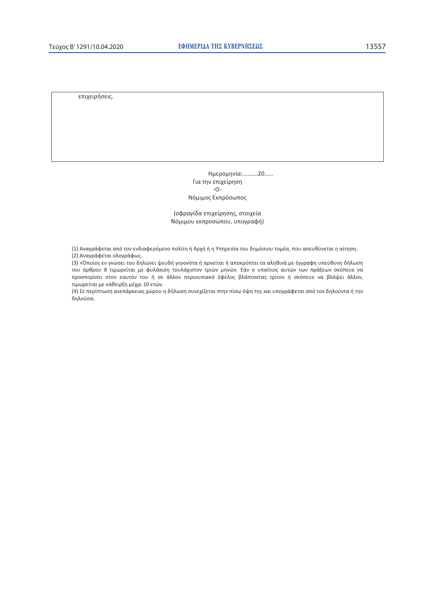επιχειρήσεις.

Ημερομηνία:...........20...... Για την επιχείρηση  $-O-$ Νόμιμος Εκπρόσωπος

(σφραγίδα επιχείρησης, στοιχεία Νόμιμου εκπροσώπου, υπογραφή)

(1) Αναγράφεται από τον ενδιαφερόμενο πολίτη ή Αρχή ή η Υπηρεσία του δημόσιου τομέα, που απευθύνεται η αίτηση.

(2) Αναγράφεται ολογράφως.

(3) «Όποιος εν γνώσει του δηλώνει ψευδή γεγονότα ή αρνείται ή αποκρύπτει τα αληθινά με έγγραφη υπεύθυνη δήλωση του άρθρου 8 τιμωρείται με φυλάκιση τουλάχιστον τριών μηνών. Εάν ο υπαίτιος αυτών των πράξεων σκόπευε να προσπορίσει στον εαυτόν του ή σε άλλον περιουσιακό όφελος βλάπτοντας τρίτον ή σκόπευε να βλάψει άλλον, τιμωρείται με κάθειρξη μέχρι 10 ετών.

(4) Σε περίπτωση ανεπάρκειας χώρου η δήλωση συνεχίζεται στην πίσω όψη της και υπογράφεται από τον δηλούντα ή την δηλούσα.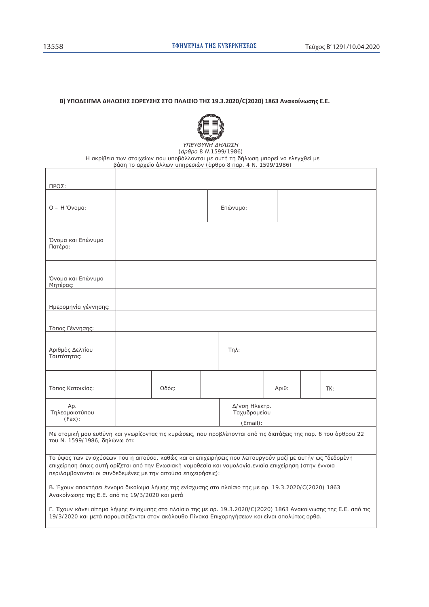#### B) ΥΠΟΔΕΙΓΜΑ ΔΗΛΩΣΗΣ ΣΩΡΕΥΣΗΣ ΣΤΟ ΠΛΑΙΣΙΟ ΤΗΣ 19.3.2020/C(2020) 1863 Ανακοίνωσης Ε.Ε.



ΥΠΕΥΘΥΝΗ ΔΗΛΩΣΗ  $(d$ *ρθρο 8 Ν.1599/1986*) Η ακρίβεια των στοιχείων που υποβάλλονται με αυτή τη δήλωση μπορεί να ελεγχθεί με βάση το αρχείο άλλων υπηρεσιών (άρθρο 8 παρ. 4 Ν. 1599/1986)

| ΠΡΟΣ:                              |       |                                           |       |     |  |
|------------------------------------|-------|-------------------------------------------|-------|-----|--|
| $O - H$ 'Ovoµa:                    |       | Επώνυμο:                                  |       |     |  |
| Όνομα και Επώνυμο<br>Πατέρα:       |       |                                           |       |     |  |
| Όνομα και Επώνυμο<br>Μητέρας:      |       |                                           |       |     |  |
| Ημερομηνία γέννησης:               |       |                                           |       |     |  |
| Τόπος Γέννησης:                    |       |                                           |       |     |  |
| Αριθμός Δελτίου<br>Ταυτότητας:     |       | $Tηλ$ :                                   |       |     |  |
| Τόπος Κατοικίας:                   | Οδός: |                                           | Αριθ: | TK: |  |
| Ap.<br>Τηλεομοιοτύπου<br>$(Fax)$ : |       | Δ/νση Ηλεκτρ.<br>Ταχυδρομείου<br>(Email): |       |     |  |

Με ατομική μου ευθύνη και γνωρίζοντας τις κυρώσεις, που προβλέπονται από τις διατάξεις της παρ. 6 του άρθρου 22 του Ν. 1599/1986, δηλώνω ότι:

Το ύψος των ενισχύσεων που η αιτούσα, καθώς και οι επιχειρήσεις που λειτουργούν μαζί με αυτήν ως "δεδομένη επιχείρηση όπως αυτή ορίζεται από την Ενωσιακή νομοθεσία και νομολογία ενιαία επιχείρηση (στην έννοια περιλαμβάνονται οι συνδεδεμένες με την αιτούσα επιχειρήσεις):

B. Έχουν αποκτήσει έννομο δικαίωμα λήψης της ενίσχυσης στο πλαίσιο της με αρ. 19.3.2020/C(2020) 1863 Ανακοίνωσης της Ε.Ε. από τις 19/3/2020 και μετά

Γ. Έχουν κάνει αίτημα λήψης ενίσχυσης στο πλαίσιο της με αρ. 19.3.2020/C(2020) 1863 Ανακοίνωσης της Ε.Ε. από τις 19/3/2020 και μετά παρουσιάζονται στον ακόλουθο Πίνακα Επιχορηγήσεων και είναι απολύτως ορθά.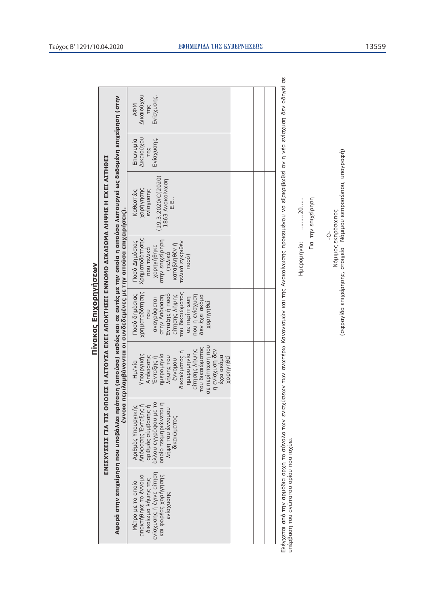|                                                                                                                                                                                                                                                                                                             | Дікаюйхой<br>Ενίσχυσης.<br><b>AФM</b><br><b>TNC</b>                                                                                                                                                                                           |  |  |                                                                                                                                                            |
|-------------------------------------------------------------------------------------------------------------------------------------------------------------------------------------------------------------------------------------------------------------------------------------------------------------|-----------------------------------------------------------------------------------------------------------------------------------------------------------------------------------------------------------------------------------------------|--|--|------------------------------------------------------------------------------------------------------------------------------------------------------------|
|                                                                                                                                                                                                                                                                                                             | Δικαιούχου<br>Ενίσχυσης.<br>Enwvuula<br><b>TING</b>                                                                                                                                                                                           |  |  |                                                                                                                                                            |
|                                                                                                                                                                                                                                                                                                             | (19.3.2020/C(2020))<br>1863 Avakoivwon<br>Yobulyuou<br>ενίσχυσης<br>Καθεστώς<br>E.L.,                                                                                                                                                         |  |  |                                                                                                                                                            |
|                                                                                                                                                                                                                                                                                                             | Χρηματοδότησης<br>Ποσό Δημόσιας<br>ατην επιχείρηση<br>τελικά εγκριθέν<br>καταβληθεν ή<br>χορηγήθηκε<br>που τελικά<br>(τελικά<br>поσо)                                                                                                         |  |  |                                                                                                                                                            |
|                                                                                                                                                                                                                                                                                                             | χρηματοδότησης<br>του δικαιώματος<br>Ενταξης ή ποσό<br>Ποσό δημόσιας<br>Lon J snigXnoJ<br>airnonς λήψης<br>δεν έχει ακόμα<br>στην Απόφαση<br>σε περίπτωση<br>αναγράφεται<br>Xopnynesi<br><b>DOL</b>                                           |  |  |                                                                                                                                                            |
| Αφορά στην επιχείρηση που υποβάλλει πρόταση (αιτούσα) καθώς και σε αυτές με την οποία η αιτούσα λειτουργεί ως δεδομένη επιχείρηση (στην<br>ΕΝΙΣΣΧΥΣΕΙΣ ΓΙΑ ΤΙΣ ΟΠΟΙΕΣ Η ΑΙΤΟΥΣΑ ΕΧΕΙ ΑΠΟΚΤΗΣΕΙ ΕΝΝΟΜΟ ΔΙΚΑΙΩΜΑ ΛΗΨΗΣ Η ΕΧΕΙ ΑΙΤΗΘΕΙ<br>έννοια περιλαμβάνονται οι συνδεδεμένες με την αιτούσα επιχειρήσεις). | σε περίπτωση που<br>του δικαιώματος<br>νες Ιιοηχουλει<br>αίτησης λήψης<br>δικαιώματος ή<br><b>Dixundatu</b><br>Υπουργικής<br>pivluhodarlu<br><b>VUMUS LON</b><br>εχει ακόμα<br><b>XOPDYnesi</b><br>Απόφασης<br>Ενταξης ή<br>nonlows<br>Hµ/via |  |  |                                                                                                                                                            |
|                                                                                                                                                                                                                                                                                                             | Απόφασης Ένταξης ή<br>αλλου εγγράφου με το<br>αριθμός σύμβασης ή<br>Αριθμός Υπουργικής<br>οποίο τεκμηριώνεται<br>yum Lon sanohon<br>δικαιώματος                                                                                               |  |  |                                                                                                                                                            |
|                                                                                                                                                                                                                                                                                                             | ενίσχυσης ή έγινε αίτηση<br>και φορέας χορήγησης<br>αποκτήθηκε το έννομο<br>δικαίωμα λήψης της<br>Μέτρο με το οποίο<br>SvioXnould                                                                                                             |  |  | έγχεται από την αρμόδια αρχή το σύνολο των ενισχύσεων των ανωτέρω Κανονισμών και της Ανακοίνωσης προκειμένου να εξακριβωθεί αν η νέα ενίσχυση δεν οδηγεί σ |

 $\omega$ Ελέγχεται από την αρμόδια αρχή το σύνολο των ενισχύσεων των ανωτέρω Κανομών και της Ανακοίνωσης προκειμένου να εξακριβωθεί αν η νέα ενίσχυση δεν οδηγεί σε<br>υπέρβαση του ανώτατου ορίου που ισχύει.<br>Ηυεροποι του ανώτατου ορίο Ελέγχεται από την αρμόδια αρχή το σύνολι<br>υπέρβαση του ανώτατου ορίου που ισχύει.

Ημερομηνία: ………..20……<br>- Για την επιχείρηση<br>- - Ο-<br>(σφραγίδα επιχείρησης, στοιχεία Νόμιμου εκπροσώπου, υπογραφή) (σφραγίδα επιχείρησης, στοιχεία Μόμιμου εκπροσώπου, υπογραφή)

**Nivakas Enixophynosw** 

Πίνακας Επιχορηγήσεων